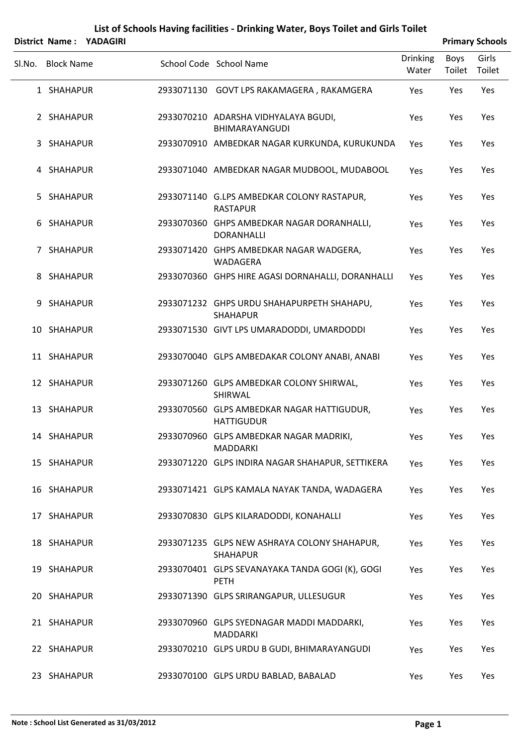|        | District Name: YADAGIRI |                                                                 |                          |                       | <b>Primary Schools</b> |
|--------|-------------------------|-----------------------------------------------------------------|--------------------------|-----------------------|------------------------|
| SI.No. | <b>Block Name</b>       | School Code School Name                                         | <b>Drinking</b><br>Water | <b>Boys</b><br>Toilet | Girls<br>Toilet        |
|        | 1 SHAHAPUR              | 2933071130 GOVT LPS RAKAMAGERA, RAKAMGERA                       | Yes                      | Yes                   | Yes                    |
|        | 2 SHAHAPUR              | 2933070210 ADARSHA VIDHYALAYA BGUDI,<br><b>BHIMARAYANGUDI</b>   | Yes                      | Yes                   | Yes                    |
|        | 3 SHAHAPUR              | 2933070910 AMBEDKAR NAGAR KURKUNDA, KURUKUNDA                   | Yes                      | Yes                   | Yes                    |
|        | 4 SHAHAPUR              | 2933071040 AMBEDKAR NAGAR MUDBOOL, MUDABOOL                     | Yes                      | Yes                   | Yes                    |
|        | 5 SHAHAPUR              | 2933071140 G.LPS AMBEDKAR COLONY RASTAPUR,<br><b>RASTAPUR</b>   | Yes                      | Yes                   | Yes                    |
|        | 6 SHAHAPUR              | 2933070360 GHPS AMBEDKAR NAGAR DORANHALLI,<br><b>DORANHALLI</b> | Yes                      | Yes                   | Yes                    |
|        | 7 SHAHAPUR              | 2933071420 GHPS AMBEDKAR NAGAR WADGERA,<br>WADAGERA             | Yes                      | Yes                   | Yes                    |
|        | 8 SHAHAPUR              | 2933070360 GHPS HIRE AGASI DORNAHALLI, DORANHALLI               | Yes                      | Yes                   | Yes                    |
|        | 9 SHAHAPUR              | 2933071232 GHPS URDU SHAHAPURPETH SHAHAPU,<br><b>SHAHAPUR</b>   | Yes                      | Yes                   | Yes                    |
|        | 10 SHAHAPUR             | 2933071530 GIVT LPS UMARADODDI, UMARDODDI                       | Yes                      | Yes                   | Yes                    |
|        | 11 SHAHAPUR             | 2933070040 GLPS AMBEDAKAR COLONY ANABI, ANABI                   | Yes                      | Yes                   | Yes                    |
|        | 12 SHAHAPUR             | 2933071260 GLPS AMBEDKAR COLONY SHIRWAL,<br>SHIRWAL             | Yes                      | Yes                   | Yes                    |
|        | 13 SHAHAPUR             | 2933070560 GLPS AMBEDKAR NAGAR HATTIGUDUR,<br><b>HATTIGUDUR</b> | Yes                      | Yes                   | Yes                    |
|        | 14 SHAHAPUR             | 2933070960 GLPS AMBEDKAR NAGAR MADRIKI,<br>MADDARKI             | Yes                      | Yes                   | Yes                    |
|        | 15 SHAHAPUR             | 2933071220 GLPS INDIRA NAGAR SHAHAPUR, SETTIKERA                | Yes                      | Yes                   | Yes                    |
|        | 16 SHAHAPUR             | 2933071421 GLPS KAMALA NAYAK TANDA, WADAGERA                    | Yes                      | Yes                   | Yes                    |
|        | 17 SHAHAPUR             | 2933070830 GLPS KILARADODDI, KONAHALLI                          | Yes                      | Yes                   | Yes                    |
|        | 18 SHAHAPUR             | 2933071235 GLPS NEW ASHRAYA COLONY SHAHAPUR,<br><b>SHAHAPUR</b> | Yes                      | Yes                   | Yes                    |
|        | 19 SHAHAPUR             | 2933070401 GLPS SEVANAYAKA TANDA GOGI (K), GOGI<br><b>PETH</b>  | Yes                      | Yes                   | Yes                    |
|        | 20 SHAHAPUR             | 2933071390 GLPS SRIRANGAPUR, ULLESUGUR                          | Yes                      | Yes                   | Yes                    |
|        | 21 SHAHAPUR             | 2933070960 GLPS SYEDNAGAR MADDI MADDARKI,<br>MADDARKI           | Yes                      | Yes                   | Yes                    |
|        | 22 SHAHAPUR             | 2933070210 GLPS URDU B GUDI, BHIMARAYANGUDI                     | Yes                      | Yes                   | Yes                    |
|        | 23 SHAHAPUR             | 2933070100 GLPS URDU BABLAD, BABALAD                            | Yes                      | Yes                   | Yes                    |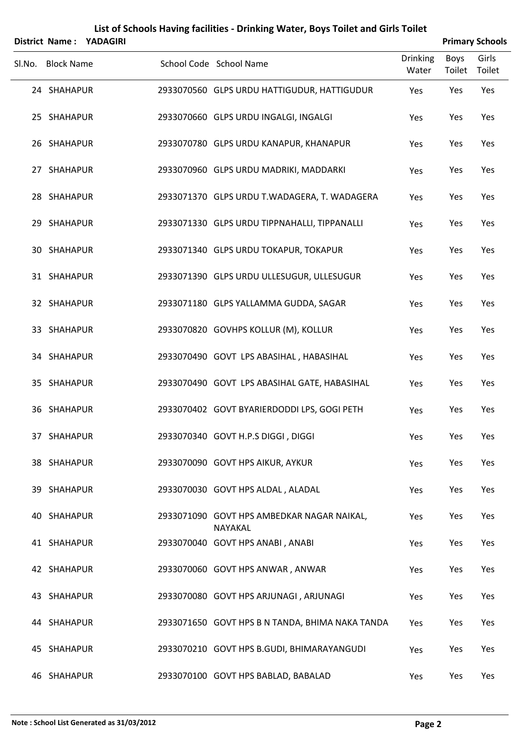|        |                   | District Name: YADAGIRI |                                                       |                          |                | <b>Primary Schools</b> |
|--------|-------------------|-------------------------|-------------------------------------------------------|--------------------------|----------------|------------------------|
| Sl.No. | <b>Block Name</b> |                         | School Code School Name                               | <b>Drinking</b><br>Water | Boys<br>Toilet | Girls<br>Toilet        |
|        | 24 SHAHAPUR       |                         | 2933070560 GLPS URDU HATTIGUDUR, HATTIGUDUR           | Yes                      | Yes            | Yes                    |
|        | 25 SHAHAPUR       |                         | 2933070660 GLPS URDU INGALGI, INGALGI                 | Yes                      | Yes            | Yes                    |
|        | 26 SHAHAPUR       |                         | 2933070780 GLPS URDU KANAPUR, KHANAPUR                | Yes                      | Yes            | Yes                    |
|        | 27 SHAHAPUR       |                         | 2933070960 GLPS URDU MADRIKI, MADDARKI                | Yes                      | Yes            | Yes                    |
|        | 28 SHAHAPUR       |                         | 2933071370 GLPS URDU T.WADAGERA, T. WADAGERA          | Yes                      | Yes            | Yes                    |
|        | 29 SHAHAPUR       |                         | 2933071330 GLPS URDU TIPPNAHALLI, TIPPANALLI          | Yes                      | Yes            | Yes                    |
|        | 30 SHAHAPUR       |                         | 2933071340 GLPS URDU TOKAPUR, TOKAPUR                 | Yes                      | Yes            | Yes                    |
|        | 31 SHAHAPUR       |                         | 2933071390 GLPS URDU ULLESUGUR, ULLESUGUR             | Yes                      | Yes            | Yes                    |
|        | 32 SHAHAPUR       |                         | 2933071180 GLPS YALLAMMA GUDDA, SAGAR                 | Yes                      | Yes            | Yes                    |
|        | 33 SHAHAPUR       |                         | 2933070820 GOVHPS KOLLUR (M), KOLLUR                  | Yes                      | Yes            | Yes                    |
|        | 34 SHAHAPUR       |                         | 2933070490 GOVT LPS ABASIHAL, HABASIHAL               | Yes                      | Yes            | Yes                    |
|        | 35 SHAHAPUR       |                         | 2933070490 GOVT LPS ABASIHAL GATE, HABASIHAL          | Yes                      | Yes            | Yes                    |
|        | 36 SHAHAPUR       |                         | 2933070402 GOVT BYARIERDODDI LPS, GOGI PETH           | Yes                      | Yes            | Yes                    |
|        | 37 SHAHAPUR       |                         | 2933070340 GOVT H.P.S DIGGI, DIGGI                    | Yes                      | Yes            | Yes                    |
|        | 38 SHAHAPUR       |                         | 2933070090 GOVT HPS AIKUR, AYKUR                      | Yes                      | Yes            | Yes                    |
|        | 39 SHAHAPUR       |                         | 2933070030 GOVT HPS ALDAL, ALADAL                     | Yes                      | Yes            | Yes                    |
|        | 40 SHAHAPUR       |                         | 2933071090 GOVT HPS AMBEDKAR NAGAR NAIKAL,<br>NAYAKAL | Yes                      | Yes            | Yes                    |
|        | 41 SHAHAPUR       |                         | 2933070040 GOVT HPS ANABI, ANABI                      | Yes                      | Yes            | Yes                    |
|        | 42 SHAHAPUR       |                         | 2933070060 GOVT HPS ANWAR, ANWAR                      | Yes                      | Yes            | Yes                    |
|        | 43 SHAHAPUR       |                         | 2933070080 GOVT HPS ARJUNAGI, ARJUNAGI                | Yes                      | Yes            | Yes                    |
|        | 44 SHAHAPUR       |                         | 2933071650 GOVT HPS B N TANDA, BHIMA NAKA TANDA       | Yes                      | Yes            | Yes                    |
|        | 45 SHAHAPUR       |                         | 2933070210 GOVT HPS B.GUDI, BHIMARAYANGUDI            | Yes                      | Yes            | Yes                    |
|        | 46 SHAHAPUR       |                         | 2933070100 GOVT HPS BABLAD, BABALAD                   | Yes                      | Yes            | Yes                    |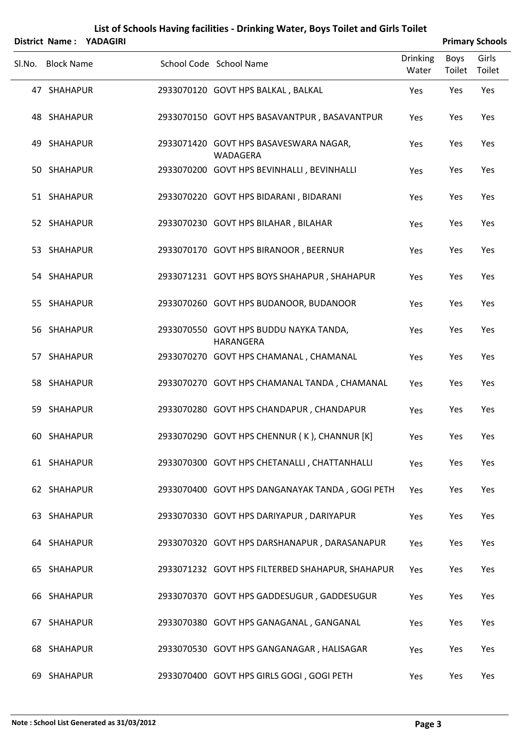|        |                   | District Name: YADAGIRI |                                                     |                          |                       | <b>Primary Schools</b> |
|--------|-------------------|-------------------------|-----------------------------------------------------|--------------------------|-----------------------|------------------------|
| Sl.No. | <b>Block Name</b> |                         | School Code School Name                             | <b>Drinking</b><br>Water | Boys<br>Toilet Toilet | Girls                  |
|        | 47 SHAHAPUR       |                         | 2933070120 GOVT HPS BALKAL, BALKAL                  | Yes                      | Yes                   | Yes                    |
|        | 48 SHAHAPUR       |                         | 2933070150 GOVT HPS BASAVANTPUR, BASAVANTPUR        | Yes                      | Yes                   | Yes                    |
|        | 49 SHAHAPUR       |                         | 2933071420 GOVT HPS BASAVESWARA NAGAR,<br>WADAGERA  | Yes                      | Yes                   | Yes                    |
|        | 50 SHAHAPUR       |                         | 2933070200 GOVT HPS BEVINHALLI, BEVINHALLI          | Yes                      | Yes                   | Yes                    |
|        | 51 SHAHAPUR       |                         | 2933070220 GOVT HPS BIDARANI, BIDARANI              | Yes                      | Yes                   | Yes                    |
|        | 52 SHAHAPUR       |                         | 2933070230 GOVT HPS BILAHAR, BILAHAR                | Yes                      | Yes                   | Yes                    |
|        | 53 SHAHAPUR       |                         | 2933070170 GOVT HPS BIRANOOR, BEERNUR               | Yes                      | Yes                   | Yes                    |
|        | 54 SHAHAPUR       |                         | 2933071231 GOVT HPS BOYS SHAHAPUR, SHAHAPUR         | Yes                      | Yes                   | Yes                    |
|        | 55 SHAHAPUR       |                         | 2933070260 GOVT HPS BUDANOOR, BUDANOOR              | Yes                      | Yes                   | Yes                    |
|        | 56 SHAHAPUR       |                         | 2933070550 GOVT HPS BUDDU NAYKA TANDA,<br>HARANGERA | Yes                      | Yes                   | Yes                    |
|        | 57 SHAHAPUR       |                         | 2933070270 GOVT HPS CHAMANAL, CHAMANAL              | Yes                      | Yes                   | Yes                    |
|        | 58 SHAHAPUR       |                         | 2933070270 GOVT HPS CHAMANAL TANDA, CHAMANAL        | Yes                      | Yes                   | Yes                    |
|        | 59 SHAHAPUR       |                         | 2933070280 GOVT HPS CHANDAPUR, CHANDAPUR            | Yes                      | Yes                   | Yes                    |
|        | 60 SHAHAPUR       |                         | 2933070290 GOVT HPS CHENNUR (K), CHANNUR [K]        | Yes                      | Yes                   | Yes                    |
|        | 61 SHAHAPUR       |                         | 2933070300 GOVT HPS CHETANALLI, CHATTANHALLI        | Yes                      | Yes                   | Yes                    |
|        | 62 SHAHAPUR       |                         | 2933070400 GOVT HPS DANGANAYAK TANDA, GOGI PETH     | Yes                      | Yes                   | Yes                    |
|        | 63 SHAHAPUR       |                         | 2933070330 GOVT HPS DARIYAPUR, DARIYAPUR            | Yes                      | Yes                   | Yes                    |
|        | 64 SHAHAPUR       |                         | 2933070320 GOVT HPS DARSHANAPUR, DARASANAPUR        | Yes                      | Yes                   | Yes                    |
|        | 65 SHAHAPUR       |                         | 2933071232 GOVT HPS FILTERBED SHAHAPUR, SHAHAPUR    | Yes                      | Yes                   | Yes                    |
|        | 66 SHAHAPUR       |                         | 2933070370 GOVT HPS GADDESUGUR, GADDESUGUR          | Yes                      | Yes                   | Yes                    |
|        | 67 SHAHAPUR       |                         | 2933070380 GOVT HPS GANAGANAL, GANGANAL             | Yes                      | Yes                   | Yes                    |
|        | 68 SHAHAPUR       |                         | 2933070530 GOVT HPS GANGANAGAR, HALISAGAR           | Yes                      | Yes                   | Yes                    |
|        | 69 SHAHAPUR       |                         | 2933070400 GOVT HPS GIRLS GOGI, GOGI PETH           | Yes                      | Yes                   | Yes                    |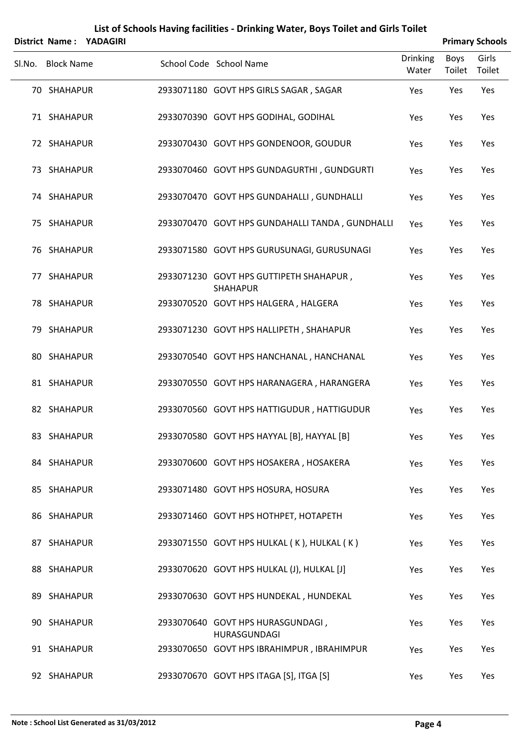|        |                   | District Name: YADAGIRI |                                                            |                          |                | <b>Primary Schools</b> |
|--------|-------------------|-------------------------|------------------------------------------------------------|--------------------------|----------------|------------------------|
| SI.No. | <b>Block Name</b> |                         | School Code School Name                                    | <b>Drinking</b><br>Water | Boys<br>Toilet | Girls<br>Toilet        |
|        | 70 SHAHAPUR       |                         | 2933071180 GOVT HPS GIRLS SAGAR, SAGAR                     | Yes                      | Yes            | Yes                    |
|        | 71 SHAHAPUR       |                         | 2933070390 GOVT HPS GODIHAL, GODIHAL                       | Yes                      | Yes            | Yes                    |
|        | 72 SHAHAPUR       |                         | 2933070430 GOVT HPS GONDENOOR, GOUDUR                      | Yes                      | Yes            | Yes                    |
|        | 73 SHAHAPUR       |                         | 2933070460 GOVT HPS GUNDAGURTHI, GUNDGURTI                 | Yes                      | Yes            | Yes                    |
|        | 74 SHAHAPUR       |                         | 2933070470 GOVT HPS GUNDAHALLI, GUNDHALLI                  | Yes                      | Yes            | Yes                    |
|        | 75 SHAHAPUR       |                         | 2933070470 GOVT HPS GUNDAHALLI TANDA, GUNDHALLI            | Yes                      | Yes            | Yes                    |
|        | 76 SHAHAPUR       |                         | 2933071580 GOVT HPS GURUSUNAGI, GURUSUNAGI                 | Yes                      | Yes            | Yes                    |
|        | 77 SHAHAPUR       |                         | 2933071230 GOVT HPS GUTTIPETH SHAHAPUR,<br><b>SHAHAPUR</b> | Yes                      | Yes            | Yes                    |
|        | 78 SHAHAPUR       |                         | 2933070520 GOVT HPS HALGERA, HALGERA                       | Yes                      | Yes            | Yes                    |
|        | 79 SHAHAPUR       |                         | 2933071230 GOVT HPS HALLIPETH, SHAHAPUR                    | Yes                      | Yes            | Yes                    |
|        | 80 SHAHAPUR       |                         | 2933070540 GOVT HPS HANCHANAL, HANCHANAL                   | Yes                      | Yes            | Yes                    |
|        | 81 SHAHAPUR       |                         | 2933070550 GOVT HPS HARANAGERA, HARANGERA                  | Yes                      | Yes            | Yes                    |
|        | 82 SHAHAPUR       |                         | 2933070560 GOVT HPS HATTIGUDUR, HATTIGUDUR                 | Yes                      | Yes            | Yes                    |
|        | 83 SHAHAPUR       |                         | 2933070580 GOVT HPS HAYYAL [B], HAYYAL [B]                 | Yes                      | Yes            | Yes                    |
|        | 84 SHAHAPUR       |                         | 2933070600 GOVT HPS HOSAKERA, HOSAKERA                     | Yes                      | Yes            | Yes                    |
|        | 85 SHAHAPUR       |                         | 2933071480 GOVT HPS HOSURA, HOSURA                         | Yes                      | Yes            | Yes                    |
|        | 86 SHAHAPUR       |                         | 2933071460 GOVT HPS HOTHPET, HOTAPETH                      | Yes                      | Yes            | Yes                    |
|        | 87 SHAHAPUR       |                         | 2933071550 GOVT HPS HULKAL (K), HULKAL (K)                 | Yes                      | Yes            | Yes                    |
|        | 88 SHAHAPUR       |                         | 2933070620 GOVT HPS HULKAL (J), HULKAL [J]                 | Yes                      | Yes            | Yes                    |
|        | 89 SHAHAPUR       |                         | 2933070630 GOVT HPS HUNDEKAL, HUNDEKAL                     | Yes                      | Yes            | Yes                    |
|        | 90 SHAHAPUR       |                         | 2933070640 GOVT HPS HURASGUNDAGI,<br>HURASGUNDAGI          | Yes                      | Yes            | Yes                    |
|        | 91 SHAHAPUR       |                         | 2933070650 GOVT HPS IBRAHIMPUR, IBRAHIMPUR                 | Yes                      | Yes            | Yes                    |
|        | 92 SHAHAPUR       |                         | 2933070670 GOVT HPS ITAGA [S], ITGA [S]                    | Yes                      | Yes            | Yes                    |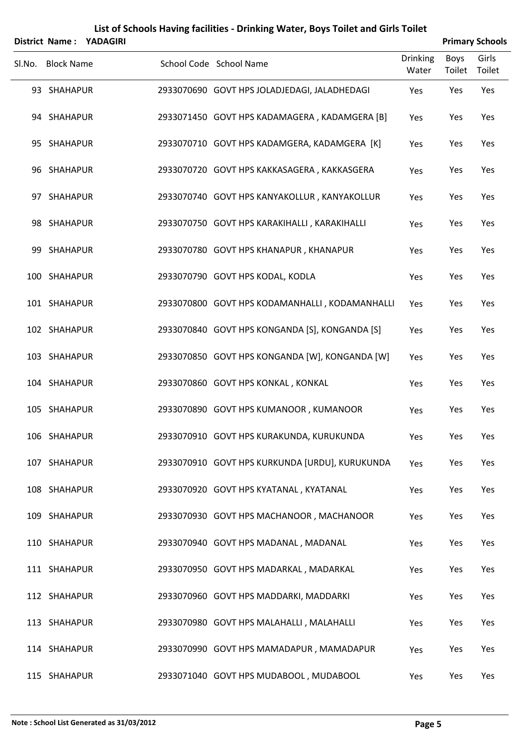|        |                   | District Name: YADAGIRI |                                                |                          |                | <b>Primary Schools</b> |
|--------|-------------------|-------------------------|------------------------------------------------|--------------------------|----------------|------------------------|
| SI.No. | <b>Block Name</b> |                         | School Code School Name                        | <b>Drinking</b><br>Water | Boys<br>Toilet | Girls<br>Toilet        |
|        | 93 SHAHAPUR       |                         | 2933070690 GOVT HPS JOLADJEDAGI, JALADHEDAGI   | Yes                      | Yes            | Yes                    |
|        | 94 SHAHAPUR       |                         | 2933071450 GOVT HPS KADAMAGERA, KADAMGERA [B]  | Yes                      | Yes            | Yes                    |
|        | 95 SHAHAPUR       |                         | 2933070710 GOVT HPS KADAMGERA, KADAMGERA [K]   | Yes                      | Yes            | Yes                    |
|        | 96 SHAHAPUR       |                         | 2933070720 GOVT HPS KAKKASAGERA, KAKKASGERA    | Yes                      | Yes            | Yes                    |
|        | 97 SHAHAPUR       |                         | 2933070740 GOVT HPS KANYAKOLLUR, KANYAKOLLUR   | Yes                      | Yes            | Yes                    |
|        | 98 SHAHAPUR       |                         | 2933070750 GOVT HPS KARAKIHALLI, KARAKIHALLI   | Yes                      | Yes            | Yes                    |
|        | 99 SHAHAPUR       |                         | 2933070780 GOVT HPS KHANAPUR, KHANAPUR         | Yes                      | Yes            | Yes                    |
|        | 100 SHAHAPUR      |                         | 2933070790 GOVT HPS KODAL, KODLA               | Yes                      | Yes            | Yes                    |
|        | 101 SHAHAPUR      |                         | 2933070800 GOVT HPS KODAMANHALLI, KODAMANHALLI | Yes                      | Yes            | Yes                    |
|        | 102 SHAHAPUR      |                         | 2933070840 GOVT HPS KONGANDA [S], KONGANDA [S] | Yes                      | Yes            | Yes                    |
|        | 103 SHAHAPUR      |                         | 2933070850 GOVT HPS KONGANDA [W], KONGANDA [W] | Yes                      | Yes            | Yes                    |
|        | 104 SHAHAPUR      |                         | 2933070860 GOVT HPS KONKAL, KONKAL             | Yes                      | Yes            | Yes                    |
|        | 105 SHAHAPUR      |                         | 2933070890 GOVT HPS KUMANOOR, KUMANOOR         | Yes                      | Yes            | Yes                    |
|        | 106 SHAHAPUR      |                         | 2933070910 GOVT HPS KURAKUNDA, KURUKUNDA       | Yes                      | Yes            | Yes                    |
|        | 107 SHAHAPUR      |                         | 2933070910 GOVT HPS KURKUNDA [URDU], KURUKUNDA | Yes                      | Yes            | Yes                    |
|        | 108 SHAHAPUR      |                         | 2933070920 GOVT HPS KYATANAL, KYATANAL         | Yes                      | Yes            | Yes                    |
|        | 109 SHAHAPUR      |                         | 2933070930 GOVT HPS MACHANOOR, MACHANOOR       | Yes                      | Yes            | Yes                    |
|        | 110 SHAHAPUR      |                         | 2933070940 GOVT HPS MADANAL, MADANAL           | Yes                      | Yes            | Yes                    |
|        | 111 SHAHAPUR      |                         | 2933070950 GOVT HPS MADARKAL, MADARKAL         | Yes                      | Yes            | Yes                    |
|        | 112 SHAHAPUR      |                         | 2933070960 GOVT HPS MADDARKI, MADDARKI         | Yes                      | Yes            | Yes                    |
|        | 113 SHAHAPUR      |                         | 2933070980 GOVT HPS MALAHALLI, MALAHALLI       | Yes                      | Yes            | Yes                    |
|        | 114 SHAHAPUR      |                         | 2933070990 GOVT HPS MAMADAPUR, MAMADAPUR       | Yes                      | Yes            | Yes                    |
|        | 115 SHAHAPUR      |                         | 2933071040 GOVT HPS MUDABOOL, MUDABOOL         | Yes                      | Yes            | Yes                    |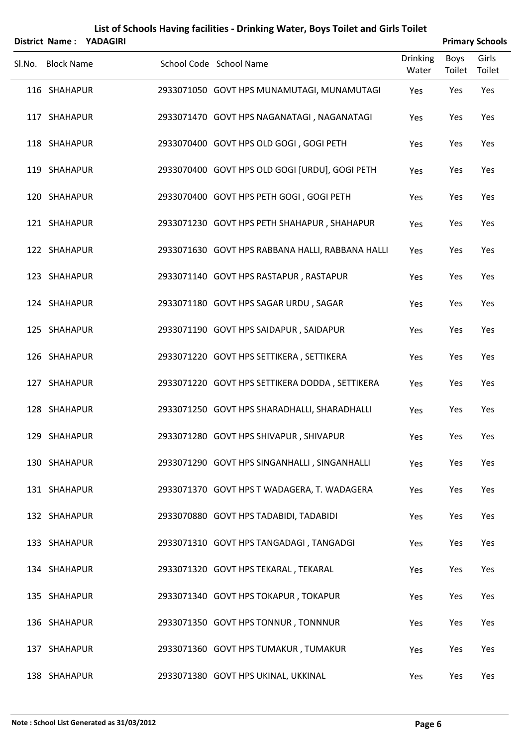|                   | District Name: YADAGIRI | List of Schools Having facilities - Drinking Water, Boys Toilet and Girls Toilet |                          |                | <b>Primary Schools</b> |
|-------------------|-------------------------|----------------------------------------------------------------------------------|--------------------------|----------------|------------------------|
| Sl.No. Block Name |                         | School Code School Name                                                          | <b>Drinking</b><br>Water | Boys<br>Toilet | Girls<br>Toilet        |
| 116 SHAHAPUR      |                         | 2933071050 GOVT HPS MUNAMUTAGI, MUNAMUTAGI                                       | Yes                      | Yes            | Yes                    |
| 117 SHAHAPUR      |                         | 2933071470 GOVT HPS NAGANATAGI, NAGANATAGI                                       | Yes                      | Yes            | Yes                    |
| 118 SHAHAPUR      |                         | 2933070400 GOVT HPS OLD GOGI, GOGI PETH                                          | Yes                      | Yes            | Yes                    |
| 119 SHAHAPUR      |                         | 2933070400 GOVT HPS OLD GOGI [URDU], GOGI PETH                                   | Yes                      | Yes            | Yes                    |
| 120 SHAHAPUR      |                         | 2933070400 GOVT HPS PETH GOGI, GOGI PETH                                         | Yes                      | Yes            | Yes                    |
| 121 SHAHAPUR      |                         | 2933071230 GOVT HPS PETH SHAHAPUR, SHAHAPUR                                      | Yes                      | Yes            | Yes                    |
| 122 SHAHAPUR      |                         | 2933071630 GOVT HPS RABBANA HALLI, RABBANA HALLI                                 | Yes                      | Yes            | Yes                    |
| 123 SHAHAPUR      |                         | 2933071140 GOVT HPS RASTAPUR, RASTAPUR                                           | Yes                      | Yes            | Yes                    |
| 124 SHAHAPUR      |                         | 2933071180 GOVT HPS SAGAR URDU, SAGAR                                            | Yes                      | Yes            | Yes                    |
| 125 SHAHAPUR      |                         | 2933071190 GOVT HPS SAIDAPUR, SAIDAPUR                                           | Yes                      | Yes            | Yes                    |
| 126 SHAHAPUR      |                         | 2933071220 GOVT HPS SETTIKERA, SETTIKERA                                         | Yes                      | Yes            | Yes                    |
| 127 SHAHAPUR      |                         | 2933071220 GOVT HPS SETTIKERA DODDA, SETTIKERA                                   | Yes                      | Yes            | Yes                    |
| 128 SHAHAPUR      |                         | 2933071250 GOVT HPS SHARADHALLI, SHARADHALLI                                     | Yes                      | Yes            | Yes                    |
| 129 SHAHAPUR      |                         | 2933071280 GOVT HPS SHIVAPUR, SHIVAPUR                                           | Yes                      | Yes            | Yes                    |
| 130 SHAHAPUR      |                         | 2933071290 GOVT HPS SINGANHALLI, SINGANHALLI                                     | Yes                      | Yes            | Yes                    |
| 131 SHAHAPUR      |                         | 2933071370 GOVT HPS T WADAGERA, T. WADAGERA                                      | Yes                      | Yes            | Yes                    |
| 132 SHAHAPUR      |                         | 2933070880 GOVT HPS TADABIDI, TADABIDI                                           | Yes                      | Yes            | Yes                    |
| 133 SHAHAPUR      |                         | 2933071310 GOVT HPS TANGADAGI, TANGADGI                                          | Yes                      | Yes            | Yes                    |
| 134 SHAHAPUR      |                         | 2933071320 GOVT HPS TEKARAL, TEKARAL                                             | Yes                      | Yes            | Yes                    |
| 135 SHAHAPUR      |                         | 2933071340 GOVT HPS TOKAPUR, TOKAPUR                                             | Yes                      | Yes            | Yes                    |
| 136 SHAHAPUR      |                         | 2933071350 GOVT HPS TONNUR, TONNNUR                                              | Yes                      | Yes            | Yes                    |
| 137 SHAHAPUR      |                         | 2933071360 GOVT HPS TUMAKUR, TUMAKUR                                             | Yes                      | Yes            | Yes                    |
| 138 SHAHAPUR      |                         | 2933071380 GOVT HPS UKINAL, UKKINAL                                              | Yes                      | Yes            | Yes                    |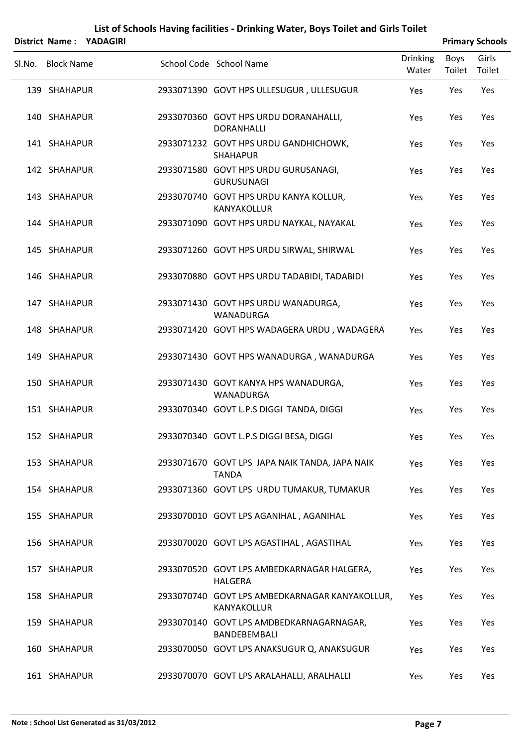|                   | District Name: YADAGIRI |                                                                |                          |                | <b>Primary Schools</b> |
|-------------------|-------------------------|----------------------------------------------------------------|--------------------------|----------------|------------------------|
| Sl.No. Block Name |                         | School Code School Name                                        | <b>Drinking</b><br>Water | Boys<br>Toilet | Girls<br>Toilet        |
| 139 SHAHAPUR      |                         | 2933071390 GOVT HPS ULLESUGUR, ULLESUGUR                       | Yes                      | Yes            | Yes                    |
| 140 SHAHAPUR      |                         | 2933070360 GOVT HPS URDU DORANAHALLI,<br><b>DORANHALLI</b>     | Yes                      | Yes            | Yes                    |
| 141 SHAHAPUR      |                         | 2933071232 GOVT HPS URDU GANDHICHOWK,<br><b>SHAHAPUR</b>       | Yes                      | Yes            | Yes                    |
| 142 SHAHAPUR      |                         | 2933071580 GOVT HPS URDU GURUSANAGI,<br><b>GURUSUNAGI</b>      | Yes                      | Yes            | Yes                    |
| 143 SHAHAPUR      |                         | 2933070740 GOVT HPS URDU KANYA KOLLUR,<br>KANYAKOLLUR          | Yes                      | Yes            | Yes                    |
| 144 SHAHAPUR      |                         | 2933071090 GOVT HPS URDU NAYKAL, NAYAKAL                       | Yes                      | Yes            | Yes                    |
| 145 SHAHAPUR      |                         | 2933071260 GOVT HPS URDU SIRWAL, SHIRWAL                       | Yes                      | Yes            | Yes                    |
| 146 SHAHAPUR      |                         | 2933070880 GOVT HPS URDU TADABIDI, TADABIDI                    | Yes                      | Yes            | Yes                    |
| 147 SHAHAPUR      |                         | 2933071430 GOVT HPS URDU WANADURGA,<br>WANADURGA               | Yes                      | Yes            | Yes                    |
| 148 SHAHAPUR      |                         | 2933071420 GOVT HPS WADAGERA URDU, WADAGERA                    | Yes                      | Yes            | Yes                    |
| 149 SHAHAPUR      |                         | 2933071430 GOVT HPS WANADURGA, WANADURGA                       | Yes                      | Yes            | Yes                    |
| 150 SHAHAPUR      |                         | 2933071430 GOVT KANYA HPS WANADURGA,<br>WANADURGA              | Yes                      | Yes            | Yes                    |
| 151 SHAHAPUR      |                         | 2933070340 GOVT L.P.S DIGGI TANDA, DIGGI                       | Yes                      | Yes            | Yes                    |
| 152 SHAHAPUR      |                         | 2933070340 GOVT L.P.S DIGGI BESA, DIGGI                        | Yes                      | Yes            | Yes                    |
| 153 SHAHAPUR      |                         | 2933071670 GOVT LPS JAPA NAIK TANDA, JAPA NAIK<br><b>TANDA</b> | Yes                      | Yes            | Yes                    |
| 154 SHAHAPUR      |                         | 2933071360 GOVT LPS URDU TUMAKUR, TUMAKUR                      | Yes                      | Yes            | Yes                    |
| 155 SHAHAPUR      |                         | 2933070010 GOVT LPS AGANIHAL, AGANIHAL                         | Yes                      | Yes            | Yes                    |
| 156 SHAHAPUR      |                         | 2933070020 GOVT LPS AGASTIHAL, AGASTIHAL                       | Yes                      | Yes            | Yes                    |
| 157 SHAHAPUR      |                         | 2933070520 GOVT LPS AMBEDKARNAGAR HALGERA,<br><b>HALGERA</b>   | Yes                      | Yes            | Yes                    |
| 158 SHAHAPUR      |                         | 2933070740 GOVT LPS AMBEDKARNAGAR KANYAKOLLUR,<br>KANYAKOLLUR  | Yes                      | Yes            | Yes                    |
| 159 SHAHAPUR      |                         | 2933070140 GOVT LPS AMDBEDKARNAGARNAGAR,<br>BANDEBEMBALI       | Yes                      | Yes            | Yes                    |
| 160 SHAHAPUR      |                         | 2933070050 GOVT LPS ANAKSUGUR Q, ANAKSUGUR                     | Yes                      | Yes            | Yes                    |
| 161 SHAHAPUR      |                         | 2933070070 GOVT LPS ARALAHALLI, ARALHALLI                      | Yes                      | Yes            | Yes                    |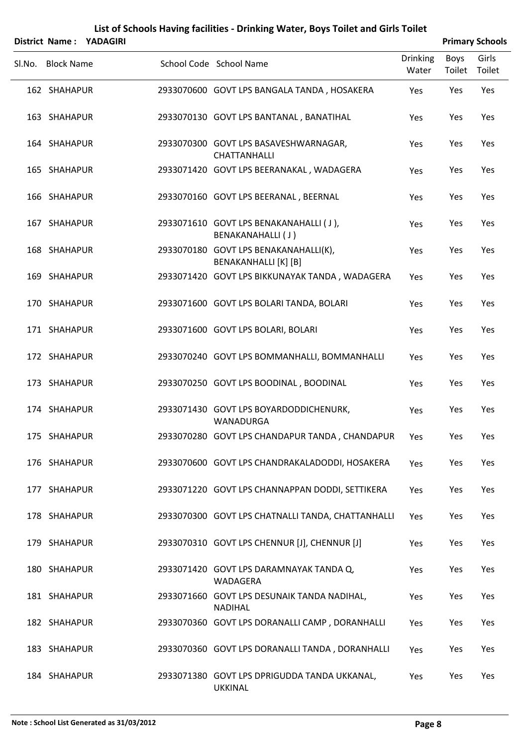| District Name:    | <b>YADAGIRI</b> | List of Schools Having facilities - Drinking Water, Boys Toilet and Girls Toilet |                          |                       | <b>Primary Schools</b> |
|-------------------|-----------------|----------------------------------------------------------------------------------|--------------------------|-----------------------|------------------------|
| Sl.No. Block Name |                 | School Code School Name                                                          | <b>Drinking</b><br>Water | <b>Boys</b><br>Toilet | Girls<br>Toilet        |
| 162 SHAHAPUR      |                 | 2933070600 GOVT LPS BANGALA TANDA, HOSAKERA                                      | Yes                      | Yes                   | Yes                    |
| 163 SHAHAPUR      |                 | 2933070130 GOVT LPS BANTANAL, BANATIHAL                                          | Yes                      | Yes                   | Yes                    |
| 164 SHAHAPUR      |                 | 2933070300 GOVT LPS BASAVESHWARNAGAR,<br>CHATTANHALLI                            | Yes                      | Yes                   | Yes                    |
| 165 SHAHAPUR      |                 | 2933071420 GOVT LPS BEERANAKAL, WADAGERA                                         | Yes                      | Yes                   | Yes                    |
| 166 SHAHAPUR      |                 | 2933070160 GOVT LPS BEERANAL, BEERNAL                                            | Yes                      | Yes                   | Yes                    |
| 167 SHAHAPUR      |                 | 2933071610 GOVT LPS BENAKANAHALLI (J),<br>BENAKANAHALLI (J)                      | Yes                      | Yes                   | Yes                    |
| 168 SHAHAPUR      |                 | 2933070180 GOVT LPS BENAKANAHALLI(K),<br>BENAKANHALLI [K] [B]                    | Yes                      | Yes                   | Yes                    |
| 169 SHAHAPUR      |                 | 2933071420 GOVT LPS BIKKUNAYAK TANDA, WADAGERA                                   | Yes                      | Yes                   | Yes                    |
| 170 SHAHAPUR      |                 | 2933071600 GOVT LPS BOLARI TANDA, BOLARI                                         | Yes                      | Yes                   | Yes                    |
| 171 SHAHAPUR      |                 | 2933071600 GOVT LPS BOLARI, BOLARI                                               | Yes                      | Yes                   | Yes                    |
| 172 SHAHAPUR      |                 | 2933070240 GOVT LPS BOMMANHALLI, BOMMANHALLI                                     | Yes                      | Yes                   | Yes                    |
| 173 SHAHAPUR      |                 | 2933070250 GOVT LPS BOODINAL, BOODINAL                                           | Yes                      | Yes                   | Yes                    |
| 174 SHAHAPUR      |                 | 2933071430 GOVT LPS BOYARDODDICHENURK,<br>WANADURGA                              | Yes                      | Yes                   | Yes                    |
| 175 SHAHAPUR      |                 | 2933070280 GOVT LPS CHANDAPUR TANDA, CHANDAPUR                                   | Yes                      | Yes                   | Yes                    |
| 176 SHAHAPUR      |                 | 2933070600 GOVT LPS CHANDRAKALADODDI, HOSAKERA                                   | Yes                      | Yes                   | Yes                    |
| 177 SHAHAPUR      |                 | 2933071220 GOVT LPS CHANNAPPAN DODDI, SETTIKERA                                  | Yes                      | Yes                   | Yes                    |
| 178 SHAHAPUR      |                 | 2933070300 GOVT LPS CHATNALLI TANDA, CHATTANHALLI                                | Yes                      | Yes                   | Yes                    |
| 179 SHAHAPUR      |                 | 2933070310 GOVT LPS CHENNUR [J], CHENNUR [J]                                     | Yes                      | Yes                   | Yes                    |
| 180 SHAHAPUR      |                 | 2933071420 GOVT LPS DARAMNAYAK TANDA Q,<br>WADAGERA                              | Yes                      | Yes                   | Yes                    |
| 181 SHAHAPUR      |                 | 2933071660 GOVT LPS DESUNAIK TANDA NADIHAL,<br><b>NADIHAL</b>                    | Yes                      | Yes                   | Yes                    |
| 182 SHAHAPUR      |                 | 2933070360 GOVT LPS DORANALLI CAMP, DORANHALLI                                   | Yes                      | Yes                   | Yes                    |
| 183 SHAHAPUR      |                 | 2933070360 GOVT LPS DORANALLI TANDA, DORANHALLI                                  | Yes                      | Yes                   | Yes                    |
| 184 SHAHAPUR      |                 | 2933071380 GOVT LPS DPRIGUDDA TANDA UKKANAL,<br><b>UKKINAL</b>                   | Yes                      | Yes                   | Yes                    |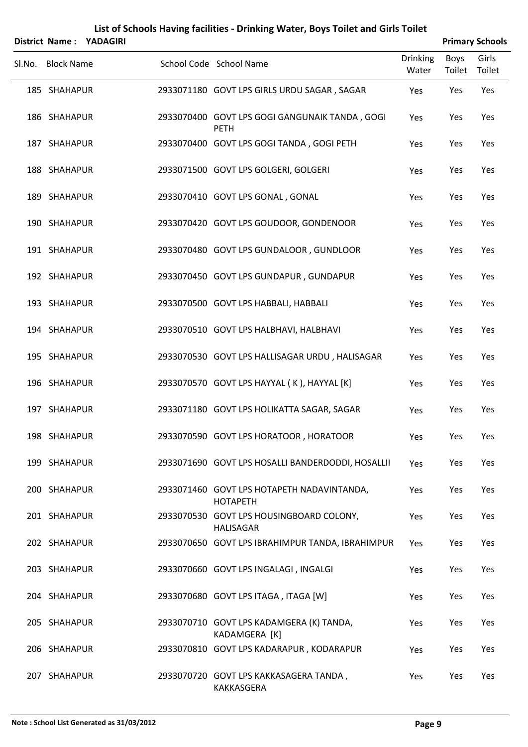|                   | District Name: YADAGIRI |                                                               |                          |                | <b>Primary Schools</b> |
|-------------------|-------------------------|---------------------------------------------------------------|--------------------------|----------------|------------------------|
| Sl.No. Block Name |                         | School Code School Name                                       | <b>Drinking</b><br>Water | Boys<br>Toilet | Girls<br>Toilet        |
| 185 SHAHAPUR      |                         | 2933071180 GOVT LPS GIRLS URDU SAGAR, SAGAR                   | Yes                      | Yes            | Yes                    |
| 186 SHAHAPUR      |                         | 2933070400 GOVT LPS GOGI GANGUNAIK TANDA, GOGI<br><b>PETH</b> | Yes                      | Yes            | Yes                    |
| 187 SHAHAPUR      |                         | 2933070400 GOVT LPS GOGI TANDA, GOGI PETH                     | Yes                      | Yes            | Yes                    |
| 188 SHAHAPUR      |                         | 2933071500 GOVT LPS GOLGERI, GOLGERI                          | Yes                      | Yes            | Yes                    |
| 189 SHAHAPUR      |                         | 2933070410 GOVT LPS GONAL, GONAL                              | Yes                      | Yes            | Yes                    |
| 190 SHAHAPUR      |                         | 2933070420 GOVT LPS GOUDOOR, GONDENOOR                        | Yes                      | Yes            | Yes                    |
| 191 SHAHAPUR      |                         | 2933070480 GOVT LPS GUNDALOOR, GUNDLOOR                       | Yes                      | Yes            | Yes                    |
| 192 SHAHAPUR      |                         | 2933070450 GOVT LPS GUNDAPUR, GUNDAPUR                        | Yes                      | Yes            | Yes                    |
| 193 SHAHAPUR      |                         | 2933070500 GOVT LPS HABBALI, HABBALI                          | Yes                      | Yes            | Yes                    |
| 194 SHAHAPUR      |                         | 2933070510 GOVT LPS HALBHAVI, HALBHAVI                        | Yes                      | Yes            | Yes                    |
| 195 SHAHAPUR      |                         | 2933070530 GOVT LPS HALLISAGAR URDU, HALISAGAR                | Yes                      | Yes            | Yes                    |
| 196 SHAHAPUR      |                         | 2933070570 GOVT LPS HAYYAL (K), HAYYAL [K]                    | Yes                      | Yes            | Yes                    |
| 197 SHAHAPUR      |                         | 2933071180 GOVT LPS HOLIKATTA SAGAR, SAGAR                    | Yes                      | Yes            | Yes                    |
| 198 SHAHAPUR      |                         | 2933070590 GOVT LPS HORATOOR, HORATOOR                        | Yes                      | Yes            | Yes                    |
| 199 SHAHAPUR      |                         | 2933071690 GOVT LPS HOSALLI BANDERDODDI, HOSALLII             | Yes                      | Yes            | Yes                    |
| 200 SHAHAPUR      |                         | 2933071460 GOVT LPS HOTAPETH NADAVINTANDA,<br><b>HOTAPETH</b> | Yes                      | Yes            | Yes                    |
| 201 SHAHAPUR      |                         | 2933070530 GOVT LPS HOUSINGBOARD COLONY,<br><b>HALISAGAR</b>  | Yes                      | Yes            | Yes                    |
| 202 SHAHAPUR      |                         | 2933070650 GOVT LPS IBRAHIMPUR TANDA, IBRAHIMPUR              | Yes                      | Yes            | Yes                    |
| 203 SHAHAPUR      |                         | 2933070660 GOVT LPS INGALAGI, INGALGI                         | Yes                      | Yes            | Yes                    |
| 204 SHAHAPUR      |                         | 2933070680 GOVT LPS ITAGA, ITAGA [W]                          | Yes                      | Yes            | Yes                    |
| 205 SHAHAPUR      |                         | 2933070710 GOVT LPS KADAMGERA (K) TANDA,<br>KADAMGERA [K]     | Yes                      | Yes            | Yes                    |
| 206 SHAHAPUR      |                         | 2933070810 GOVT LPS KADARAPUR, KODARAPUR                      | Yes                      | Yes            | Yes                    |
| 207 SHAHAPUR      |                         | 2933070720 GOVT LPS KAKKASAGERA TANDA,<br>KAKKASGERA          | Yes                      | Yes            | Yes                    |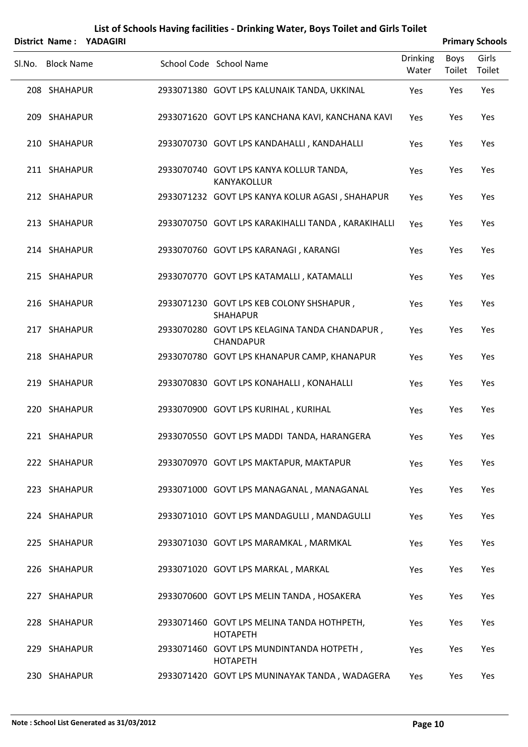|        |                   | District Name: YADAGIRI |                                                                   |                          |                | <b>Primary Schools</b> |
|--------|-------------------|-------------------------|-------------------------------------------------------------------|--------------------------|----------------|------------------------|
| Sl.No. | <b>Block Name</b> |                         | School Code School Name                                           | <b>Drinking</b><br>Water | Boys<br>Toilet | Girls<br>Toilet        |
|        | 208 SHAHAPUR      |                         | 2933071380 GOVT LPS KALUNAIK TANDA, UKKINAL                       | Yes                      | Yes            | Yes                    |
|        | 209 SHAHAPUR      |                         | 2933071620 GOVT LPS KANCHANA KAVI, KANCHANA KAVI                  | Yes                      | Yes            | Yes                    |
|        | 210 SHAHAPUR      |                         | 2933070730 GOVT LPS KANDAHALLI, KANDAHALLI                        | Yes                      | Yes            | Yes                    |
|        | 211 SHAHAPUR      |                         | 2933070740 GOVT LPS KANYA KOLLUR TANDA,<br>KANYAKOLLUR            | Yes                      | Yes            | Yes                    |
|        | 212 SHAHAPUR      |                         | 2933071232 GOVT LPS KANYA KOLUR AGASI, SHAHAPUR                   | Yes                      | Yes            | Yes                    |
|        | 213 SHAHAPUR      |                         | 2933070750 GOVT LPS KARAKIHALLI TANDA, KARAKIHALLI                | Yes                      | Yes            | Yes                    |
|        | 214 SHAHAPUR      |                         | 2933070760 GOVT LPS KARANAGI, KARANGI                             | Yes                      | Yes            | Yes                    |
|        | 215 SHAHAPUR      |                         | 2933070770 GOVT LPS KATAMALLI, KATAMALLI                          | Yes                      | Yes            | Yes                    |
|        | 216 SHAHAPUR      |                         | 2933071230 GOVT LPS KEB COLONY SHSHAPUR,<br><b>SHAHAPUR</b>       | Yes                      | Yes            | Yes                    |
|        | 217 SHAHAPUR      |                         | 2933070280 GOVT LPS KELAGINA TANDA CHANDAPUR,<br><b>CHANDAPUR</b> | Yes                      | Yes            | Yes                    |
|        | 218 SHAHAPUR      |                         | 2933070780 GOVT LPS KHANAPUR CAMP, KHANAPUR                       | Yes                      | Yes            | Yes                    |
|        | 219 SHAHAPUR      |                         | 2933070830 GOVT LPS KONAHALLI, KONAHALLI                          | Yes                      | Yes            | Yes                    |
|        | 220 SHAHAPUR      |                         | 2933070900 GOVT LPS KURIHAL, KURIHAL                              | Yes                      | Yes            | Yes                    |
|        | 221 SHAHAPUR      |                         | 2933070550 GOVT LPS MADDI TANDA, HARANGERA                        | Yes                      | Yes            | Yes                    |
|        | 222 SHAHAPUR      |                         | 2933070970 GOVT LPS MAKTAPUR, MAKTAPUR                            | Yes                      | Yes            | Yes                    |
|        | 223 SHAHAPUR      |                         | 2933071000 GOVT LPS MANAGANAL, MANAGANAL                          | Yes                      | Yes            | Yes                    |
|        | 224 SHAHAPUR      |                         | 2933071010 GOVT LPS MANDAGULLI, MANDAGULLI                        | Yes                      | Yes            | Yes                    |
|        | 225 SHAHAPUR      |                         | 2933071030 GOVT LPS MARAMKAL, MARMKAL                             | Yes                      | Yes            | Yes                    |
|        | 226 SHAHAPUR      |                         | 2933071020 GOVT LPS MARKAL, MARKAL                                | Yes                      | Yes            | Yes                    |
|        | 227 SHAHAPUR      |                         | 2933070600 GOVT LPS MELIN TANDA, HOSAKERA                         | Yes                      | Yes            | Yes                    |
|        | 228 SHAHAPUR      |                         | 2933071460 GOVT LPS MELINA TANDA HOTHPETH,<br><b>HOTAPETH</b>     | Yes                      | Yes            | Yes                    |
|        | 229 SHAHAPUR      |                         | 2933071460 GOVT LPS MUNDINTANDA HOTPETH,<br><b>HOTAPETH</b>       | Yes                      | Yes            | Yes                    |
|        | 230 SHAHAPUR      |                         | 2933071420 GOVT LPS MUNINAYAK TANDA, WADAGERA                     | Yes                      | Yes            | Yes                    |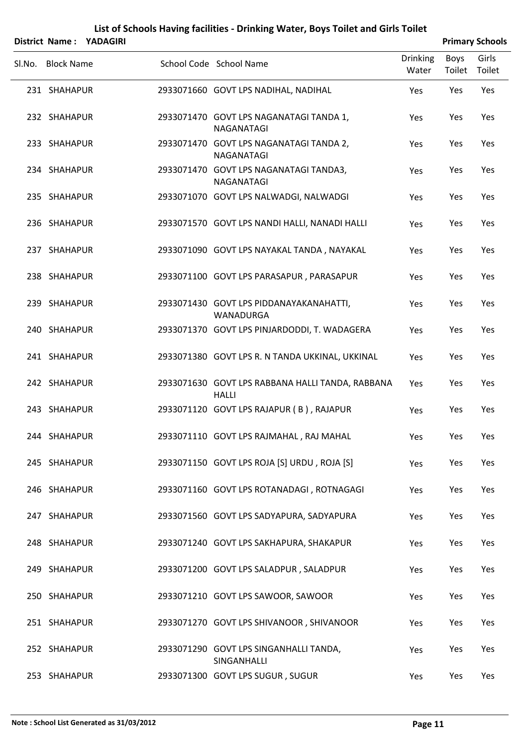|        |                   | District Name: YADAGIRI |                                                                  |                          |                | <b>Primary Schools</b> |
|--------|-------------------|-------------------------|------------------------------------------------------------------|--------------------------|----------------|------------------------|
| Sl.No. | <b>Block Name</b> |                         | School Code School Name                                          | <b>Drinking</b><br>Water | Boys<br>Toilet | Girls<br>Toilet        |
|        | 231 SHAHAPUR      |                         | 2933071660 GOVT LPS NADIHAL, NADIHAL                             | Yes                      | Yes            | Yes                    |
|        | 232 SHAHAPUR      |                         | 2933071470 GOVT LPS NAGANATAGI TANDA 1,<br>NAGANATAGI            | Yes                      | Yes            | Yes                    |
|        | 233 SHAHAPUR      |                         | 2933071470 GOVT LPS NAGANATAGI TANDA 2,<br>NAGANATAGI            | Yes                      | Yes            | Yes                    |
|        | 234 SHAHAPUR      |                         | 2933071470 GOVT LPS NAGANATAGI TANDA3,<br>NAGANATAGI             | Yes                      | Yes            | Yes                    |
|        | 235 SHAHAPUR      |                         | 2933071070 GOVT LPS NALWADGI, NALWADGI                           | Yes                      | Yes            | Yes                    |
|        | 236 SHAHAPUR      |                         | 2933071570 GOVT LPS NANDI HALLI, NANADI HALLI                    | Yes                      | Yes            | Yes                    |
|        | 237 SHAHAPUR      |                         | 2933071090 GOVT LPS NAYAKAL TANDA, NAYAKAL                       | Yes                      | Yes            | Yes                    |
|        | 238 SHAHAPUR      |                         | 2933071100 GOVT LPS PARASAPUR, PARASAPUR                         | Yes                      | Yes            | Yes                    |
|        | 239 SHAHAPUR      |                         | 2933071430 GOVT LPS PIDDANAYAKANAHATTI,<br><b>WANADURGA</b>      | Yes                      | Yes            | Yes                    |
|        | 240 SHAHAPUR      |                         | 2933071370 GOVT LPS PINJARDODDI, T. WADAGERA                     | Yes                      | Yes            | Yes                    |
|        | 241 SHAHAPUR      |                         | 2933071380 GOVT LPS R. N TANDA UKKINAL, UKKINAL                  | Yes                      | Yes            | Yes                    |
|        | 242 SHAHAPUR      |                         | 2933071630 GOVT LPS RABBANA HALLI TANDA, RABBANA<br><b>HALLI</b> | Yes                      | Yes            | Yes                    |
|        | 243 SHAHAPUR      |                         | 2933071120 GOVT LPS RAJAPUR (B), RAJAPUR                         | Yes                      | Yes            | Yes                    |
|        | 244 SHAHAPUR      |                         | 2933071110 GOVT LPS RAJMAHAL, RAJ MAHAL                          | Yes                      | Yes            | Yes                    |
|        | 245 SHAHAPUR      |                         | 2933071150 GOVT LPS ROJA [S] URDU, ROJA [S]                      | Yes                      | Yes            | Yes                    |
|        | 246 SHAHAPUR      |                         | 2933071160 GOVT LPS ROTANADAGI, ROTNAGAGI                        | Yes                      | Yes            | Yes                    |
|        | 247 SHAHAPUR      |                         | 2933071560 GOVT LPS SADYAPURA, SADYAPURA                         | Yes                      | Yes            | Yes                    |
|        | 248 SHAHAPUR      |                         | 2933071240 GOVT LPS SAKHAPURA, SHAKAPUR                          | Yes                      | Yes            | Yes                    |
|        | 249 SHAHAPUR      |                         | 2933071200 GOVT LPS SALADPUR, SALADPUR                           | Yes                      | Yes            | Yes                    |
|        | 250 SHAHAPUR      |                         | 2933071210 GOVT LPS SAWOOR, SAWOOR                               | Yes                      | Yes            | Yes                    |
|        | 251 SHAHAPUR      |                         | 2933071270 GOVT LPS SHIVANOOR, SHIVANOOR                         | Yes                      | Yes            | Yes                    |
|        | 252 SHAHAPUR      |                         | 2933071290 GOVT LPS SINGANHALLI TANDA,<br>SINGANHALLI            | Yes                      | Yes            | Yes                    |
|        | 253 SHAHAPUR      |                         | 2933071300 GOVT LPS SUGUR, SUGUR                                 | Yes                      | Yes            | Yes                    |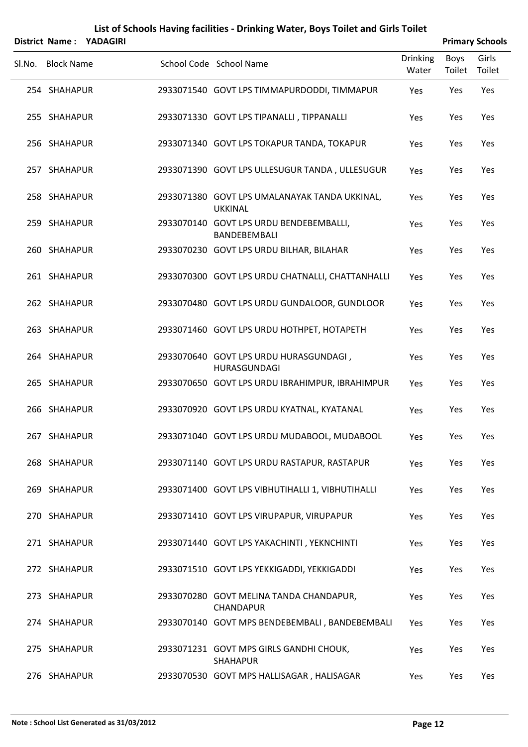|        | <b>District Name:</b> | YADAGIRI |                                                                 |                          |                       | <b>Primary Schools</b> |
|--------|-----------------------|----------|-----------------------------------------------------------------|--------------------------|-----------------------|------------------------|
| Sl.No. | <b>Block Name</b>     |          | School Code School Name                                         | <b>Drinking</b><br>Water | <b>Boys</b><br>Toilet | Girls<br>Toilet        |
|        | 254 SHAHAPUR          |          | 2933071540 GOVT LPS TIMMAPURDODDI, TIMMAPUR                     | Yes                      | Yes                   | Yes                    |
|        | 255 SHAHAPUR          |          | 2933071330 GOVT LPS TIPANALLI, TIPPANALLI                       | Yes                      | Yes                   | Yes                    |
|        | 256 SHAHAPUR          |          | 2933071340 GOVT LPS TOKAPUR TANDA, TOKAPUR                      | Yes                      | Yes                   | Yes                    |
|        | 257 SHAHAPUR          |          | 2933071390 GOVT LPS ULLESUGUR TANDA, ULLESUGUR                  | Yes                      | Yes                   | Yes                    |
|        | 258 SHAHAPUR          |          | 2933071380 GOVT LPS UMALANAYAK TANDA UKKINAL,<br><b>UKKINAL</b> | Yes                      | Yes                   | Yes                    |
|        | 259 SHAHAPUR          |          | 2933070140 GOVT LPS URDU BENDEBEMBALLI,<br>BANDEBEMBALI         | Yes                      | Yes                   | Yes                    |
|        | 260 SHAHAPUR          |          | 2933070230 GOVT LPS URDU BILHAR, BILAHAR                        | Yes                      | Yes                   | Yes                    |
|        | 261 SHAHAPUR          |          | 2933070300 GOVT LPS URDU CHATNALLI, CHATTANHALLI                | Yes                      | Yes                   | Yes                    |
|        | 262 SHAHAPUR          |          | 2933070480 GOVT LPS URDU GUNDALOOR, GUNDLOOR                    | Yes                      | Yes                   | Yes                    |
|        | 263 SHAHAPUR          |          | 2933071460 GOVT LPS URDU HOTHPET, HOTAPETH                      | Yes                      | Yes                   | Yes                    |
|        | 264 SHAHAPUR          |          | 2933070640 GOVT LPS URDU HURASGUNDAGI,<br>HURASGUNDAGI          | Yes                      | Yes                   | Yes                    |
|        | 265 SHAHAPUR          |          | 2933070650 GOVT LPS URDU IBRAHIMPUR, IBRAHIMPUR                 | Yes                      | Yes                   | Yes                    |
|        | 266 SHAHAPUR          |          | 2933070920 GOVT LPS URDU KYATNAL, KYATANAL                      | Yes                      | Yes                   | Yes                    |
|        | 267 SHAHAPUR          |          | 2933071040 GOVT LPS URDU MUDABOOL, MUDABOOL                     | Yes                      | Yes                   | Yes                    |
|        | 268 SHAHAPUR          |          | 2933071140 GOVT LPS URDU RASTAPUR, RASTAPUR                     | Yes                      | Yes                   | Yes                    |
|        | 269 SHAHAPUR          |          | 2933071400 GOVT LPS VIBHUTIHALLI 1, VIBHUTIHALLI                | Yes                      | Yes                   | Yes                    |
|        | 270 SHAHAPUR          |          | 2933071410 GOVT LPS VIRUPAPUR, VIRUPAPUR                        | Yes                      | Yes                   | Yes                    |
|        | 271 SHAHAPUR          |          | 2933071440 GOVT LPS YAKACHINTI, YEKNCHINTI                      | Yes                      | Yes                   | Yes                    |
|        | 272 SHAHAPUR          |          | 2933071510 GOVT LPS YEKKIGADDI, YEKKIGADDI                      | Yes                      | Yes                   | Yes                    |
|        | 273 SHAHAPUR          |          | 2933070280 GOVT MELINA TANDA CHANDAPUR,<br>CHANDAPUR            | Yes                      | Yes                   | Yes                    |
|        | 274 SHAHAPUR          |          | 2933070140 GOVT MPS BENDEBEMBALI, BANDEBEMBALI                  | Yes                      | Yes                   | Yes                    |
|        | 275 SHAHAPUR          |          | 2933071231 GOVT MPS GIRLS GANDHI CHOUK,<br><b>SHAHAPUR</b>      | Yes                      | Yes                   | Yes                    |
|        | 276 SHAHAPUR          |          | 2933070530 GOVT MPS HALLISAGAR, HALISAGAR                       | Yes                      | Yes                   | Yes                    |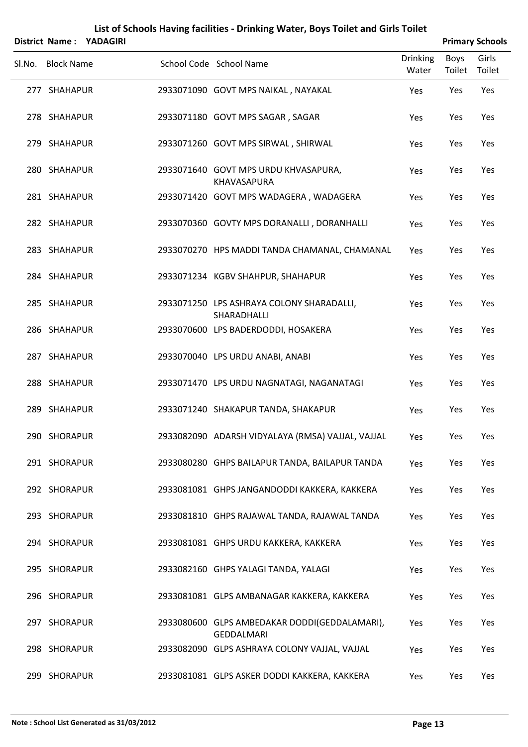|        |                   | District Name: YADAGIRI |                                                                    |                          |                | <b>Primary Schools</b> |
|--------|-------------------|-------------------------|--------------------------------------------------------------------|--------------------------|----------------|------------------------|
| SI.No. | <b>Block Name</b> |                         | School Code School Name                                            | <b>Drinking</b><br>Water | Boys<br>Toilet | Girls<br>Toilet        |
|        | 277 SHAHAPUR      |                         | 2933071090 GOVT MPS NAIKAL, NAYAKAL                                | Yes                      | Yes            | Yes                    |
|        | 278 SHAHAPUR      |                         | 2933071180 GOVT MPS SAGAR, SAGAR                                   | Yes                      | Yes            | Yes                    |
|        | 279 SHAHAPUR      |                         | 2933071260 GOVT MPS SIRWAL, SHIRWAL                                | Yes                      | Yes            | Yes                    |
|        | 280 SHAHAPUR      |                         | 2933071640 GOVT MPS URDU KHVASAPURA,<br>KHAVASAPURA                | Yes                      | Yes            | Yes                    |
|        | 281 SHAHAPUR      |                         | 2933071420 GOVT MPS WADAGERA, WADAGERA                             | Yes                      | Yes            | Yes                    |
|        | 282 SHAHAPUR      |                         | 2933070360 GOVTY MPS DORANALLI, DORANHALLI                         | Yes                      | Yes            | Yes                    |
|        | 283 SHAHAPUR      |                         | 2933070270 HPS MADDI TANDA CHAMANAL, CHAMANAL                      | Yes                      | Yes            | Yes                    |
|        | 284 SHAHAPUR      |                         | 2933071234 KGBV SHAHPUR, SHAHAPUR                                  | Yes                      | Yes            | Yes                    |
|        | 285 SHAHAPUR      |                         | 2933071250 LPS ASHRAYA COLONY SHARADALLI,<br>SHARADHALLI           | Yes                      | Yes            | Yes                    |
|        | 286 SHAHAPUR      |                         | 2933070600 LPS BADERDODDI, HOSAKERA                                | Yes                      | Yes            | Yes                    |
|        | 287 SHAHAPUR      |                         | 2933070040 LPS URDU ANABI, ANABI                                   | Yes                      | Yes            | Yes                    |
|        | 288 SHAHAPUR      |                         | 2933071470 LPS URDU NAGNATAGI, NAGANATAGI                          | Yes                      | Yes            | Yes                    |
|        | 289 SHAHAPUR      |                         | 2933071240 SHAKAPUR TANDA, SHAKAPUR                                | Yes                      | Yes            | Yes                    |
|        | 290 SHORAPUR      |                         | 2933082090 ADARSH VIDYALAYA (RMSA) VAJJAL, VAJJAL                  | Yes                      | Yes            | Yes                    |
|        | 291 SHORAPUR      |                         | 2933080280 GHPS BAILAPUR TANDA, BAILAPUR TANDA                     | Yes                      | Yes            | Yes                    |
|        | 292 SHORAPUR      |                         | 2933081081 GHPS JANGANDODDI KAKKERA, KAKKERA                       | Yes                      | Yes            | Yes                    |
|        | 293 SHORAPUR      |                         | 2933081810 GHPS RAJAWAL TANDA, RAJAWAL TANDA                       | Yes                      | Yes            | Yes                    |
|        | 294 SHORAPUR      |                         | 2933081081 GHPS URDU KAKKERA, KAKKERA                              | Yes                      | Yes            | Yes                    |
|        | 295 SHORAPUR      |                         | 2933082160 GHPS YALAGI TANDA, YALAGI                               | Yes                      | Yes            | Yes                    |
|        | 296 SHORAPUR      |                         | 2933081081 GLPS AMBANAGAR KAKKERA, KAKKERA                         | Yes                      | Yes            | Yes                    |
|        | 297 SHORAPUR      |                         | 2933080600 GLPS AMBEDAKAR DODDI(GEDDALAMARI),<br><b>GEDDALMARI</b> | Yes                      | Yes            | Yes                    |
|        | 298 SHORAPUR      |                         | 2933082090 GLPS ASHRAYA COLONY VAJJAL, VAJJAL                      | Yes                      | Yes            | Yes                    |
|        | 299 SHORAPUR      |                         | 2933081081 GLPS ASKER DODDI KAKKERA, KAKKERA                       | Yes                      | Yes            | Yes                    |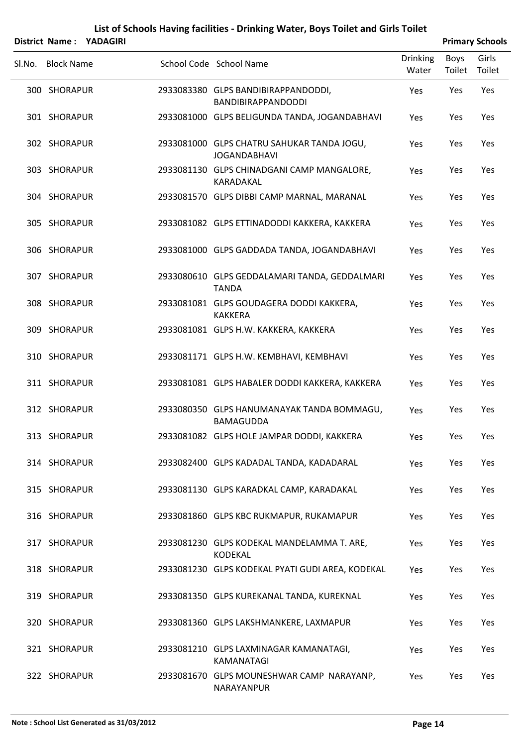|        |                   | District Name: YADAGIRI |                                                                   |                          |                | <b>Primary Schools</b> |
|--------|-------------------|-------------------------|-------------------------------------------------------------------|--------------------------|----------------|------------------------|
| Sl.No. | <b>Block Name</b> |                         | School Code School Name                                           | <b>Drinking</b><br>Water | Boys<br>Toilet | Girls<br>Toilet        |
|        | 300 SHORAPUR      |                         | 2933083380 GLPS BANDIBIRAPPANDODDI,<br>BANDIBIRAPPANDODDI         | Yes                      | Yes            | Yes                    |
|        | 301 SHORAPUR      |                         | 2933081000 GLPS BELIGUNDA TANDA, JOGANDABHAVI                     | Yes                      | Yes            | Yes                    |
|        | 302 SHORAPUR      |                         | 2933081000 GLPS CHATRU SAHUKAR TANDA JOGU,<br><b>JOGANDABHAVI</b> | Yes                      | Yes            | Yes                    |
|        | 303 SHORAPUR      |                         | 2933081130 GLPS CHINADGANI CAMP MANGALORE,<br>KARADAKAL           | Yes                      | Yes            | Yes                    |
|        | 304 SHORAPUR      |                         | 2933081570 GLPS DIBBI CAMP MARNAL, MARANAL                        | Yes                      | Yes            | Yes                    |
|        | 305 SHORAPUR      |                         | 2933081082 GLPS ETTINADODDI KAKKERA, KAKKERA                      | Yes                      | Yes            | Yes                    |
|        | 306 SHORAPUR      |                         | 2933081000 GLPS GADDADA TANDA, JOGANDABHAVI                       | Yes                      | Yes            | Yes                    |
|        | 307 SHORAPUR      |                         | 2933080610 GLPS GEDDALAMARI TANDA, GEDDALMARI<br><b>TANDA</b>     | Yes                      | Yes            | Yes                    |
|        | 308 SHORAPUR      |                         | 2933081081 GLPS GOUDAGERA DODDI KAKKERA,<br><b>KAKKERA</b>        | Yes                      | Yes            | Yes                    |
|        | 309 SHORAPUR      |                         | 2933081081 GLPS H.W. KAKKERA, KAKKERA                             | Yes                      | Yes            | Yes                    |
|        | 310 SHORAPUR      |                         | 2933081171 GLPS H.W. KEMBHAVI, KEMBHAVI                           | Yes                      | Yes            | Yes                    |
|        | 311 SHORAPUR      |                         | 2933081081 GLPS HABALER DODDI KAKKERA, KAKKERA                    | Yes                      | Yes            | Yes                    |
|        | 312 SHORAPUR      |                         | 2933080350 GLPS HANUMANAYAK TANDA BOMMAGU,<br><b>BAMAGUDDA</b>    | Yes                      | Yes            | Yes                    |
|        | 313 SHORAPUR      |                         | 2933081082 GLPS HOLE JAMPAR DODDI, KAKKERA                        | Yes                      | Yes            | Yes                    |
|        | 314 SHORAPUR      |                         | 2933082400 GLPS KADADAL TANDA, KADADARAL                          | Yes                      | Yes            | Yes                    |
|        | 315 SHORAPUR      |                         | 2933081130 GLPS KARADKAL CAMP, KARADAKAL                          | Yes                      | Yes            | Yes                    |
|        | 316 SHORAPUR      |                         | 2933081860 GLPS KBC RUKMAPUR, RUKAMAPUR                           | Yes                      | Yes            | Yes                    |
|        | 317 SHORAPUR      |                         | 2933081230 GLPS KODEKAL MANDELAMMA T. ARE,<br><b>KODEKAL</b>      | Yes                      | Yes            | Yes                    |
|        | 318 SHORAPUR      |                         | 2933081230 GLPS KODEKAL PYATI GUDI AREA, KODEKAL                  | Yes                      | Yes            | Yes                    |
|        | 319 SHORAPUR      |                         | 2933081350 GLPS KUREKANAL TANDA, KUREKNAL                         | Yes                      | Yes            | Yes                    |
|        | 320 SHORAPUR      |                         | 2933081360 GLPS LAKSHMANKERE, LAXMAPUR                            | Yes                      | Yes            | Yes                    |
|        | 321 SHORAPUR      |                         | 2933081210 GLPS LAXMINAGAR KAMANATAGI,<br>KAMANATAGI              | Yes                      | Yes            | Yes                    |
|        | 322 SHORAPUR      |                         | 2933081670 GLPS MOUNESHWAR CAMP NARAYANP,<br>NARAYANPUR           | Yes                      | Yes            | Yes                    |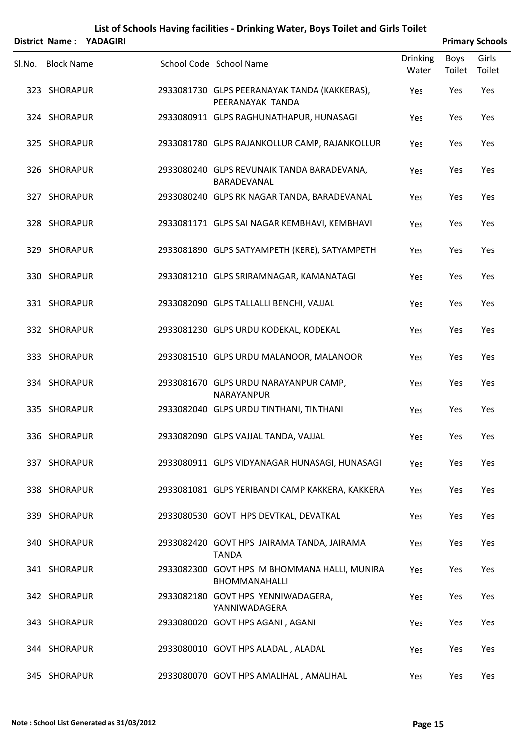|        |                   | District Name: YADAGIRI |                                                                      |                          |                | <b>Primary Schools</b> |
|--------|-------------------|-------------------------|----------------------------------------------------------------------|--------------------------|----------------|------------------------|
| Sl.No. | <b>Block Name</b> |                         | School Code School Name                                              | <b>Drinking</b><br>Water | Boys<br>Toilet | Girls<br>Toilet        |
|        | 323 SHORAPUR      |                         | 2933081730 GLPS PEERANAYAK TANDA (KAKKERAS),<br>PEERANAYAK TANDA     | Yes                      | Yes            | Yes                    |
|        | 324 SHORAPUR      |                         | 2933080911 GLPS RAGHUNATHAPUR, HUNASAGI                              | Yes                      | Yes            | Yes                    |
|        | 325 SHORAPUR      |                         | 2933081780 GLPS RAJANKOLLUR CAMP, RAJANKOLLUR                        | Yes                      | Yes            | Yes                    |
|        | 326 SHORAPUR      |                         | 2933080240 GLPS REVUNAIK TANDA BARADEVANA,<br>BARADEVANAL            | Yes                      | Yes            | Yes                    |
|        | 327 SHORAPUR      |                         | 2933080240 GLPS RK NAGAR TANDA, BARADEVANAL                          | Yes                      | Yes            | Yes                    |
|        | 328 SHORAPUR      |                         | 2933081171 GLPS SAI NAGAR KEMBHAVI, KEMBHAVI                         | Yes                      | Yes            | Yes                    |
|        | 329 SHORAPUR      |                         | 2933081890 GLPS SATYAMPETH (KERE), SATYAMPETH                        | Yes                      | Yes            | Yes                    |
|        | 330 SHORAPUR      |                         | 2933081210 GLPS SRIRAMNAGAR, KAMANATAGI                              | Yes                      | Yes            | Yes                    |
|        | 331 SHORAPUR      |                         | 2933082090 GLPS TALLALLI BENCHI, VAJJAL                              | Yes                      | Yes            | Yes                    |
|        | 332 SHORAPUR      |                         | 2933081230 GLPS URDU KODEKAL, KODEKAL                                | Yes                      | Yes            | Yes                    |
|        | 333 SHORAPUR      |                         | 2933081510 GLPS URDU MALANOOR, MALANOOR                              | Yes                      | Yes            | Yes                    |
|        | 334 SHORAPUR      |                         | 2933081670 GLPS URDU NARAYANPUR CAMP,<br>NARAYANPUR                  | Yes                      | Yes            | Yes                    |
|        | 335 SHORAPUR      |                         | 2933082040 GLPS URDU TINTHANI, TINTHANI                              | Yes                      | Yes            | Yes                    |
|        | 336 SHORAPUR      |                         | 2933082090 GLPS VAJJAL TANDA, VAJJAL                                 | Yes                      | Yes            | Yes                    |
|        | 337 SHORAPUR      |                         | 2933080911 GLPS VIDYANAGAR HUNASAGI, HUNASAGI                        | Yes                      | Yes            | Yes                    |
|        | 338 SHORAPUR      |                         | 2933081081 GLPS YERIBANDI CAMP KAKKERA, KAKKERA                      | Yes                      | Yes            | Yes                    |
|        | 339 SHORAPUR      |                         | 2933080530 GOVT HPS DEVTKAL, DEVATKAL                                | Yes                      | Yes            | Yes                    |
|        | 340 SHORAPUR      |                         | 2933082420 GOVT HPS JAIRAMA TANDA, JAIRAMA<br><b>TANDA</b>           | Yes                      | Yes            | Yes                    |
|        | 341 SHORAPUR      |                         | 2933082300 GOVT HPS M BHOMMANA HALLI, MUNIRA<br><b>BHOMMANAHALLI</b> | Yes                      | Yes            | Yes                    |
|        | 342 SHORAPUR      |                         | 2933082180 GOVT HPS YENNIWADAGERA,<br>YANNIWADAGERA                  | Yes                      | Yes            | Yes                    |
|        | 343 SHORAPUR      |                         | 2933080020 GOVT HPS AGANI, AGANI                                     | Yes                      | Yes            | Yes                    |
|        | 344 SHORAPUR      |                         | 2933080010 GOVT HPS ALADAL, ALADAL                                   | Yes                      | Yes            | Yes                    |
|        | 345 SHORAPUR      |                         | 2933080070 GOVT HPS AMALIHAL, AMALIHAL                               | Yes                      | Yes            | Yes                    |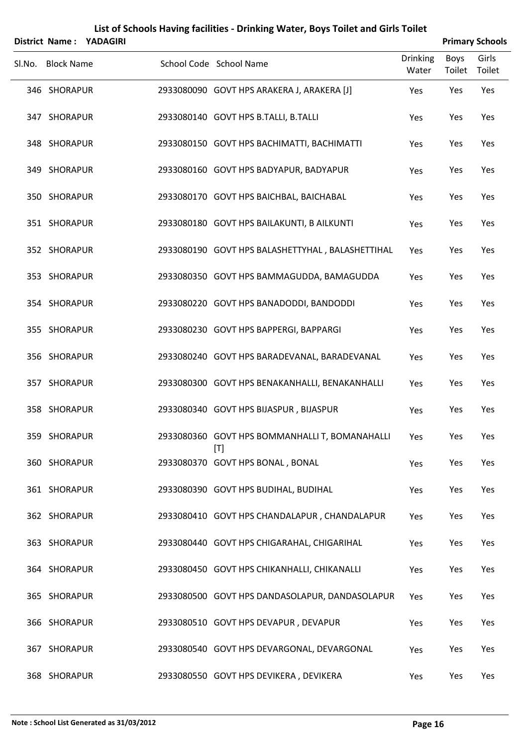|        |                   | District Name: YADAGIRI |                                                       |                   |                | <b>Primary Schools</b> |
|--------|-------------------|-------------------------|-------------------------------------------------------|-------------------|----------------|------------------------|
| SI.No. | <b>Block Name</b> |                         | School Code School Name                               | Drinking<br>Water | Boys<br>Toilet | Girls<br>Toilet        |
|        | 346 SHORAPUR      |                         | 2933080090 GOVT HPS ARAKERA J, ARAKERA [J]            | Yes               | Yes            | Yes                    |
|        | 347 SHORAPUR      |                         | 2933080140 GOVT HPS B.TALLI, B.TALLI                  | Yes               | Yes            | Yes                    |
|        | 348 SHORAPUR      |                         | 2933080150 GOVT HPS BACHIMATTI, BACHIMATTI            | Yes               | Yes            | Yes                    |
|        | 349 SHORAPUR      |                         | 2933080160 GOVT HPS BADYAPUR, BADYAPUR                | Yes               | Yes            | Yes                    |
|        | 350 SHORAPUR      |                         | 2933080170 GOVT HPS BAICHBAL, BAICHABAL               | Yes               | Yes            | Yes                    |
|        | 351 SHORAPUR      |                         | 2933080180 GOVT HPS BAILAKUNTI, B AILKUNTI            | Yes               | Yes            | Yes                    |
|        | 352 SHORAPUR      |                         | 2933080190 GOVT HPS BALASHETTYHAL, BALASHETTIHAL      | Yes               | Yes            | Yes                    |
|        | 353 SHORAPUR      |                         | 2933080350 GOVT HPS BAMMAGUDDA, BAMAGUDDA             | Yes               | Yes            | Yes                    |
|        | 354 SHORAPUR      |                         | 2933080220 GOVT HPS BANADODDI, BANDODDI               | Yes               | Yes            | Yes                    |
|        | 355 SHORAPUR      |                         | 2933080230 GOVT HPS BAPPERGI, BAPPARGI                | Yes               | Yes            | Yes                    |
|        | 356 SHORAPUR      |                         | 2933080240 GOVT HPS BARADEVANAL, BARADEVANAL          | Yes               | Yes            | Yes                    |
|        | 357 SHORAPUR      |                         | 2933080300 GOVT HPS BENAKANHALLI, BENAKANHALLI        | Yes               | Yes            | Yes                    |
|        | 358 SHORAPUR      |                         | 2933080340 GOVT HPS BIJASPUR, BIJASPUR                | Yes               | Yes            | Yes                    |
|        | 359 SHORAPUR      |                         | 2933080360 GOVT HPS BOMMANHALLI T, BOMANAHALLI<br>[T] | Yes               | Yes            | Yes                    |
|        | 360 SHORAPUR      |                         | 2933080370 GOVT HPS BONAL, BONAL                      | Yes               | Yes            | Yes                    |
|        | 361 SHORAPUR      |                         | 2933080390 GOVT HPS BUDIHAL, BUDIHAL                  | Yes               | Yes            | Yes                    |
|        | 362 SHORAPUR      |                         | 2933080410 GOVT HPS CHANDALAPUR, CHANDALAPUR          | Yes               | Yes            | Yes                    |
|        | 363 SHORAPUR      |                         | 2933080440 GOVT HPS CHIGARAHAL, CHIGARIHAL            | Yes               | Yes            | Yes                    |
|        | 364 SHORAPUR      |                         | 2933080450 GOVT HPS CHIKANHALLI, CHIKANALLI           | Yes               | Yes            | Yes                    |
|        | 365 SHORAPUR      |                         | 2933080500 GOVT HPS DANDASOLAPUR, DANDASOLAPUR        | Yes               | Yes            | Yes                    |
|        | 366 SHORAPUR      |                         | 2933080510 GOVT HPS DEVAPUR, DEVAPUR                  | Yes               | Yes            | Yes                    |
|        | 367 SHORAPUR      |                         | 2933080540 GOVT HPS DEVARGONAL, DEVARGONAL            | Yes               | Yes            | Yes                    |
|        | 368 SHORAPUR      |                         | 2933080550 GOVT HPS DEVIKERA, DEVIKERA                | Yes               | Yes            | Yes                    |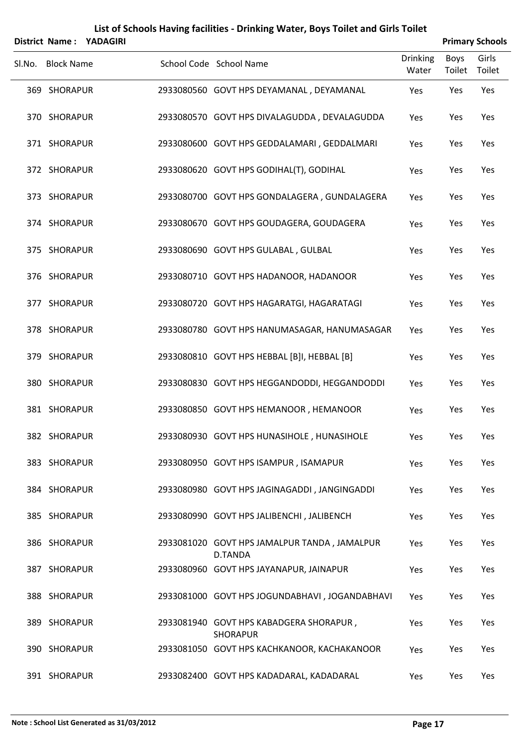|        |                   | District Name: YADAGIRI |                                                                |                          |                       | <b>Primary Schools</b> |
|--------|-------------------|-------------------------|----------------------------------------------------------------|--------------------------|-----------------------|------------------------|
| SI.No. | <b>Block Name</b> |                         | School Code School Name                                        | <b>Drinking</b><br>Water | <b>Boys</b><br>Toilet | Girls<br>Toilet        |
|        | 369 SHORAPUR      |                         | 2933080560 GOVT HPS DEYAMANAL, DEYAMANAL                       | Yes                      | Yes                   | Yes                    |
|        | 370 SHORAPUR      |                         | 2933080570 GOVT HPS DIVALAGUDDA, DEVALAGUDDA                   | Yes                      | Yes                   | Yes                    |
|        | 371 SHORAPUR      |                         | 2933080600 GOVT HPS GEDDALAMARI, GEDDALMARI                    | Yes                      | Yes                   | Yes                    |
|        | 372 SHORAPUR      |                         | 2933080620 GOVT HPS GODIHAL(T), GODIHAL                        | Yes                      | Yes                   | Yes                    |
|        | 373 SHORAPUR      |                         | 2933080700 GOVT HPS GONDALAGERA, GUNDALAGERA                   | Yes                      | Yes                   | Yes                    |
|        | 374 SHORAPUR      |                         | 2933080670 GOVT HPS GOUDAGERA, GOUDAGERA                       | Yes                      | Yes                   | Yes                    |
|        | 375 SHORAPUR      |                         | 2933080690 GOVT HPS GULABAL, GULBAL                            | Yes                      | Yes                   | Yes                    |
|        | 376 SHORAPUR      |                         | 2933080710 GOVT HPS HADANOOR, HADANOOR                         | Yes                      | Yes                   | Yes                    |
|        | 377 SHORAPUR      |                         | 2933080720 GOVT HPS HAGARATGI, HAGARATAGI                      | Yes                      | Yes                   | Yes                    |
|        | 378 SHORAPUR      |                         | 2933080780 GOVT HPS HANUMASAGAR, HANUMASAGAR                   | Yes                      | Yes                   | Yes                    |
|        | 379 SHORAPUR      |                         | 2933080810 GOVT HPS HEBBAL [B]I, HEBBAL [B]                    | Yes                      | Yes                   | Yes                    |
|        | 380 SHORAPUR      |                         | 2933080830 GOVT HPS HEGGANDODDI, HEGGANDODDI                   | Yes                      | Yes                   | Yes                    |
|        | 381 SHORAPUR      |                         | 2933080850 GOVT HPS HEMANOOR, HEMANOOR                         | Yes                      | Yes                   | Yes                    |
|        | 382 SHORAPUR      |                         | 2933080930 GOVT HPS HUNASIHOLE, HUNASIHOLE                     | Yes                      | Yes                   | Yes                    |
|        | 383 SHORAPUR      |                         | 2933080950 GOVT HPS ISAMPUR, ISAMAPUR                          | Yes                      | Yes                   | Yes                    |
|        | 384 SHORAPUR      |                         | 2933080980 GOVT HPS JAGINAGADDI, JANGINGADDI                   | Yes                      | Yes                   | Yes                    |
|        | 385 SHORAPUR      |                         | 2933080990 GOVT HPS JALIBENCHI, JALIBENCH                      | Yes                      | Yes                   | Yes                    |
|        | 386 SHORAPUR      |                         | 2933081020 GOVT HPS JAMALPUR TANDA, JAMALPUR                   | Yes                      | Yes                   | Yes                    |
|        | 387 SHORAPUR      |                         | D.TANDA<br>2933080960 GOVT HPS JAYANAPUR, JAINAPUR             | Yes                      | Yes                   | Yes                    |
|        | 388 SHORAPUR      |                         | 2933081000 GOVT HPS JOGUNDABHAVI, JOGANDABHAVI                 | Yes                      | Yes                   | Yes                    |
|        | 389 SHORAPUR      |                         | 2933081940 GOVT HPS KABADGERA SHORAPUR,                        | Yes                      | Yes                   | Yes                    |
|        | 390 SHORAPUR      |                         | <b>SHORAPUR</b><br>2933081050 GOVT HPS KACHKANOOR, KACHAKANOOR | Yes                      | Yes                   | Yes                    |
|        | 391 SHORAPUR      |                         | 2933082400 GOVT HPS KADADARAL, KADADARAL                       | Yes                      | Yes                   | Yes                    |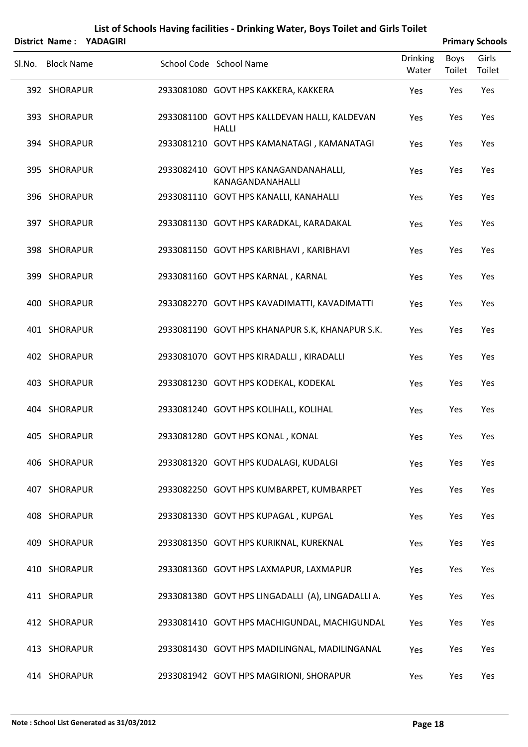|        |                   | District Name: YADAGIRI |                                                               |                          |                       | <b>Primary Schools</b> |
|--------|-------------------|-------------------------|---------------------------------------------------------------|--------------------------|-----------------------|------------------------|
| SI.No. | <b>Block Name</b> |                         | School Code School Name                                       | <b>Drinking</b><br>Water | <b>Boys</b><br>Toilet | Girls<br>Toilet        |
|        | 392 SHORAPUR      |                         | 2933081080 GOVT HPS KAKKERA, KAKKERA                          | Yes                      | Yes                   | Yes                    |
|        | 393 SHORAPUR      |                         | 2933081100 GOVT HPS KALLDEVAN HALLI, KALDEVAN<br><b>HALLI</b> | Yes                      | Yes                   | Yes                    |
|        | 394 SHORAPUR      |                         | 2933081210 GOVT HPS KAMANATAGI, KAMANATAGI                    | Yes                      | Yes                   | Yes                    |
|        | 395 SHORAPUR      |                         | 2933082410 GOVT HPS KANAGANDANAHALLI,<br>KANAGANDANAHALLI     | Yes                      | Yes                   | Yes                    |
|        | 396 SHORAPUR      |                         | 2933081110 GOVT HPS KANALLI, KANAHALLI                        | Yes                      | Yes                   | Yes                    |
|        | 397 SHORAPUR      |                         | 2933081130 GOVT HPS KARADKAL, KARADAKAL                       | Yes                      | Yes                   | Yes                    |
|        | 398 SHORAPUR      |                         | 2933081150 GOVT HPS KARIBHAVI, KARIBHAVI                      | Yes                      | Yes                   | Yes                    |
|        | 399 SHORAPUR      |                         | 2933081160 GOVT HPS KARNAL, KARNAL                            | Yes                      | Yes                   | Yes                    |
|        | 400 SHORAPUR      |                         | 2933082270 GOVT HPS KAVADIMATTI, KAVADIMATTI                  | Yes                      | Yes                   | Yes                    |
|        | 401 SHORAPUR      |                         | 2933081190 GOVT HPS KHANAPUR S.K, KHANAPUR S.K.               | Yes                      | Yes                   | Yes                    |
|        | 402 SHORAPUR      |                         | 2933081070 GOVT HPS KIRADALLI, KIRADALLI                      | Yes                      | Yes                   | Yes                    |
|        | 403 SHORAPUR      |                         | 2933081230 GOVT HPS KODEKAL, KODEKAL                          | Yes                      | Yes                   | Yes                    |
|        | 404 SHORAPUR      |                         | 2933081240 GOVT HPS KOLIHALL, KOLIHAL                         | Yes                      | Yes                   | Yes                    |
|        | 405 SHORAPUR      |                         | 2933081280 GOVT HPS KONAL, KONAL                              | Yes                      | Yes                   | Yes                    |
|        | 406 SHORAPUR      |                         | 2933081320 GOVT HPS KUDALAGI, KUDALGI                         | Yes                      | Yes                   | Yes                    |
|        | 407 SHORAPUR      |                         | 2933082250 GOVT HPS KUMBARPET, KUMBARPET                      | Yes                      | Yes                   | Yes                    |
|        | 408 SHORAPUR      |                         | 2933081330 GOVT HPS KUPAGAL, KUPGAL                           | Yes                      | Yes                   | Yes                    |
|        | 409 SHORAPUR      |                         | 2933081350 GOVT HPS KURIKNAL, KUREKNAL                        | Yes                      | Yes                   | Yes                    |
|        | 410 SHORAPUR      |                         | 2933081360 GOVT HPS LAXMAPUR, LAXMAPUR                        | Yes                      | Yes                   | Yes                    |
|        | 411 SHORAPUR      |                         | 2933081380 GOVT HPS LINGADALLI (A), LINGADALLI A.             | Yes                      | Yes                   | Yes                    |
|        | 412 SHORAPUR      |                         | 2933081410 GOVT HPS MACHIGUNDAL, MACHIGUNDAL                  | Yes                      | Yes                   | Yes                    |
|        | 413 SHORAPUR      |                         | 2933081430 GOVT HPS MADILINGNAL, MADILINGANAL                 | Yes                      | Yes                   | Yes                    |
|        | 414 SHORAPUR      |                         | 2933081942 GOVT HPS MAGIRIONI, SHORAPUR                       | Yes                      | Yes                   | Yes                    |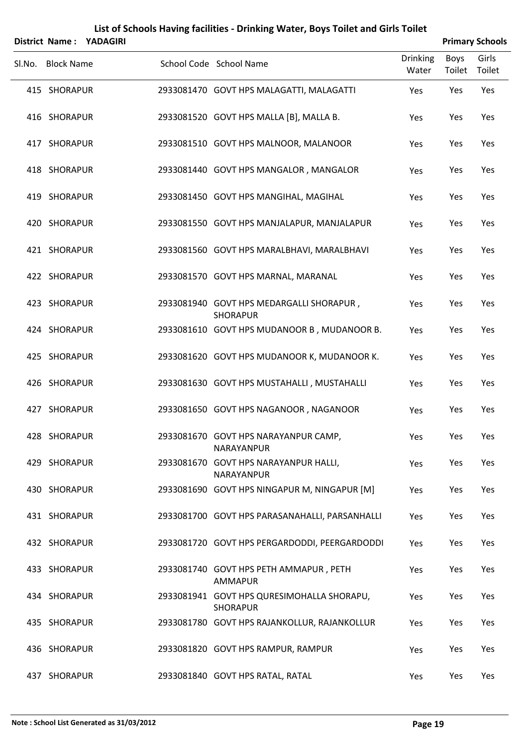|        |                   | District Name: YADAGIRI |                                                               |                          |                | <b>Primary Schools</b> |
|--------|-------------------|-------------------------|---------------------------------------------------------------|--------------------------|----------------|------------------------|
| SI.No. | <b>Block Name</b> |                         | School Code School Name                                       | <b>Drinking</b><br>Water | Boys<br>Toilet | Girls<br>Toilet        |
|        | 415 SHORAPUR      |                         | 2933081470 GOVT HPS MALAGATTI, MALAGATTI                      | Yes                      | Yes            | Yes                    |
|        | 416 SHORAPUR      |                         | 2933081520 GOVT HPS MALLA [B], MALLA B.                       | Yes                      | Yes            | Yes                    |
|        | 417 SHORAPUR      |                         | 2933081510 GOVT HPS MALNOOR, MALANOOR                         | Yes                      | Yes            | Yes                    |
|        | 418 SHORAPUR      |                         | 2933081440 GOVT HPS MANGALOR, MANGALOR                        | Yes                      | Yes            | Yes                    |
|        | 419 SHORAPUR      |                         | 2933081450 GOVT HPS MANGIHAL, MAGIHAL                         | Yes                      | Yes            | Yes                    |
|        | 420 SHORAPUR      |                         | 2933081550 GOVT HPS MANJALAPUR, MANJALAPUR                    | Yes                      | Yes            | Yes                    |
|        | 421 SHORAPUR      |                         | 2933081560 GOVT HPS MARALBHAVI, MARALBHAVI                    | Yes                      | Yes            | Yes                    |
|        | 422 SHORAPUR      |                         | 2933081570 GOVT HPS MARNAL, MARANAL                           | Yes                      | Yes            | Yes                    |
|        | 423 SHORAPUR      |                         | 2933081940 GOVT HPS MEDARGALLI SHORAPUR,<br><b>SHORAPUR</b>   | Yes                      | Yes            | Yes                    |
|        | 424 SHORAPUR      |                         | 2933081610 GOVT HPS MUDANOOR B, MUDANOOR B.                   | Yes                      | Yes            | Yes                    |
|        | 425 SHORAPUR      |                         | 2933081620 GOVT HPS MUDANOOR K, MUDANOOR K.                   | Yes                      | Yes            | Yes                    |
|        | 426 SHORAPUR      |                         | 2933081630 GOVT HPS MUSTAHALLI, MUSTAHALLI                    | Yes                      | Yes            | Yes                    |
|        | 427 SHORAPUR      |                         | 2933081650 GOVT HPS NAGANOOR, NAGANOOR                        | Yes                      | Yes            | Yes                    |
|        | 428 SHORAPUR      |                         | 2933081670 GOVT HPS NARAYANPUR CAMP,<br>NARAYANPUR            | Yes                      | Yes            | Yes                    |
|        | 429 SHORAPUR      |                         | 2933081670 GOVT HPS NARAYANPUR HALLI,<br>NARAYANPUR           | Yes                      | Yes            | Yes                    |
|        | 430 SHORAPUR      |                         | 2933081690 GOVT HPS NINGAPUR M, NINGAPUR [M]                  | Yes                      | Yes            | Yes                    |
|        | 431 SHORAPUR      |                         | 2933081700 GOVT HPS PARASANAHALLI, PARSANHALLI                | Yes                      | Yes            | Yes                    |
|        | 432 SHORAPUR      |                         | 2933081720 GOVT HPS PERGARDODDI, PEERGARDODDI                 | Yes                      | Yes            | Yes                    |
|        | 433 SHORAPUR      |                         | 2933081740 GOVT HPS PETH AMMAPUR, PETH<br><b>AMMAPUR</b>      | Yes                      | Yes            | Yes                    |
|        | 434 SHORAPUR      |                         | 2933081941 GOVT HPS QURESIMOHALLA SHORAPU,<br><b>SHORAPUR</b> | Yes                      | Yes            | Yes                    |
|        | 435 SHORAPUR      |                         | 2933081780 GOVT HPS RAJANKOLLUR, RAJANKOLLUR                  | Yes                      | Yes            | Yes                    |
|        | 436 SHORAPUR      |                         | 2933081820 GOVT HPS RAMPUR, RAMPUR                            | Yes                      | Yes            | Yes                    |
|        | 437 SHORAPUR      |                         | 2933081840 GOVT HPS RATAL, RATAL                              | Yes                      | Yes            | Yes                    |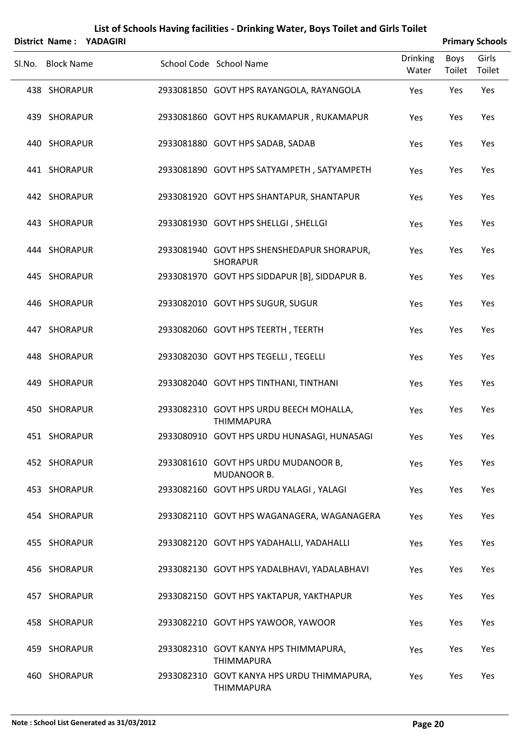|        |                   | District Name: YADAGIRI |                                                                 |                          |                | <b>Primary Schools</b> |
|--------|-------------------|-------------------------|-----------------------------------------------------------------|--------------------------|----------------|------------------------|
| Sl.No. | <b>Block Name</b> |                         | School Code School Name                                         | <b>Drinking</b><br>Water | Boys<br>Toilet | Girls<br>Toilet        |
|        | 438 SHORAPUR      |                         | 2933081850 GOVT HPS RAYANGOLA, RAYANGOLA                        | Yes                      | Yes            | Yes                    |
|        | 439 SHORAPUR      |                         | 2933081860 GOVT HPS RUKAMAPUR, RUKAMAPUR                        | Yes                      | Yes            | Yes                    |
|        | 440 SHORAPUR      |                         | 2933081880 GOVT HPS SADAB, SADAB                                | Yes                      | Yes            | Yes                    |
|        | 441 SHORAPUR      |                         | 2933081890 GOVT HPS SATYAMPETH, SATYAMPETH                      | Yes                      | Yes            | Yes                    |
|        | 442 SHORAPUR      |                         | 2933081920 GOVT HPS SHANTAPUR, SHANTAPUR                        | Yes                      | Yes            | Yes                    |
|        | 443 SHORAPUR      |                         | 2933081930 GOVT HPS SHELLGI, SHELLGI                            | Yes                      | Yes            | Yes                    |
|        | 444 SHORAPUR      |                         | 2933081940 GOVT HPS SHENSHEDAPUR SHORAPUR,<br><b>SHORAPUR</b>   | Yes                      | Yes            | Yes                    |
|        | 445 SHORAPUR      |                         | 2933081970 GOVT HPS SIDDAPUR [B], SIDDAPUR B.                   | Yes                      | Yes            | Yes                    |
|        | 446 SHORAPUR      |                         | 2933082010 GOVT HPS SUGUR, SUGUR                                | Yes                      | Yes            | Yes                    |
|        | 447 SHORAPUR      |                         | 2933082060 GOVT HPS TEERTH, TEERTH                              | Yes                      | Yes            | Yes                    |
|        | 448 SHORAPUR      |                         | 2933082030 GOVT HPS TEGELLI, TEGELLI                            | Yes                      | Yes            | Yes                    |
|        | 449 SHORAPUR      |                         | 2933082040 GOVT HPS TINTHANI, TINTHANI                          | Yes                      | Yes            | Yes                    |
|        | 450 SHORAPUR      |                         | 2933082310 GOVT HPS URDU BEECH MOHALLA,<br><b>THIMMAPURA</b>    | Yes                      | Yes            | Yes                    |
|        | 451 SHORAPUR      |                         | 2933080910 GOVT HPS URDU HUNASAGI, HUNASAGI                     | Yes                      | Yes            | Yes                    |
|        | 452 SHORAPUR      |                         | 2933081610 GOVT HPS URDU MUDANOOR B,<br>MUDANOOR B.             | Yes                      | Yes            | Yes                    |
|        | 453 SHORAPUR      |                         | 2933082160 GOVT HPS URDU YALAGI, YALAGI                         | Yes                      | Yes            | Yes                    |
|        | 454 SHORAPUR      |                         | 2933082110 GOVT HPS WAGANAGERA, WAGANAGERA                      | Yes                      | Yes            | Yes                    |
|        | 455 SHORAPUR      |                         | 2933082120 GOVT HPS YADAHALLI, YADAHALLI                        | Yes                      | Yes            | Yes                    |
|        | 456 SHORAPUR      |                         | 2933082130 GOVT HPS YADALBHAVI, YADALABHAVI                     | Yes                      | Yes            | Yes                    |
|        | 457 SHORAPUR      |                         | 2933082150 GOVT HPS YAKTAPUR, YAKTHAPUR                         | Yes                      | Yes            | Yes                    |
|        | 458 SHORAPUR      |                         | 2933082210 GOVT HPS YAWOOR, YAWOOR                              | Yes                      | Yes            | Yes                    |
|        | 459 SHORAPUR      |                         | 2933082310 GOVT KANYA HPS THIMMAPURA,<br><b>THIMMAPURA</b>      | Yes                      | Yes            | Yes                    |
|        | 460 SHORAPUR      |                         | 2933082310 GOVT KANYA HPS URDU THIMMAPURA,<br><b>THIMMAPURA</b> | Yes                      | Yes            | Yes                    |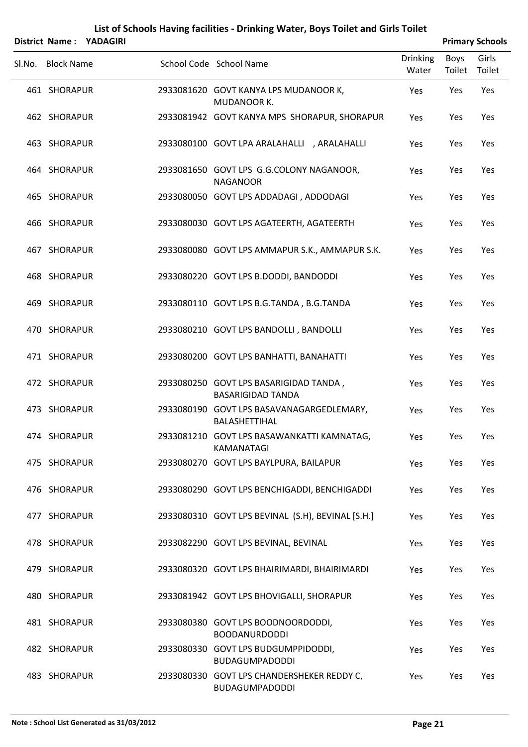|        |                   | District Name: YADAGIRI |                                                                    |                          |                | <b>Primary Schools</b> |
|--------|-------------------|-------------------------|--------------------------------------------------------------------|--------------------------|----------------|------------------------|
| Sl.No. | <b>Block Name</b> |                         | School Code School Name                                            | <b>Drinking</b><br>Water | Boys<br>Toilet | Girls<br>Toilet        |
|        | 461 SHORAPUR      |                         | 2933081620 GOVT KANYA LPS MUDANOOR K,<br>MUDANOOR K.               | Yes                      | Yes            | Yes                    |
|        | 462 SHORAPUR      |                         | 2933081942 GOVT KANYA MPS SHORAPUR, SHORAPUR                       | Yes                      | Yes            | Yes                    |
|        | 463 SHORAPUR      |                         | 2933080100 GOVT LPA ARALAHALLI , ARALAHALLI                        | Yes                      | Yes            | Yes                    |
|        | 464 SHORAPUR      |                         | 2933081650 GOVT LPS G.G.COLONY NAGANOOR,<br><b>NAGANOOR</b>        | Yes                      | Yes            | Yes                    |
|        | 465 SHORAPUR      |                         | 2933080050 GOVT LPS ADDADAGI, ADDODAGI                             | Yes                      | Yes            | Yes                    |
|        | 466 SHORAPUR      |                         | 2933080030 GOVT LPS AGATEERTH, AGATEERTH                           | Yes                      | Yes            | Yes                    |
|        | 467 SHORAPUR      |                         | 2933080080 GOVT LPS AMMAPUR S.K., AMMAPUR S.K.                     | Yes                      | Yes            | Yes                    |
|        | 468 SHORAPUR      |                         | 2933080220 GOVT LPS B.DODDI, BANDODDI                              | Yes                      | Yes            | Yes                    |
|        | 469 SHORAPUR      |                         | 2933080110 GOVT LPS B.G.TANDA, B.G.TANDA                           | Yes                      | Yes            | Yes                    |
|        | 470 SHORAPUR      |                         | 2933080210 GOVT LPS BANDOLLI, BANDOLLI                             | Yes                      | Yes            | Yes                    |
|        | 471 SHORAPUR      |                         | 2933080200 GOVT LPS BANHATTI, BANAHATTI                            | Yes                      | Yes            | Yes                    |
|        | 472 SHORAPUR      |                         | 2933080250 GOVT LPS BASARIGIDAD TANDA,<br><b>BASARIGIDAD TANDA</b> | Yes                      | Yes            | Yes                    |
|        | 473 SHORAPUR      |                         | 2933080190 GOVT LPS BASAVANAGARGEDLEMARY,<br><b>BALASHETTIHAL</b>  | Yes                      | Yes            | Yes                    |
|        | 474 SHORAPUR      |                         | 2933081210 GOVT LPS BASAWANKATTI KAMNATAG,<br>KAMANATAGI           | Yes                      | Yes            | Yes                    |
|        | 475 SHORAPUR      |                         | 2933080270 GOVT LPS BAYLPURA, BAILAPUR                             | Yes                      | Yes            | Yes                    |
|        | 476 SHORAPUR      |                         | 2933080290 GOVT LPS BENCHIGADDI, BENCHIGADDI                       | Yes                      | Yes            | Yes                    |
|        | 477 SHORAPUR      |                         | 2933080310 GOVT LPS BEVINAL (S.H), BEVINAL [S.H.]                  | Yes                      | Yes            | Yes                    |
|        | 478 SHORAPUR      |                         | 2933082290 GOVT LPS BEVINAL, BEVINAL                               | Yes                      | Yes            | Yes                    |
|        | 479 SHORAPUR      |                         | 2933080320 GOVT LPS BHAIRIMARDI, BHAIRIMARDI                       | Yes                      | Yes            | Yes                    |
|        | 480 SHORAPUR      |                         | 2933081942 GOVT LPS BHOVIGALLI, SHORAPUR                           | Yes                      | Yes            | Yes                    |
|        | 481 SHORAPUR      |                         | 2933080380 GOVT LPS BOODNOORDODDI,<br><b>BOODANURDODDI</b>         | Yes                      | Yes            | Yes                    |
|        | 482 SHORAPUR      |                         | 2933080330 GOVT LPS BUDGUMPPIDODDI,<br><b>BUDAGUMPADODDI</b>       | Yes                      | Yes            | Yes                    |
|        | 483 SHORAPUR      |                         | 2933080330 GOVT LPS CHANDERSHEKER REDDY C,<br>BUDAGUMPADODDI       | Yes                      | Yes            | Yes                    |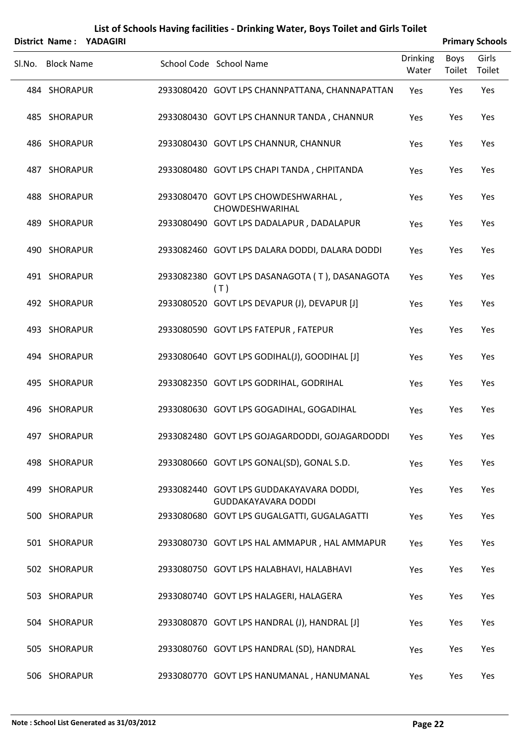|        | <b>District Name:</b> | <b>YADAGIRI</b> | List of Schools Having facilities - Drinking Water, Boys Toilet and Girls Toilet |                          |                       | <b>Primary Schools</b> |
|--------|-----------------------|-----------------|----------------------------------------------------------------------------------|--------------------------|-----------------------|------------------------|
| SI.No. | <b>Block Name</b>     |                 | School Code School Name                                                          | <b>Drinking</b><br>Water | <b>Boys</b><br>Toilet | Girls<br>Toilet        |
|        | 484 SHORAPUR          |                 | 2933080420 GOVT LPS CHANNPATTANA, CHANNAPATTAN                                   | Yes                      | Yes                   | Yes                    |
|        | 485 SHORAPUR          |                 | 2933080430 GOVT LPS CHANNUR TANDA, CHANNUR                                       | Yes                      | Yes                   | Yes                    |
|        | 486 SHORAPUR          |                 | 2933080430 GOVT LPS CHANNUR, CHANNUR                                             | Yes                      | Yes                   | Yes                    |
|        | 487 SHORAPUR          |                 | 2933080480 GOVT LPS CHAPI TANDA, CHPITANDA                                       | Yes                      | Yes                   | Yes                    |
|        | 488 SHORAPUR          |                 | 2933080470 GOVT LPS CHOWDESHWARHAL,<br>CHOWDESHWARIHAL                           | Yes                      | Yes                   | Yes                    |
|        | 489 SHORAPUR          |                 | 2933080490 GOVT LPS DADALAPUR, DADALAPUR                                         | Yes                      | Yes                   | Yes                    |
|        | 490 SHORAPUR          |                 | 2933082460 GOVT LPS DALARA DODDI, DALARA DODDI                                   | Yes                      | Yes                   | Yes                    |
|        | 491 SHORAPUR          |                 | 2933082380 GOVT LPS DASANAGOTA (T), DASANAGOTA<br>(T)                            | Yes                      | Yes                   | Yes                    |
|        | 492 SHORAPUR          |                 | 2933080520 GOVT LPS DEVAPUR (J), DEVAPUR [J]                                     | Yes                      | Yes                   | Yes                    |
|        | 493 SHORAPUR          |                 | 2933080590 GOVT LPS FATEPUR, FATEPUR                                             | Yes                      | Yes                   | Yes                    |
|        | 494 SHORAPUR          |                 | 2933080640 GOVT LPS GODIHAL(J), GOODIHAL [J]                                     | Yes                      | Yes                   | Yes                    |
|        | 495 SHORAPUR          |                 | 2933082350 GOVT LPS GODRIHAL, GODRIHAL                                           | Yes                      | Yes                   | Yes                    |
|        | 496 SHORAPUR          |                 | 2933080630 GOVT LPS GOGADIHAL, GOGADIHAL                                         | Yes                      | Yes                   | Yes                    |
|        | 497 SHORAPUR          |                 | 2933082480 GOVT LPS GOJAGARDODDI, GOJAGARDODDI                                   | Yes                      | Yes                   | Yes                    |
|        | 498 SHORAPUR          |                 | 2933080660 GOVT LPS GONAL(SD), GONAL S.D.                                        | Yes                      | Yes                   | Yes                    |
|        | 499 SHORAPUR          |                 | 2933082440 GOVT LPS GUDDAKAYAVARA DODDI,<br><b>GUDDAKAYAVARA DODDI</b>           | Yes                      | Yes                   | Yes                    |
|        | 500 SHORAPUR          |                 | 2933080680 GOVT LPS GUGALGATTI, GUGALAGATTI                                      | Yes                      | Yes                   | Yes                    |
|        | 501 SHORAPUR          |                 | 2933080730 GOVT LPS HAL AMMAPUR, HAL AMMAPUR                                     | Yes                      | Yes                   | Yes                    |
|        | 502 SHORAPUR          |                 | 2933080750 GOVT LPS HALABHAVI, HALABHAVI                                         | Yes                      | Yes                   | Yes                    |
|        | 503 SHORAPUR          |                 | 2933080740 GOVT LPS HALAGERI, HALAGERA                                           | Yes                      | Yes                   | Yes                    |
|        | 504 SHORAPUR          |                 | 2933080870 GOVT LPS HANDRAL (J), HANDRAL [J]                                     | Yes                      | Yes                   | Yes                    |
|        | 505 SHORAPUR          |                 | 2933080760 GOVT LPS HANDRAL (SD), HANDRAL                                        | Yes                      | Yes                   | Yes                    |
|        | 506 SHORAPUR          |                 | 2933080770 GOVT LPS HANUMANAL, HANUMANAL                                         | Yes                      | Yes                   | Yes                    |

#### **Note : School List Generated as 31/03/2012 Page 22**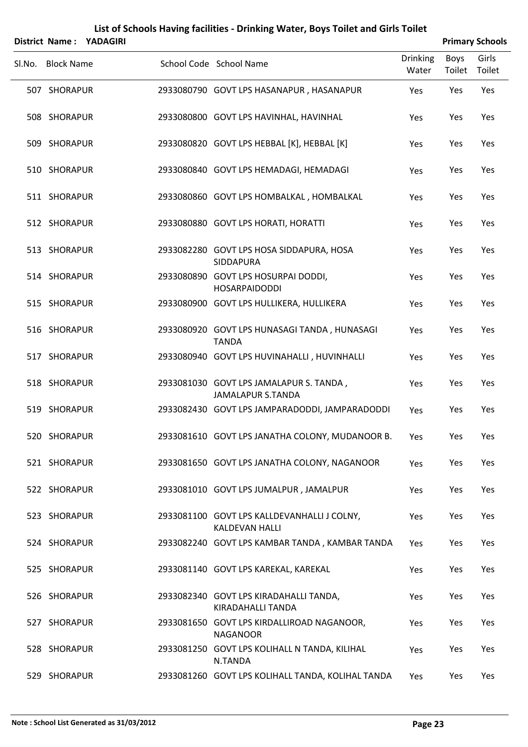|        |                   | District Name: YADAGIRI |                                                                      |                   |                | <b>Primary Schools</b> |
|--------|-------------------|-------------------------|----------------------------------------------------------------------|-------------------|----------------|------------------------|
| Sl.No. | <b>Block Name</b> |                         | School Code School Name                                              | Drinking<br>Water | Boys<br>Toilet | Girls<br>Toilet        |
|        | 507 SHORAPUR      |                         | 2933080790 GOVT LPS HASANAPUR, HASANAPUR                             | Yes               | Yes            | Yes                    |
|        | 508 SHORAPUR      |                         | 2933080800 GOVT LPS HAVINHAL, HAVINHAL                               | Yes               | Yes            | Yes                    |
|        | 509 SHORAPUR      |                         | 2933080820 GOVT LPS HEBBAL [K], HEBBAL [K]                           | Yes               | Yes            | Yes                    |
|        | 510 SHORAPUR      |                         | 2933080840 GOVT LPS HEMADAGI, HEMADAGI                               | Yes               | Yes            | Yes                    |
|        | 511 SHORAPUR      |                         | 2933080860 GOVT LPS HOMBALKAL, HOMBALKAL                             | Yes               | Yes            | Yes                    |
|        | 512 SHORAPUR      |                         | 2933080880 GOVT LPS HORATI, HORATTI                                  | Yes               | Yes            | Yes                    |
|        | 513 SHORAPUR      |                         | 2933082280 GOVT LPS HOSA SIDDAPURA, HOSA<br><b>SIDDAPURA</b>         | Yes               | Yes            | Yes                    |
|        | 514 SHORAPUR      |                         | 2933080890 GOVT LPS HOSURPAI DODDI,<br><b>HOSARPAIDODDI</b>          | Yes               | Yes            | Yes                    |
|        | 515 SHORAPUR      |                         | 2933080900 GOVT LPS HULLIKERA, HULLIKERA                             | Yes               | Yes            | Yes                    |
|        | 516 SHORAPUR      |                         | 2933080920 GOVT LPS HUNASAGI TANDA, HUNASAGI<br><b>TANDA</b>         | Yes               | Yes            | Yes                    |
|        | 517 SHORAPUR      |                         | 2933080940 GOVT LPS HUVINAHALLI, HUVINHALLI                          | Yes               | Yes            | Yes                    |
|        | 518 SHORAPUR      |                         | 2933081030 GOVT LPS JAMALAPUR S. TANDA,<br><b>JAMALAPUR S.TANDA</b>  | Yes               | Yes            | Yes                    |
|        | 519 SHORAPUR      |                         | 2933082430 GOVT LPS JAMPARADODDI, JAMPARADODDI                       | Yes               | Yes            | Yes                    |
|        | 520 SHORAPUR      |                         | 2933081610 GOVT LPS JANATHA COLONY, MUDANOOR B.                      | Yes               | Yes            | Yes                    |
|        | 521 SHORAPUR      |                         | 2933081650 GOVT LPS JANATHA COLONY, NAGANOOR                         | Yes               | Yes            | Yes                    |
|        | 522 SHORAPUR      |                         | 2933081010 GOVT LPS JUMALPUR, JAMALPUR                               | Yes               | Yes            | Yes                    |
|        | 523 SHORAPUR      |                         | 2933081100 GOVT LPS KALLDEVANHALLI J COLNY,<br><b>KALDEVAN HALLI</b> | Yes               | Yes            | Yes                    |
|        | 524 SHORAPUR      |                         | 2933082240 GOVT LPS KAMBAR TANDA, KAMBAR TANDA                       | Yes               | Yes            | Yes                    |
|        | 525 SHORAPUR      |                         | 2933081140 GOVT LPS KAREKAL, KAREKAL                                 | Yes               | Yes            | Yes                    |
|        | 526 SHORAPUR      |                         | 2933082340 GOVT LPS KIRADAHALLI TANDA,<br>KIRADAHALLI TANDA          | Yes               | Yes            | Yes                    |
|        | 527 SHORAPUR      |                         | 2933081650 GOVT LPS KIRDALLIROAD NAGANOOR,<br><b>NAGANOOR</b>        | Yes               | Yes            | Yes                    |
|        | 528 SHORAPUR      |                         | 2933081250 GOVT LPS KOLIHALL N TANDA, KILIHAL<br>N.TANDA             | Yes               | Yes            | Yes                    |
|        | 529 SHORAPUR      |                         | 2933081260 GOVT LPS KOLIHALL TANDA, KOLIHAL TANDA                    | Yes               | Yes            | Yes                    |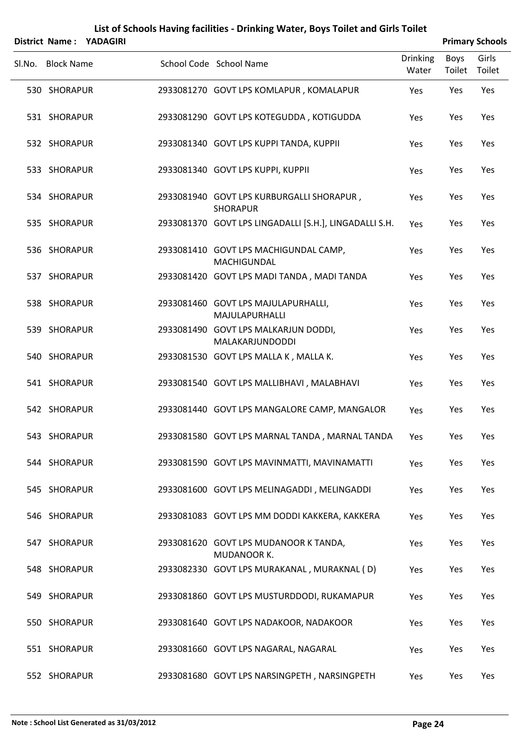|        |                   | District Name: YADAGIRI |                                                              |                          |                | <b>Primary Schools</b> |
|--------|-------------------|-------------------------|--------------------------------------------------------------|--------------------------|----------------|------------------------|
| Sl.No. | <b>Block Name</b> |                         | School Code School Name                                      | <b>Drinking</b><br>Water | Boys<br>Toilet | Girls<br>Toilet        |
|        | 530 SHORAPUR      |                         | 2933081270 GOVT LPS KOMLAPUR, KOMALAPUR                      | Yes                      | Yes            | Yes                    |
|        | 531 SHORAPUR      |                         | 2933081290 GOVT LPS KOTEGUDDA, KOTIGUDDA                     | Yes                      | Yes            | Yes                    |
|        | 532 SHORAPUR      |                         | 2933081340 GOVT LPS KUPPI TANDA, KUPPII                      | Yes                      | Yes            | Yes                    |
|        | 533 SHORAPUR      |                         | 2933081340 GOVT LPS KUPPI, KUPPII                            | Yes                      | Yes            | Yes                    |
|        | 534 SHORAPUR      |                         | 2933081940 GOVT LPS KURBURGALLI SHORAPUR,<br><b>SHORAPUR</b> | Yes                      | Yes            | Yes                    |
|        | 535 SHORAPUR      |                         | 2933081370 GOVT LPS LINGADALLI [S.H.], LINGADALLI S.H.       | Yes                      | Yes            | Yes                    |
|        | 536 SHORAPUR      |                         | 2933081410 GOVT LPS MACHIGUNDAL CAMP,<br><b>MACHIGUNDAL</b>  | Yes                      | Yes            | Yes                    |
|        | 537 SHORAPUR      |                         | 2933081420 GOVT LPS MADI TANDA, MADI TANDA                   | Yes                      | Yes            | Yes                    |
|        | 538 SHORAPUR      |                         | 2933081460 GOVT LPS MAJULAPURHALLI,<br>MAJULAPURHALLI        | Yes                      | Yes            | Yes                    |
|        | 539 SHORAPUR      |                         | 2933081490 GOVT LPS MALKARJUN DODDI,<br>MALAKARJUNDODDI      | Yes                      | Yes            | Yes                    |
|        | 540 SHORAPUR      |                         | 2933081530 GOVT LPS MALLA K, MALLA K.                        | Yes                      | Yes            | Yes                    |
|        | 541 SHORAPUR      |                         | 2933081540 GOVT LPS MALLIBHAVI, MALABHAVI                    | Yes                      | Yes            | Yes                    |
|        | 542 SHORAPUR      |                         | 2933081440 GOVT LPS MANGALORE CAMP, MANGALOR                 | Yes                      | Yes            | Yes                    |
|        | 543 SHORAPUR      |                         | 2933081580 GOVT LPS MARNAL TANDA, MARNAL TANDA               | Yes                      | Yes            | Yes                    |
|        | 544 SHORAPUR      |                         | 2933081590 GOVT LPS MAVINMATTI, MAVINAMATTI                  | Yes                      | Yes            | Yes                    |
|        | 545 SHORAPUR      |                         | 2933081600 GOVT LPS MELINAGADDI, MELINGADDI                  | Yes                      | Yes            | Yes                    |
|        | 546 SHORAPUR      |                         | 2933081083 GOVT LPS MM DODDI KAKKERA, KAKKERA                | Yes                      | Yes            | Yes                    |
|        | 547 SHORAPUR      |                         | 2933081620 GOVT LPS MUDANOOR K TANDA,<br>MUDANOOR K.         | Yes                      | Yes            | Yes                    |
|        | 548 SHORAPUR      |                         | 2933082330 GOVT LPS MURAKANAL, MURAKNAL (D)                  | Yes                      | Yes            | Yes                    |
|        | 549 SHORAPUR      |                         | 2933081860 GOVT LPS MUSTURDDODI, RUKAMAPUR                   | Yes                      | Yes            | Yes                    |
|        | 550 SHORAPUR      |                         | 2933081640 GOVT LPS NADAKOOR, NADAKOOR                       | Yes                      | Yes            | Yes                    |
|        | 551 SHORAPUR      |                         | 2933081660 GOVT LPS NAGARAL, NAGARAL                         | Yes                      | Yes            | Yes                    |
|        | 552 SHORAPUR      |                         | 2933081680 GOVT LPS NARSINGPETH, NARSINGPETH                 | Yes                      | Yes            | Yes                    |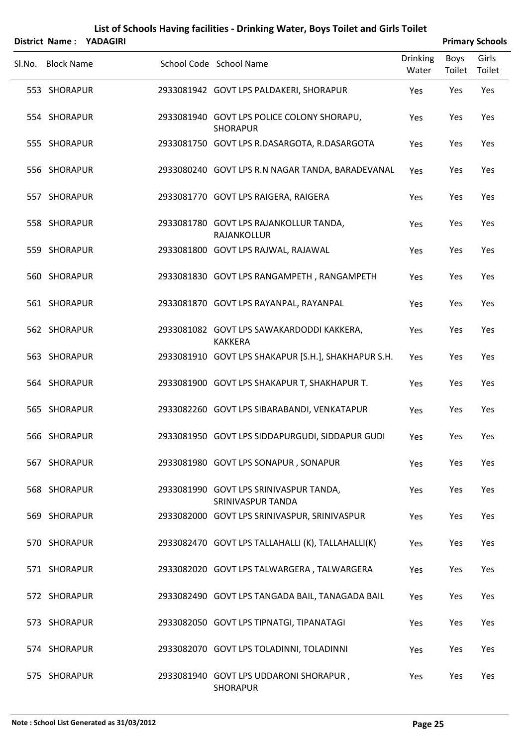|        | District Name:    | <b>YADAGIRI</b> | List of Schools Having facilities - Drinking Water, Boys Toilet and Girls Toilet |                          |                       | <b>Primary Schools</b> |
|--------|-------------------|-----------------|----------------------------------------------------------------------------------|--------------------------|-----------------------|------------------------|
| Sl.No. | <b>Block Name</b> |                 | School Code School Name                                                          | <b>Drinking</b><br>Water | <b>Boys</b><br>Toilet | Girls<br>Toilet        |
|        | 553 SHORAPUR      |                 | 2933081942 GOVT LPS PALDAKERI, SHORAPUR                                          | Yes                      | Yes                   | Yes                    |
|        | 554 SHORAPUR      |                 | 2933081940 GOVT LPS POLICE COLONY SHORAPU,<br><b>SHORAPUR</b>                    | Yes                      | Yes                   | Yes                    |
|        | 555 SHORAPUR      |                 | 2933081750 GOVT LPS R.DASARGOTA, R.DASARGOTA                                     | Yes                      | Yes                   | Yes                    |
|        | 556 SHORAPUR      |                 | 2933080240 GOVT LPS R.N NAGAR TANDA, BARADEVANAL                                 | Yes                      | Yes                   | Yes                    |
|        | 557 SHORAPUR      |                 | 2933081770 GOVT LPS RAIGERA, RAIGERA                                             | Yes                      | Yes                   | Yes                    |
|        | 558 SHORAPUR      |                 | 2933081780 GOVT LPS RAJANKOLLUR TANDA,<br>RAJANKOLLUR                            | Yes                      | Yes                   | Yes                    |
|        | 559 SHORAPUR      |                 | 2933081800 GOVT LPS RAJWAL, RAJAWAL                                              | Yes                      | Yes                   | Yes                    |
|        | 560 SHORAPUR      |                 | 2933081830 GOVT LPS RANGAMPETH, RANGAMPETH                                       | Yes                      | Yes                   | Yes                    |
|        | 561 SHORAPUR      |                 | 2933081870 GOVT LPS RAYANPAL, RAYANPAL                                           | Yes                      | Yes                   | Yes                    |
|        | 562 SHORAPUR      |                 | 2933081082 GOVT LPS SAWAKARDODDI KAKKERA,<br><b>KAKKERA</b>                      | Yes                      | Yes                   | Yes                    |
|        | 563 SHORAPUR      |                 | 2933081910 GOVT LPS SHAKAPUR [S.H.], SHAKHAPUR S.H.                              | Yes                      | Yes                   | Yes                    |
|        | 564 SHORAPUR      |                 | 2933081900 GOVT LPS SHAKAPUR T, SHAKHAPUR T.                                     | Yes                      | Yes                   | Yes                    |
|        | 565 SHORAPUR      |                 | 2933082260 GOVT LPS SIBARABANDI, VENKATAPUR                                      | Yes                      | Yes                   | Yes                    |
|        | 566 SHORAPUR      |                 | 2933081950 GOVT LPS SIDDAPURGUDI, SIDDAPUR GUDI                                  | Yes                      | Yes                   | Yes                    |
|        | 567 SHORAPUR      |                 | 2933081980 GOVT LPS SONAPUR, SONAPUR                                             | Yes                      | Yes                   | Yes                    |
|        | 568 SHORAPUR      |                 | 2933081990 GOVT LPS SRINIVASPUR TANDA,<br><b>SRINIVASPUR TANDA</b>               | Yes                      | Yes                   | Yes                    |
|        | 569 SHORAPUR      |                 | 2933082000 GOVT LPS SRINIVASPUR, SRINIVASPUR                                     | Yes                      | Yes                   | Yes                    |
|        | 570 SHORAPUR      |                 | 2933082470 GOVT LPS TALLAHALLI (K), TALLAHALLI(K)                                | Yes                      | Yes                   | Yes                    |
|        | 571 SHORAPUR      |                 | 2933082020 GOVT LPS TALWARGERA, TALWARGERA                                       | Yes                      | Yes                   | Yes                    |
|        | 572 SHORAPUR      |                 | 2933082490 GOVT LPS TANGADA BAIL, TANAGADA BAIL                                  | Yes                      | Yes                   | Yes                    |
|        | 573 SHORAPUR      |                 | 2933082050 GOVT LPS TIPNATGI, TIPANATAGI                                         | Yes                      | Yes                   | Yes                    |
|        | 574 SHORAPUR      |                 | 2933082070 GOVT LPS TOLADINNI, TOLADINNI                                         | Yes                      | Yes                   | Yes                    |
|        | 575 SHORAPUR      |                 | 2933081940 GOVT LPS UDDARONI SHORAPUR,<br><b>SHORAPUR</b>                        | Yes                      | Yes                   | Yes                    |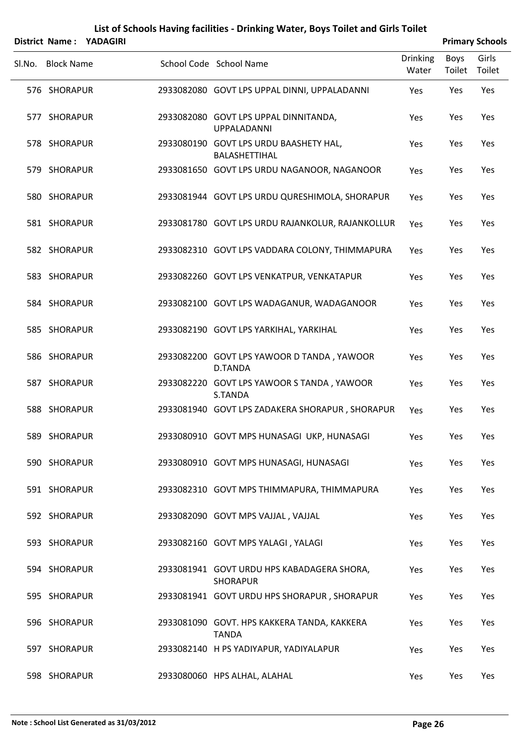|                   | District Name: YADAGIRI | List of Schools Having facilities - Drinking Water, Boys Toilet and Girls Toilet |                          |                | <b>Primary Schools</b> |
|-------------------|-------------------------|----------------------------------------------------------------------------------|--------------------------|----------------|------------------------|
| Sl.No. Block Name |                         | School Code School Name                                                          | <b>Drinking</b><br>Water | Boys<br>Toilet | Girls<br>Toilet        |
| 576 SHORAPUR      |                         | 2933082080 GOVT LPS UPPAL DINNI, UPPALADANNI                                     | Yes                      | Yes            | Yes                    |
| 577 SHORAPUR      |                         | 2933082080 GOVT LPS UPPAL DINNITANDA,<br><b>UPPALADANNI</b>                      | Yes                      | Yes            | Yes                    |
| 578 SHORAPUR      |                         | 2933080190 GOVT LPS URDU BAASHETY HAL,<br>BALASHETTIHAL                          | Yes                      | Yes            | Yes                    |
| 579 SHORAPUR      |                         | 2933081650 GOVT LPS URDU NAGANOOR, NAGANOOR                                      | Yes                      | Yes            | Yes                    |
| 580 SHORAPUR      |                         | 2933081944 GOVT LPS URDU QURESHIMOLA, SHORAPUR                                   | Yes                      | Yes            | Yes                    |
| 581 SHORAPUR      |                         | 2933081780 GOVT LPS URDU RAJANKOLUR, RAJANKOLLUR                                 | Yes                      | Yes            | Yes                    |
| 582 SHORAPUR      |                         | 2933082310 GOVT LPS VADDARA COLONY, THIMMAPURA                                   | Yes                      | Yes            | Yes                    |
| 583 SHORAPUR      |                         | 2933082260 GOVT LPS VENKATPUR, VENKATAPUR                                        | Yes                      | Yes            | Yes                    |
| 584 SHORAPUR      |                         | 2933082100 GOVT LPS WADAGANUR, WADAGANOOR                                        | Yes                      | Yes            | Yes                    |
| 585 SHORAPUR      |                         | 2933082190 GOVT LPS YARKIHAL, YARKIHAL                                           | Yes                      | Yes            | Yes                    |
| 586 SHORAPUR      |                         | 2933082200 GOVT LPS YAWOOR D TANDA, YAWOOR<br><b>D.TANDA</b>                     | Yes                      | Yes            | Yes                    |
| 587 SHORAPUR      |                         | 2933082220 GOVT LPS YAWOOR S TANDA, YAWOOR<br>S.TANDA                            | Yes                      | Yes            | Yes                    |
| 588 SHORAPUR      |                         | 2933081940 GOVT LPS ZADAKERA SHORAPUR, SHORAPUR                                  | Yes                      | Yes            | Yes                    |
| 589 SHORAPUR      |                         | 2933080910 GOVT MPS HUNASAGI UKP, HUNASAGI                                       | Yes                      | Yes            | Yes                    |
| 590 SHORAPUR      |                         | 2933080910 GOVT MPS HUNASAGI, HUNASAGI                                           | Yes                      | Yes            | Yes                    |
| 591 SHORAPUR      |                         | 2933082310 GOVT MPS THIMMAPURA, THIMMAPURA                                       | Yes                      | Yes            | Yes                    |
| 592 SHORAPUR      |                         | 2933082090 GOVT MPS VAJJAL, VAJJAL                                               | Yes                      | Yes            | Yes                    |
| 593 SHORAPUR      |                         | 2933082160 GOVT MPS YALAGI, YALAGI                                               | Yes                      | Yes            | Yes                    |
| 594 SHORAPUR      |                         | 2933081941 GOVT URDU HPS KABADAGERA SHORA,<br><b>SHORAPUR</b>                    | Yes                      | Yes            | Yes                    |
| 595 SHORAPUR      |                         | 2933081941 GOVT URDU HPS SHORAPUR, SHORAPUR                                      | Yes                      | Yes            | Yes                    |
| 596 SHORAPUR      |                         | 2933081090 GOVT. HPS KAKKERA TANDA, KAKKERA<br><b>TANDA</b>                      | Yes                      | Yes            | Yes                    |
| 597 SHORAPUR      |                         | 2933082140 H PS YADIYAPUR, YADIYALAPUR                                           | Yes                      | Yes            | Yes                    |
| 598 SHORAPUR      |                         | 2933080060 HPS ALHAL, ALAHAL                                                     | Yes                      | Yes            | Yes                    |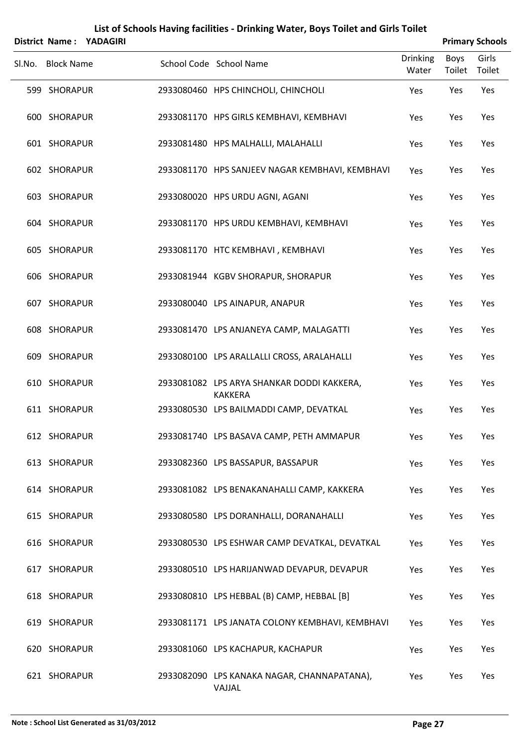| District Name: YADAGIRI |  | List of Schools Having facilities - Drinking Water, Boys Toilet and Girls Toilet |                          |                       | <b>Primary Schools</b> |
|-------------------------|--|----------------------------------------------------------------------------------|--------------------------|-----------------------|------------------------|
| Sl.No. Block Name       |  | School Code School Name                                                          | <b>Drinking</b><br>Water | <b>Boys</b><br>Toilet | Girls<br>Toilet        |
| 599 SHORAPUR            |  | 2933080460 HPS CHINCHOLI, CHINCHOLI                                              | Yes                      | Yes                   | Yes                    |
| 600 SHORAPUR            |  | 2933081170 HPS GIRLS KEMBHAVI, KEMBHAVI                                          | Yes                      | Yes                   | Yes                    |
| 601 SHORAPUR            |  | 2933081480 HPS MALHALLI, MALAHALLI                                               | Yes                      | Yes                   | Yes                    |
| 602 SHORAPUR            |  | 2933081170 HPS SANJEEV NAGAR KEMBHAVI, KEMBHAVI                                  | Yes                      | Yes                   | Yes                    |
| 603 SHORAPUR            |  | 2933080020 HPS URDU AGNI, AGANI                                                  | Yes                      | Yes                   | Yes                    |
| 604 SHORAPUR            |  | 2933081170 HPS URDU KEMBHAVI, KEMBHAVI                                           | Yes                      | Yes                   | Yes                    |
| 605 SHORAPUR            |  | 2933081170 HTC KEMBHAVI, KEMBHAVI                                                | Yes                      | Yes                   | Yes                    |
| 606 SHORAPUR            |  | 2933081944 KGBV SHORAPUR, SHORAPUR                                               | Yes                      | Yes                   | Yes                    |
| 607 SHORAPUR            |  | 2933080040 LPS AINAPUR, ANAPUR                                                   | Yes                      | Yes                   | Yes                    |
| 608 SHORAPUR            |  | 2933081470 LPS ANJANEYA CAMP, MALAGATTI                                          | Yes                      | Yes                   | Yes                    |
| 609 SHORAPUR            |  | 2933080100 LPS ARALLALLI CROSS, ARALAHALLI                                       | Yes                      | Yes                   | Yes                    |
| 610 SHORAPUR            |  | 2933081082 LPS ARYA SHANKAR DODDI KAKKERA,<br><b>KAKKERA</b>                     | Yes                      | Yes                   | Yes                    |
| 611 SHORAPUR            |  | 2933080530 LPS BAILMADDI CAMP, DEVATKAL                                          | Yes                      | Yes                   | Yes                    |
| 612 SHORAPUR            |  | 2933081740 LPS BASAVA CAMP, PETH AMMAPUR                                         | Yes                      | Yes                   | Yes                    |
| 613 SHORAPUR            |  | 2933082360 LPS BASSAPUR, BASSAPUR                                                | Yes                      | Yes                   | Yes                    |
| 614 SHORAPUR            |  | 2933081082 LPS BENAKANAHALLI CAMP, KAKKERA                                       | Yes                      | Yes                   | Yes                    |
| 615 SHORAPUR            |  | 2933080580 LPS DORANHALLI, DORANAHALLI                                           | Yes                      | Yes                   | Yes                    |
| 616 SHORAPUR            |  | 2933080530 LPS ESHWAR CAMP DEVATKAL, DEVATKAL                                    | Yes                      | Yes                   | Yes                    |
| 617 SHORAPUR            |  | 2933080510 LPS HARIJANWAD DEVAPUR, DEVAPUR                                       | Yes                      | Yes                   | Yes                    |
| 618 SHORAPUR            |  | 2933080810 LPS HEBBAL (B) CAMP, HEBBAL [B]                                       | Yes                      | Yes                   | Yes                    |
| 619 SHORAPUR            |  | 2933081171 LPS JANATA COLONY KEMBHAVI, KEMBHAVI                                  | Yes                      | Yes                   | Yes                    |
| 620 SHORAPUR            |  | 2933081060 LPS KACHAPUR, KACHAPUR                                                | Yes                      | Yes                   | Yes                    |
| 621 SHORAPUR            |  | 2933082090 LPS KANAKA NAGAR, CHANNAPATANA),<br>VAJJAL                            | Yes                      | Yes                   | Yes                    |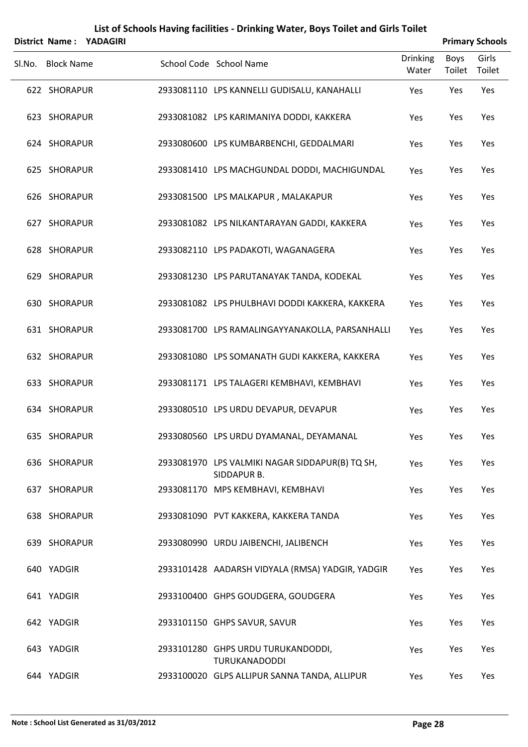|                   | District Name: YADAGIRI |                                                                |                   |                | <b>Primary Schools</b> |
|-------------------|-------------------------|----------------------------------------------------------------|-------------------|----------------|------------------------|
| Sl.No. Block Name |                         | School Code School Name                                        | Drinking<br>Water | Boys<br>Toilet | Girls<br>Toilet        |
| 622 SHORAPUR      |                         | 2933081110 LPS KANNELLI GUDISALU, KANAHALLI                    | Yes               | Yes            | Yes                    |
| 623 SHORAPUR      |                         | 2933081082 LPS KARIMANIYA DODDI, KAKKERA                       | Yes               | Yes            | Yes                    |
| 624 SHORAPUR      |                         | 2933080600 LPS KUMBARBENCHI, GEDDALMARI                        | Yes               | Yes            | Yes                    |
| 625 SHORAPUR      |                         | 2933081410 LPS MACHGUNDAL DODDI, MACHIGUNDAL                   | Yes               | Yes            | Yes                    |
| 626 SHORAPUR      |                         | 2933081500 LPS MALKAPUR, MALAKAPUR                             | Yes               | Yes            | Yes                    |
| 627 SHORAPUR      |                         | 2933081082 LPS NILKANTARAYAN GADDI, KAKKERA                    | Yes               | Yes            | Yes                    |
| 628 SHORAPUR      |                         | 2933082110 LPS PADAKOTI, WAGANAGERA                            | Yes               | Yes            | Yes                    |
| 629 SHORAPUR      |                         | 2933081230 LPS PARUTANAYAK TANDA, KODEKAL                      | Yes               | Yes            | Yes                    |
| 630 SHORAPUR      |                         | 2933081082 LPS PHULBHAVI DODDI KAKKERA, KAKKERA                | Yes               | Yes            | Yes                    |
| 631 SHORAPUR      |                         | 2933081700 LPS RAMALINGAYYANAKOLLA, PARSANHALLI                | Yes               | Yes            | Yes                    |
| 632 SHORAPUR      |                         | 2933081080 LPS SOMANATH GUDI KAKKERA, KAKKERA                  | Yes               | Yes            | Yes                    |
| 633 SHORAPUR      |                         | 2933081171 LPS TALAGERI KEMBHAVI, KEMBHAVI                     | Yes               | Yes            | Yes                    |
| 634 SHORAPUR      |                         | 2933080510 LPS URDU DEVAPUR, DEVAPUR                           | Yes               | Yes            | Yes                    |
| 635 SHORAPUR      |                         | 2933080560 LPS URDU DYAMANAL, DEYAMANAL                        | Yes               | Yes            | Yes                    |
| 636 SHORAPUR      |                         | 2933081970 LPS VALMIKI NAGAR SIDDAPUR(B) TQ SH,<br>SIDDAPUR B. | Yes               | Yes            | Yes                    |
| 637 SHORAPUR      |                         | 2933081170 MPS KEMBHAVI, KEMBHAVI                              | Yes               | Yes            | Yes                    |
| 638 SHORAPUR      |                         | 2933081090 PVT KAKKERA, KAKKERA TANDA                          | Yes               | Yes            | Yes                    |
| 639 SHORAPUR      |                         | 2933080990 URDU JAIBENCHI, JALIBENCH                           | Yes               | Yes            | Yes                    |
| 640 YADGIR        |                         | 2933101428 AADARSH VIDYALA (RMSA) YADGIR, YADGIR               | Yes               | Yes            | Yes                    |
| 641 YADGIR        |                         | 2933100400 GHPS GOUDGERA, GOUDGERA                             | Yes               | Yes            | Yes                    |
| 642 YADGIR        |                         | 2933101150 GHPS SAVUR, SAVUR                                   | Yes               | Yes            | Yes                    |
| 643 YADGIR        |                         | 2933101280 GHPS URDU TURUKANDODDI,<br><b>TURUKANADODDI</b>     | Yes               | Yes            | Yes                    |
| 644 YADGIR        |                         | 2933100020 GLPS ALLIPUR SANNA TANDA, ALLIPUR                   | Yes               | Yes            | Yes                    |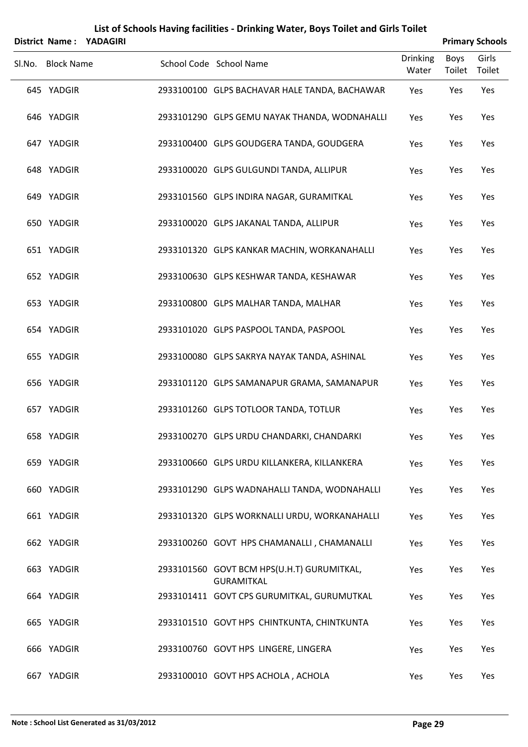|                   | District Name: YADAGIRI |                                                                 |                          |                | <b>Primary Schools</b> |
|-------------------|-------------------------|-----------------------------------------------------------------|--------------------------|----------------|------------------------|
| Sl.No. Block Name |                         | School Code School Name                                         | <b>Drinking</b><br>Water | Boys<br>Toilet | Girls<br>Toilet        |
| 645 YADGIR        |                         | 2933100100 GLPS BACHAVAR HALE TANDA, BACHAWAR                   | Yes                      | Yes            | Yes                    |
| 646 YADGIR        |                         | 2933101290 GLPS GEMU NAYAK THANDA, WODNAHALLI                   | Yes                      | Yes            | Yes                    |
| 647 YADGIR        |                         | 2933100400 GLPS GOUDGERA TANDA, GOUDGERA                        | Yes                      | Yes            | Yes                    |
| 648 YADGIR        |                         | 2933100020 GLPS GULGUNDI TANDA, ALLIPUR                         | Yes                      | Yes            | Yes                    |
| 649 YADGIR        |                         | 2933101560 GLPS INDIRA NAGAR, GURAMITKAL                        | Yes                      | Yes            | Yes                    |
| 650 YADGIR        |                         | 2933100020 GLPS JAKANAL TANDA, ALLIPUR                          | Yes                      | Yes            | Yes                    |
| 651 YADGIR        |                         | 2933101320 GLPS KANKAR MACHIN, WORKANAHALLI                     | Yes                      | Yes            | Yes                    |
| 652 YADGIR        |                         | 2933100630 GLPS KESHWAR TANDA, KESHAWAR                         | Yes                      | Yes            | Yes                    |
| 653 YADGIR        |                         | 2933100800 GLPS MALHAR TANDA, MALHAR                            | Yes                      | Yes            | Yes                    |
| 654 YADGIR        |                         | 2933101020 GLPS PASPOOL TANDA, PASPOOL                          | Yes                      | Yes            | Yes                    |
| 655 YADGIR        |                         | 2933100080 GLPS SAKRYA NAYAK TANDA, ASHINAL                     | Yes                      | Yes            | Yes                    |
| 656 YADGIR        |                         | 2933101120 GLPS SAMANAPUR GRAMA, SAMANAPUR                      | Yes                      | Yes            | Yes                    |
| 657 YADGIR        |                         | 2933101260 GLPS TOTLOOR TANDA, TOTLUR                           | Yes                      | Yes            | Yes                    |
| 658 YADGIR        |                         | 2933100270 GLPS URDU CHANDARKI, CHANDARKI                       | Yes                      | Yes            | Yes                    |
| 659 YADGIR        |                         | 2933100660 GLPS URDU KILLANKERA, KILLANKERA                     | Yes                      | Yes            | Yes                    |
| 660 YADGIR        |                         | 2933101290 GLPS WADNAHALLI TANDA, WODNAHALLI                    | Yes                      | Yes            | Yes                    |
| 661 YADGIR        |                         | 2933101320 GLPS WORKNALLI URDU, WORKANAHALLI                    | Yes                      | Yes            | Yes                    |
| 662 YADGIR        |                         | 2933100260 GOVT HPS CHAMANALLI, CHAMANALLI                      | Yes                      | Yes            | Yes                    |
| 663 YADGIR        |                         | 2933101560 GOVT BCM HPS(U.H.T) GURUMITKAL,<br><b>GURAMITKAL</b> | Yes                      | Yes            | Yes                    |
| 664 YADGIR        |                         | 2933101411 GOVT CPS GURUMITKAL, GURUMUTKAL                      | Yes                      | Yes            | Yes                    |
| 665 YADGIR        |                         | 2933101510 GOVT HPS CHINTKUNTA, CHINTKUNTA                      | Yes                      | Yes            | Yes                    |
| 666 YADGIR        |                         | 2933100760 GOVT HPS LINGERE, LINGERA                            | Yes                      | Yes            | Yes                    |
| 667 YADGIR        |                         | 2933100010 GOVT HPS ACHOLA, ACHOLA                              | Yes                      | Yes            | Yes                    |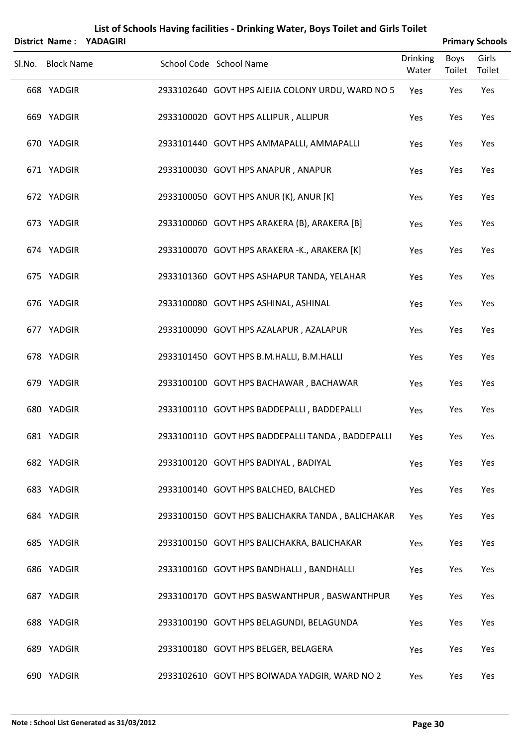|                   | District Name: YADAGIRI |                                                   |                          |                       | <b>Primary Schools</b> |
|-------------------|-------------------------|---------------------------------------------------|--------------------------|-----------------------|------------------------|
| Sl.No. Block Name |                         | School Code School Name                           | <b>Drinking</b><br>Water | <b>Boys</b><br>Toilet | Girls<br>Toilet        |
| 668 YADGIR        |                         | 2933102640 GOVT HPS AJEJIA COLONY URDU, WARD NO 5 | Yes                      | Yes                   | Yes                    |
| 669 YADGIR        |                         | 2933100020 GOVT HPS ALLIPUR, ALLIPUR              | Yes                      | Yes                   | Yes                    |
| 670 YADGIR        |                         | 2933101440 GOVT HPS AMMAPALLI, AMMAPALLI          | Yes                      | Yes                   | Yes                    |
| 671 YADGIR        |                         | 2933100030 GOVT HPS ANAPUR, ANAPUR                | Yes                      | Yes                   | Yes                    |
| 672 YADGIR        |                         | 2933100050 GOVT HPS ANUR (K), ANUR [K]            | Yes                      | Yes                   | Yes                    |
| 673 YADGIR        |                         | 2933100060 GOVT HPS ARAKERA (B), ARAKERA [B]      | Yes                      | Yes                   | Yes                    |
| 674 YADGIR        |                         | 2933100070 GOVT HPS ARAKERA -K., ARAKERA [K]      | Yes                      | Yes                   | Yes                    |
| 675 YADGIR        |                         | 2933101360 GOVT HPS ASHAPUR TANDA, YELAHAR        | Yes                      | Yes                   | Yes                    |
| 676 YADGIR        |                         | 2933100080 GOVT HPS ASHINAL, ASHINAL              | Yes                      | Yes                   | Yes                    |
| 677 YADGIR        |                         | 2933100090 GOVT HPS AZALAPUR, AZALAPUR            | Yes                      | Yes                   | Yes                    |
| 678 YADGIR        |                         | 2933101450 GOVT HPS B.M.HALLI, B.M.HALLI          | Yes                      | Yes                   | Yes                    |
| 679 YADGIR        |                         | 2933100100 GOVT HPS BACHAWAR, BACHAWAR            | Yes                      | Yes                   | Yes                    |
| 680 YADGIR        |                         | 2933100110 GOVT HPS BADDEPALLI, BADDEPALLI        | Yes                      | Yes                   | Yes                    |
| 681 YADGIR        |                         | 2933100110 GOVT HPS BADDEPALLI TANDA, BADDEPALLI  | Yes                      | Yes                   | Yes                    |
| 682 YADGIR        |                         | 2933100120 GOVT HPS BADIYAL, BADIYAL              | Yes                      | Yes                   | Yes                    |
| 683 YADGIR        |                         | 2933100140 GOVT HPS BALCHED, BALCHED              | Yes                      | Yes                   | Yes                    |
| 684 YADGIR        |                         | 2933100150 GOVT HPS BALICHAKRA TANDA, BALICHAKAR  | Yes                      | Yes                   | Yes                    |
| 685 YADGIR        |                         | 2933100150 GOVT HPS BALICHAKRA, BALICHAKAR        | Yes                      | Yes                   | Yes                    |
| 686 YADGIR        |                         | 2933100160 GOVT HPS BANDHALLI, BANDHALLI          | Yes                      | Yes                   | Yes                    |
| 687 YADGIR        |                         | 2933100170 GOVT HPS BASWANTHPUR, BASWANTHPUR      | Yes                      | Yes                   | Yes                    |
| 688 YADGIR        |                         | 2933100190 GOVT HPS BELAGUNDI, BELAGUNDA          | Yes                      | Yes                   | Yes                    |
| 689 YADGIR        |                         | 2933100180 GOVT HPS BELGER, BELAGERA              | Yes                      | Yes                   | Yes                    |
| 690 YADGIR        |                         | 2933102610 GOVT HPS BOIWADA YADGIR, WARD NO 2     | Yes                      | Yes                   | Yes                    |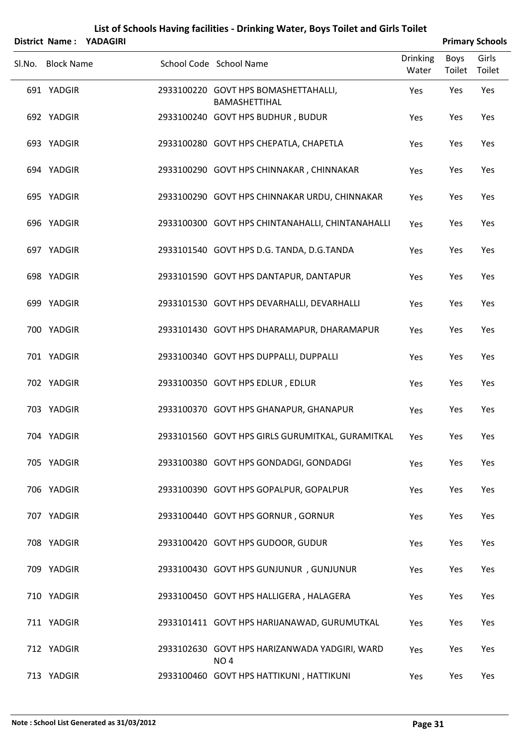|                   | District Name: YADAGIRI |                                                                  |                          |                | <b>Primary Schools</b> |
|-------------------|-------------------------|------------------------------------------------------------------|--------------------------|----------------|------------------------|
| Sl.No. Block Name |                         | School Code School Name                                          | <b>Drinking</b><br>Water | Boys<br>Toilet | Girls<br>Toilet        |
| 691 YADGIR        |                         | 2933100220 GOVT HPS BOMASHETTAHALLI,<br><b>BAMASHETTIHAL</b>     | Yes                      | Yes            | Yes                    |
| 692 YADGIR        |                         | 2933100240 GOVT HPS BUDHUR, BUDUR                                | Yes                      | Yes            | Yes                    |
| 693 YADGIR        |                         | 2933100280 GOVT HPS CHEPATLA, CHAPETLA                           | Yes                      | Yes            | Yes                    |
| 694 YADGIR        |                         | 2933100290 GOVT HPS CHINNAKAR, CHINNAKAR                         | Yes                      | Yes            | Yes                    |
| 695 YADGIR        |                         | 2933100290 GOVT HPS CHINNAKAR URDU, CHINNAKAR                    | Yes                      | Yes            | Yes                    |
| 696 YADGIR        |                         | 2933100300 GOVT HPS CHINTANAHALLI, CHINTANAHALLI                 | Yes                      | Yes            | Yes                    |
| 697 YADGIR        |                         | 2933101540 GOVT HPS D.G. TANDA, D.G.TANDA                        | Yes                      | Yes            | Yes                    |
| 698 YADGIR        |                         | 2933101590 GOVT HPS DANTAPUR, DANTAPUR                           | Yes                      | Yes            | Yes                    |
| 699 YADGIR        |                         | 2933101530 GOVT HPS DEVARHALLI, DEVARHALLI                       | Yes                      | Yes            | Yes                    |
| 700 YADGIR        |                         | 2933101430 GOVT HPS DHARAMAPUR, DHARAMAPUR                       | Yes                      | Yes            | Yes                    |
| 701 YADGIR        |                         | 2933100340 GOVT HPS DUPPALLI, DUPPALLI                           | Yes                      | Yes            | Yes                    |
| 702 YADGIR        |                         | 2933100350 GOVT HPS EDLUR, EDLUR                                 | Yes                      | Yes            | Yes                    |
| 703 YADGIR        |                         | 2933100370 GOVT HPS GHANAPUR, GHANAPUR                           | Yes                      | Yes            | Yes                    |
| 704 YADGIR        |                         | 2933101560 GOVT HPS GIRLS GURUMITKAL, GURAMITKAL                 | Yes                      | Yes            | Yes                    |
| 705 YADGIR        |                         | 2933100380 GOVT HPS GONDADGI, GONDADGI                           | Yes                      | Yes            | Yes                    |
| 706 YADGIR        |                         | 2933100390 GOVT HPS GOPALPUR, GOPALPUR                           | Yes                      | Yes            | Yes                    |
| 707 YADGIR        |                         | 2933100440 GOVT HPS GORNUR, GORNUR                               | Yes                      | Yes            | Yes                    |
| 708 YADGIR        |                         | 2933100420 GOVT HPS GUDOOR, GUDUR                                | Yes                      | Yes            | Yes                    |
| 709 YADGIR        |                         | 2933100430 GOVT HPS GUNJUNUR, GUNJUNUR                           | Yes                      | Yes            | Yes                    |
| 710 YADGIR        |                         | 2933100450 GOVT HPS HALLIGERA, HALAGERA                          | Yes                      | Yes            | Yes                    |
| 711 YADGIR        |                         | 2933101411 GOVT HPS HARIJANAWAD, GURUMUTKAL                      | Yes                      | Yes            | Yes                    |
| 712 YADGIR        |                         | 2933102630 GOVT HPS HARIZANWADA YADGIRI, WARD<br>NO <sub>4</sub> | Yes                      | Yes            | Yes                    |
| 713 YADGIR        |                         | 2933100460 GOVT HPS HATTIKUNI, HATTIKUNI                         | Yes                      | Yes            | Yes                    |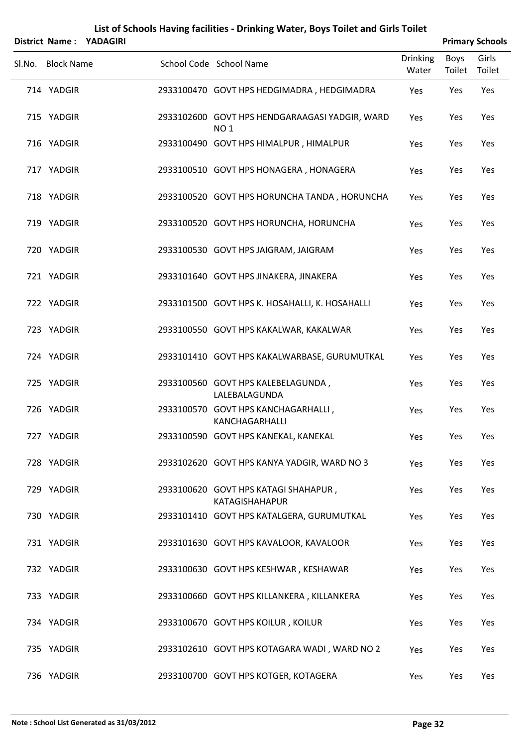|                   | District Name: YADAGIRI |                                                               |                          |                       | <b>Primary Schools</b> |
|-------------------|-------------------------|---------------------------------------------------------------|--------------------------|-----------------------|------------------------|
| Sl.No. Block Name |                         | School Code School Name                                       | <b>Drinking</b><br>Water | <b>Boys</b><br>Toilet | Girls<br>Toilet        |
| 714 YADGIR        |                         | 2933100470 GOVT HPS HEDGIMADRA, HEDGIMADRA                    | Yes                      | Yes                   | Yes                    |
| 715 YADGIR        |                         | 2933102600 GOVT HPS HENDGARAAGASI YADGIR, WARD<br><b>NO1</b>  | Yes                      | Yes                   | Yes                    |
| 716 YADGIR        |                         | 2933100490 GOVT HPS HIMALPUR, HIMALPUR                        | Yes                      | Yes                   | Yes                    |
| 717 YADGIR        |                         | 2933100510 GOVT HPS HONAGERA, HONAGERA                        | Yes                      | Yes                   | Yes                    |
| 718 YADGIR        |                         | 2933100520 GOVT HPS HORUNCHA TANDA, HORUNCHA                  | Yes                      | Yes                   | Yes                    |
| 719 YADGIR        |                         | 2933100520 GOVT HPS HORUNCHA, HORUNCHA                        | Yes                      | Yes                   | Yes                    |
| 720 YADGIR        |                         | 2933100530 GOVT HPS JAIGRAM, JAIGRAM                          | Yes                      | Yes                   | Yes                    |
| 721 YADGIR        |                         | 2933101640 GOVT HPS JINAKERA, JINAKERA                        | Yes                      | Yes                   | Yes                    |
| 722 YADGIR        |                         | 2933101500 GOVT HPS K. HOSAHALLI, K. HOSAHALLI                | Yes                      | Yes                   | Yes                    |
| 723 YADGIR        |                         | 2933100550 GOVT HPS KAKALWAR, KAKALWAR                        | Yes                      | Yes                   | Yes                    |
| 724 YADGIR        |                         | 2933101410 GOVT HPS KAKALWARBASE, GURUMUTKAL                  | Yes                      | Yes                   | Yes                    |
| 725 YADGIR        |                         | 2933100560 GOVT HPS KALEBELAGUNDA,<br>LALEBALAGUNDA           | Yes                      | Yes                   | Yes                    |
| 726 YADGIR        |                         | 2933100570 GOVT HPS KANCHAGARHALLI,<br>KANCHAGARHALLI         | Yes                      | Yes                   | Yes                    |
| 727 YADGIR        |                         | 2933100590 GOVT HPS KANEKAL, KANEKAL                          | Yes                      | Yes                   | Yes                    |
| 728 YADGIR        |                         | 2933102620 GOVT HPS KANYA YADGIR, WARD NO 3                   | Yes                      | Yes                   | Yes                    |
| 729 YADGIR        |                         | 2933100620 GOVT HPS KATAGI SHAHAPUR,<br><b>KATAGISHAHAPUR</b> | Yes                      | Yes                   | Yes                    |
| 730 YADGIR        |                         | 2933101410 GOVT HPS KATALGERA, GURUMUTKAL                     | Yes                      | Yes                   | Yes                    |
| 731 YADGIR        |                         | 2933101630 GOVT HPS KAVALOOR, KAVALOOR                        | Yes                      | Yes                   | Yes                    |
| 732 YADGIR        |                         | 2933100630 GOVT HPS KESHWAR, KESHAWAR                         | Yes                      | Yes                   | Yes                    |
| 733 YADGIR        |                         | 2933100660 GOVT HPS KILLANKERA, KILLANKERA                    | Yes                      | Yes                   | Yes                    |
| 734 YADGIR        |                         | 2933100670 GOVT HPS KOILUR, KOILUR                            | Yes                      | Yes                   | Yes                    |
| 735 YADGIR        |                         | 2933102610 GOVT HPS KOTAGARA WADI, WARD NO 2                  | Yes                      | Yes                   | Yes                    |
| 736 YADGIR        |                         | 2933100700 GOVT HPS KOTGER, KOTAGERA                          | Yes                      | Yes                   | Yes                    |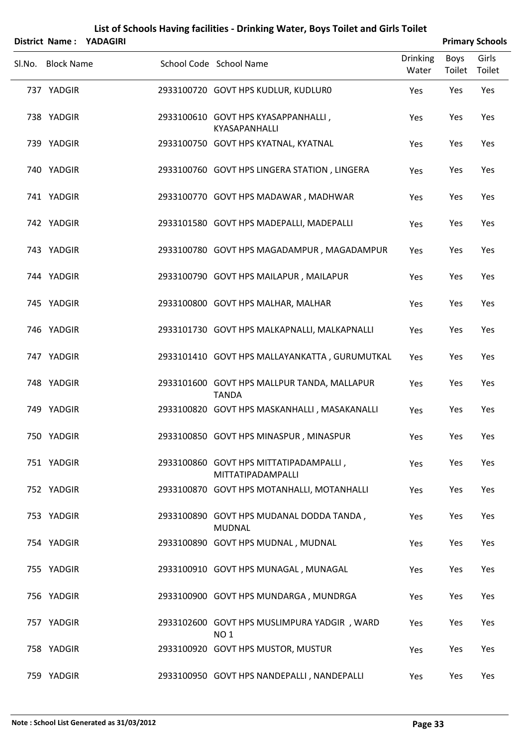|                   | District Name: YADAGIRI |                                                                |                          |                | <b>Primary Schools</b> |
|-------------------|-------------------------|----------------------------------------------------------------|--------------------------|----------------|------------------------|
| Sl.No. Block Name |                         | School Code School Name                                        | <b>Drinking</b><br>Water | Boys<br>Toilet | Girls<br>Toilet        |
| 737 YADGIR        |                         | 2933100720 GOVT HPS KUDLUR, KUDLUR0                            | Yes                      | Yes            | Yes                    |
| 738 YADGIR        |                         | 2933100610 GOVT HPS KYASAPPANHALLI,<br>KYASAPANHALLI           | Yes                      | Yes            | Yes                    |
| 739 YADGIR        |                         | 2933100750 GOVT HPS KYATNAL, KYATNAL                           | Yes                      | Yes            | Yes                    |
| 740 YADGIR        |                         | 2933100760 GOVT HPS LINGERA STATION, LINGERA                   | Yes                      | Yes            | Yes                    |
| 741 YADGIR        |                         | 2933100770 GOVT HPS MADAWAR, MADHWAR                           | Yes                      | Yes            | Yes                    |
| 742 YADGIR        |                         | 2933101580 GOVT HPS MADEPALLI, MADEPALLI                       | Yes                      | Yes            | Yes                    |
| 743 YADGIR        |                         | 2933100780 GOVT HPS MAGADAMPUR, MAGADAMPUR                     | Yes                      | Yes            | Yes                    |
| 744 YADGIR        |                         | 2933100790 GOVT HPS MAILAPUR, MAILAPUR                         | Yes                      | Yes            | Yes                    |
| 745 YADGIR        |                         | 2933100800 GOVT HPS MALHAR, MALHAR                             | Yes                      | Yes            | Yes                    |
| 746 YADGIR        |                         | 2933101730 GOVT HPS MALKAPNALLI, MALKAPNALLI                   | Yes                      | Yes            | Yes                    |
| 747 YADGIR        |                         | 2933101410 GOVT HPS MALLAYANKATTA, GURUMUTKAL                  | Yes                      | Yes            | Yes                    |
| 748 YADGIR        |                         | 2933101600 GOVT HPS MALLPUR TANDA, MALLAPUR<br><b>TANDA</b>    | Yes                      | Yes            | Yes                    |
| 749 YADGIR        |                         | 2933100820 GOVT HPS MASKANHALLI, MASAKANALLI                   | Yes                      | Yes            | Yes                    |
| 750 YADGIR        |                         | 2933100850 GOVT HPS MINASPUR, MINASPUR                         | Yes                      | Yes            | Yes                    |
| 751 YADGIR        |                         | 2933100860 GOVT HPS MITTATIPADAMPALLI,<br>MITTATIPADAMPALLI    | Yes                      | Yes            | Yes                    |
| 752 YADGIR        |                         | 2933100870 GOVT HPS MOTANHALLI, MOTANHALLI                     | Yes                      | Yes            | Yes                    |
| 753 YADGIR        |                         | 2933100890 GOVT HPS MUDANAL DODDA TANDA,<br><b>MUDNAL</b>      | Yes                      | Yes            | Yes                    |
| 754 YADGIR        |                         | 2933100890 GOVT HPS MUDNAL, MUDNAL                             | Yes                      | Yes            | Yes                    |
| 755 YADGIR        |                         | 2933100910 GOVT HPS MUNAGAL, MUNAGAL                           | Yes                      | Yes            | Yes                    |
| 756 YADGIR        |                         | 2933100900 GOVT HPS MUNDARGA, MUNDRGA                          | Yes                      | Yes            | Yes                    |
| 757 YADGIR        |                         | 2933102600 GOVT HPS MUSLIMPURA YADGIR, WARD<br>NO <sub>1</sub> | Yes                      | Yes            | Yes                    |
| 758 YADGIR        |                         | 2933100920 GOVT HPS MUSTOR, MUSTUR                             | Yes                      | Yes            | Yes                    |
| 759 YADGIR        |                         | 2933100950 GOVT HPS NANDEPALLI, NANDEPALLI                     | Yes                      | Yes            | Yes                    |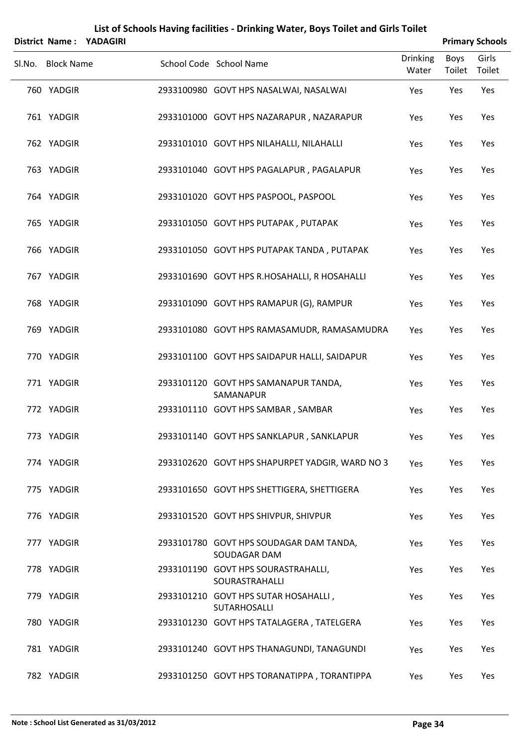|        |                   | District Name: YADAGIRI |                                                         |                          |                | <b>Primary Schools</b> |
|--------|-------------------|-------------------------|---------------------------------------------------------|--------------------------|----------------|------------------------|
| Sl.No. | <b>Block Name</b> |                         | School Code School Name                                 | <b>Drinking</b><br>Water | Boys<br>Toilet | Girls<br>Toilet        |
|        | 760 YADGIR        |                         | 2933100980 GOVT HPS NASALWAI, NASALWAI                  | Yes                      | Yes            | Yes                    |
|        | 761 YADGIR        |                         | 2933101000 GOVT HPS NAZARAPUR, NAZARAPUR                | Yes                      | Yes            | Yes                    |
|        | 762 YADGIR        |                         | 2933101010 GOVT HPS NILAHALLI, NILAHALLI                | Yes                      | Yes            | Yes                    |
|        | 763 YADGIR        |                         | 2933101040 GOVT HPS PAGALAPUR, PAGALAPUR                | Yes                      | Yes            | Yes                    |
|        | 764 YADGIR        |                         | 2933101020 GOVT HPS PASPOOL, PASPOOL                    | Yes                      | Yes            | Yes                    |
|        | 765 YADGIR        |                         | 2933101050 GOVT HPS PUTAPAK, PUTAPAK                    | Yes                      | Yes            | Yes                    |
|        | 766 YADGIR        |                         | 2933101050 GOVT HPS PUTAPAK TANDA, PUTAPAK              | Yes                      | Yes            | Yes                    |
|        | 767 YADGIR        |                         | 2933101690 GOVT HPS R.HOSAHALLI, R HOSAHALLI            | Yes                      | Yes            | Yes                    |
|        | 768 YADGIR        |                         | 2933101090 GOVT HPS RAMAPUR (G), RAMPUR                 | Yes                      | Yes            | Yes                    |
|        | 769 YADGIR        |                         | 2933101080 GOVT HPS RAMASAMUDR, RAMASAMUDRA             | Yes                      | Yes            | Yes                    |
|        | 770 YADGIR        |                         | 2933101100 GOVT HPS SAIDAPUR HALLI, SAIDAPUR            | Yes                      | Yes            | Yes                    |
|        | 771 YADGIR        |                         | 2933101120 GOVT HPS SAMANAPUR TANDA,<br>SAMANAPUR       | Yes                      | Yes            | Yes                    |
|        | 772 YADGIR        |                         | 2933101110 GOVT HPS SAMBAR, SAMBAR                      | Yes                      | Yes            | Yes                    |
|        | 773 YADGIR        |                         | 2933101140 GOVT HPS SANKLAPUR, SANKLAPUR                | Yes                      | Yes            | Yes                    |
|        | 774 YADGIR        |                         | 2933102620 GOVT HPS SHAPURPET YADGIR, WARD NO 3         | Yes                      | Yes            | Yes                    |
|        | 775 YADGIR        |                         | 2933101650 GOVT HPS SHETTIGERA, SHETTIGERA              | Yes                      | Yes            | Yes                    |
|        | 776 YADGIR        |                         | 2933101520 GOVT HPS SHIVPUR, SHIVPUR                    | Yes                      | Yes            | Yes                    |
|        | 777 YADGIR        |                         | 2933101780 GOVT HPS SOUDAGAR DAM TANDA,<br>SOUDAGAR DAM | Yes                      | Yes            | Yes                    |
|        | 778 YADGIR        |                         | 2933101190 GOVT HPS SOURASTRAHALLI,<br>SOURASTRAHALLI   | Yes                      | Yes            | Yes                    |
|        | 779 YADGIR        |                         | 2933101210 GOVT HPS SUTAR HOSAHALLI,<br>SUTARHOSALLI    | Yes                      | Yes            | Yes                    |
|        | 780 YADGIR        |                         | 2933101230 GOVT HPS TATALAGERA, TATELGERA               | Yes                      | Yes            | Yes                    |
|        | 781 YADGIR        |                         | 2933101240 GOVT HPS THANAGUNDI, TANAGUNDI               | Yes                      | Yes            | Yes                    |
|        | 782 YADGIR        |                         | 2933101250 GOVT HPS TORANATIPPA, TORANTIPPA             | Yes                      | Yes            | Yes                    |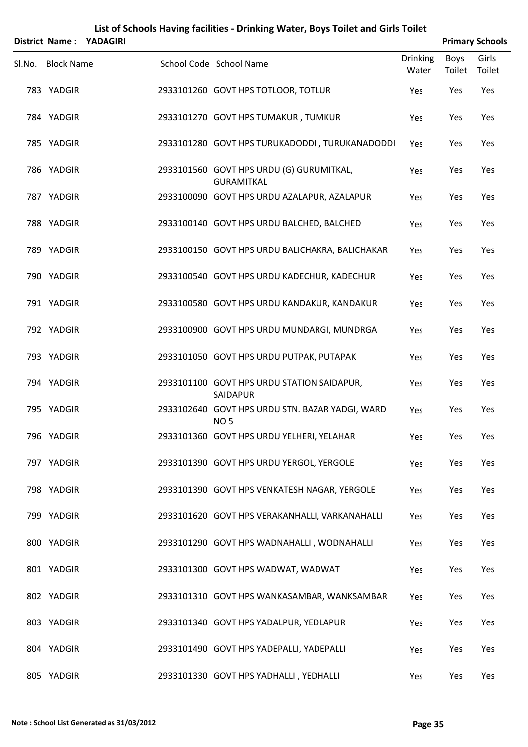|        |                   | District Name: YADAGIRI |                                                                    |                          |                | <b>Primary Schools</b> |
|--------|-------------------|-------------------------|--------------------------------------------------------------------|--------------------------|----------------|------------------------|
| SI.No. | <b>Block Name</b> |                         | School Code School Name                                            | <b>Drinking</b><br>Water | Boys<br>Toilet | Girls<br>Toilet        |
|        | 783 YADGIR        |                         | 2933101260 GOVT HPS TOTLOOR, TOTLUR                                | Yes                      | Yes            | Yes                    |
|        | 784 YADGIR        |                         | 2933101270 GOVT HPS TUMAKUR, TUMKUR                                | Yes                      | Yes            | Yes                    |
|        | 785 YADGIR        |                         | 2933101280 GOVT HPS TURUKADODDI, TURUKANADODDI                     | Yes                      | Yes            | Yes                    |
|        | 786 YADGIR        |                         | 2933101560 GOVT HPS URDU (G) GURUMITKAL,<br><b>GURAMITKAL</b>      | Yes                      | Yes            | Yes                    |
|        | 787 YADGIR        |                         | 2933100090 GOVT HPS URDU AZALAPUR, AZALAPUR                        | Yes                      | Yes            | Yes                    |
|        | 788 YADGIR        |                         | 2933100140 GOVT HPS URDU BALCHED, BALCHED                          | Yes                      | Yes            | Yes                    |
|        | 789 YADGIR        |                         | 2933100150 GOVT HPS URDU BALICHAKRA, BALICHAKAR                    | Yes                      | Yes            | Yes                    |
|        | 790 YADGIR        |                         | 2933100540 GOVT HPS URDU KADECHUR, KADECHUR                        | Yes                      | Yes            | Yes                    |
|        | 791 YADGIR        |                         | 2933100580 GOVT HPS URDU KANDAKUR, KANDAKUR                        | Yes                      | Yes            | Yes                    |
|        | 792 YADGIR        |                         | 2933100900 GOVT HPS URDU MUNDARGI, MUNDRGA                         | Yes                      | Yes            | Yes                    |
|        | 793 YADGIR        |                         | 2933101050 GOVT HPS URDU PUTPAK, PUTAPAK                           | Yes                      | Yes            | Yes                    |
|        | 794 YADGIR        |                         | 2933101100 GOVT HPS URDU STATION SAIDAPUR,<br>SAIDAPUR             | Yes                      | Yes            | Yes                    |
|        | 795 YADGIR        |                         | 2933102640 GOVT HPS URDU STN. BAZAR YADGI, WARD<br>NO <sub>5</sub> | Yes                      | Yes            | Yes                    |
|        | 796 YADGIR        |                         | 2933101360 GOVT HPS URDU YELHERI, YELAHAR                          | Yes                      | Yes            | Yes                    |
|        | 797 YADGIR        |                         | 2933101390 GOVT HPS URDU YERGOL, YERGOLE                           | Yes                      | Yes            | Yes                    |
|        | 798 YADGIR        |                         | 2933101390 GOVT HPS VENKATESH NAGAR, YERGOLE                       | Yes                      | Yes            | Yes                    |
|        | 799 YADGIR        |                         | 2933101620 GOVT HPS VERAKANHALLI, VARKANAHALLI                     | Yes                      | Yes            | Yes                    |
|        | 800 YADGIR        |                         | 2933101290 GOVT HPS WADNAHALLI, WODNAHALLI                         | Yes                      | Yes            | Yes                    |
|        | 801 YADGIR        |                         | 2933101300 GOVT HPS WADWAT, WADWAT                                 | Yes                      | Yes            | Yes                    |
|        | 802 YADGIR        |                         | 2933101310 GOVT HPS WANKASAMBAR, WANKSAMBAR                        | Yes                      | Yes            | Yes                    |
|        | 803 YADGIR        |                         | 2933101340 GOVT HPS YADALPUR, YEDLAPUR                             | Yes                      | Yes            | Yes                    |
|        | 804 YADGIR        |                         | 2933101490 GOVT HPS YADEPALLI, YADEPALLI                           | Yes                      | Yes            | Yes                    |
|        | 805 YADGIR        |                         | 2933101330 GOVT HPS YADHALLI, YEDHALLI                             | Yes                      | Yes            | Yes                    |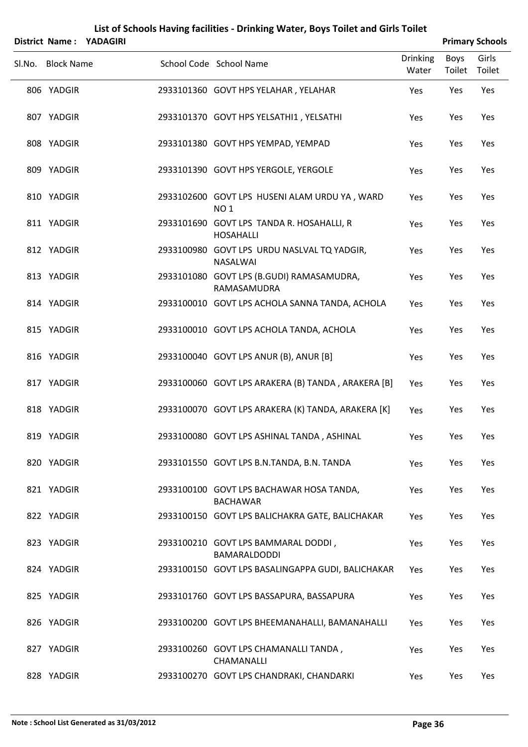|        |                   | District Name: YADAGIRI |                                                                  |                          |                       | <b>Primary Schools</b> |
|--------|-------------------|-------------------------|------------------------------------------------------------------|--------------------------|-----------------------|------------------------|
| SI.No. | <b>Block Name</b> |                         | School Code School Name                                          | <b>Drinking</b><br>Water | <b>Boys</b><br>Toilet | Girls<br>Toilet        |
|        | 806 YADGIR        |                         | 2933101360 GOVT HPS YELAHAR, YELAHAR                             | Yes                      | Yes                   | Yes                    |
|        | 807 YADGIR        |                         | 2933101370 GOVT HPS YELSATHI1, YELSATHI                          | Yes                      | Yes                   | Yes                    |
|        | 808 YADGIR        |                         | 2933101380 GOVT HPS YEMPAD, YEMPAD                               | Yes                      | Yes                   | Yes                    |
|        | 809 YADGIR        |                         | 2933101390 GOVT HPS YERGOLE, YERGOLE                             | Yes                      | Yes                   | Yes                    |
|        | 810 YADGIR        |                         | 2933102600 GOVT LPS HUSENI ALAM URDU YA, WARD<br>NO <sub>1</sub> | Yes                      | Yes                   | Yes                    |
|        | 811 YADGIR        |                         | 2933101690 GOVT LPS TANDA R. HOSAHALLI, R<br><b>HOSAHALLI</b>    | Yes                      | Yes                   | Yes                    |
|        | 812 YADGIR        |                         | 2933100980 GOVT LPS URDU NASLVAL TQ YADGIR,<br><b>NASALWAI</b>   | Yes                      | Yes                   | Yes                    |
|        | 813 YADGIR        |                         | 2933101080 GOVT LPS (B.GUDI) RAMASAMUDRA,<br>RAMASAMUDRA         | Yes                      | Yes                   | Yes                    |
|        | 814 YADGIR        |                         | 2933100010 GOVT LPS ACHOLA SANNA TANDA, ACHOLA                   | Yes                      | Yes                   | Yes                    |
|        | 815 YADGIR        |                         | 2933100010 GOVT LPS ACHOLA TANDA, ACHOLA                         | Yes                      | Yes                   | Yes                    |
|        | 816 YADGIR        |                         | 2933100040 GOVT LPS ANUR (B), ANUR [B]                           | Yes                      | Yes                   | Yes                    |
|        | 817 YADGIR        |                         | 2933100060 GOVT LPS ARAKERA (B) TANDA, ARAKERA [B]               | Yes                      | Yes                   | Yes                    |
|        | 818 YADGIR        |                         | 2933100070 GOVT LPS ARAKERA (K) TANDA, ARAKERA [K]               | Yes                      | Yes                   | Yes                    |
|        | 819 YADGIR        |                         | 2933100080 GOVT LPS ASHINAL TANDA, ASHINAL                       | Yes                      | Yes                   | Yes                    |
|        | 820 YADGIR        |                         | 2933101550 GOVT LPS B.N.TANDA, B.N. TANDA                        | Yes                      | Yes                   | Yes                    |
|        | 821 YADGIR        |                         | 2933100100 GOVT LPS BACHAWAR HOSA TANDA,<br><b>BACHAWAR</b>      | Yes                      | Yes                   | Yes                    |
|        | 822 YADGIR        |                         | 2933100150 GOVT LPS BALICHAKRA GATE, BALICHAKAR                  | Yes                      | Yes                   | Yes                    |
|        | 823 YADGIR        |                         | 2933100210 GOVT LPS BAMMARAL DODDI,<br>BAMARALDODDI              | Yes                      | Yes                   | Yes                    |
|        | 824 YADGIR        |                         | 2933100150 GOVT LPS BASALINGAPPA GUDI, BALICHAKAR                | Yes                      | Yes                   | Yes                    |
|        | 825 YADGIR        |                         | 2933101760 GOVT LPS BASSAPURA, BASSAPURA                         | Yes                      | Yes                   | Yes                    |
|        | 826 YADGIR        |                         | 2933100200 GOVT LPS BHEEMANAHALLI, BAMANAHALLI                   | Yes                      | Yes                   | Yes                    |
|        | 827 YADGIR        |                         | 2933100260 GOVT LPS CHAMANALLI TANDA,<br>CHAMANALLI              | Yes                      | Yes                   | Yes                    |
|        | 828 YADGIR        |                         | 2933100270 GOVT LPS CHANDRAKI, CHANDARKI                         | Yes                      | Yes                   | Yes                    |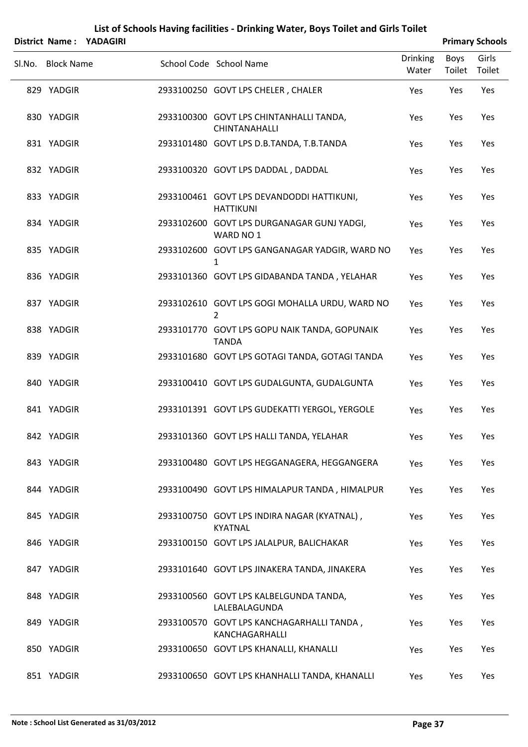|        |                   | List of Schools Having facilities - Drinking Water, Boys Toilet and Girls Toilet<br>District Name: YADAGIRI | <b>Primary Schools</b>                                          |                 |        |        |
|--------|-------------------|-------------------------------------------------------------------------------------------------------------|-----------------------------------------------------------------|-----------------|--------|--------|
|        |                   |                                                                                                             |                                                                 | <b>Drinking</b> | Boys   | Girls  |
| Sl.No. | <b>Block Name</b> |                                                                                                             | School Code School Name                                         | Water           | Toilet | Toilet |
|        | 829 YADGIR        |                                                                                                             | 2933100250 GOVT LPS CHELER, CHALER                              | Yes             | Yes    | Yes    |
|        | 830 YADGIR        |                                                                                                             | 2933100300 GOVT LPS CHINTANHALLI TANDA,<br><b>CHINTANAHALLI</b> | Yes             | Yes    | Yes    |
|        | 831 YADGIR        |                                                                                                             | 2933101480 GOVT LPS D.B.TANDA, T.B.TANDA                        | Yes             | Yes    | Yes    |
|        | 832 YADGIR        |                                                                                                             | 2933100320 GOVT LPS DADDAL, DADDAL                              | Yes             | Yes    | Yes    |
|        | 833 YADGIR        |                                                                                                             | 2933100461 GOVT LPS DEVANDODDI HATTIKUNI,<br><b>HATTIKUNI</b>   | Yes             | Yes    | Yes    |
|        | 834 YADGIR        |                                                                                                             | 2933102600 GOVT LPS DURGANAGAR GUNJ YADGI,<br>WARD NO 1         | Yes             | Yes    | Yes    |
|        | 835 YADGIR        |                                                                                                             | 2933102600 GOVT LPS GANGANAGAR YADGIR, WARD NO<br>1             | Yes             | Yes    | Yes    |
|        | 836 YADGIR        |                                                                                                             | 2933101360 GOVT LPS GIDABANDA TANDA, YELAHAR                    | Yes             | Yes    | Yes    |
|        | 837 YADGIR        |                                                                                                             | 2933102610 GOVT LPS GOGI MOHALLA URDU, WARD NO<br>2             | Yes             | Yes    | Yes    |
|        | 838 YADGIR        |                                                                                                             | 2933101770 GOVT LPS GOPU NAIK TANDA, GOPUNAIK<br><b>TANDA</b>   | Yes             | Yes    | Yes    |
|        | 839 YADGIR        |                                                                                                             | 2933101680 GOVT LPS GOTAGI TANDA, GOTAGI TANDA                  | Yes             | Yes    | Yes    |
|        | 840 YADGIR        |                                                                                                             | 2933100410 GOVT LPS GUDALGUNTA, GUDALGUNTA                      | Yes             | Yes    | Yes    |
|        | 841 YADGIR        |                                                                                                             | 2933101391 GOVT LPS GUDEKATTI YERGOL, YERGOLE                   | Yes             | Yes    | Yes    |
|        | 842 YADGIR        |                                                                                                             | 2933101360 GOVT LPS HALLI TANDA, YELAHAR                        | Yes             | Yes    | Yes    |
|        | 843 YADGIR        |                                                                                                             | 2933100480 GOVT LPS HEGGANAGERA, HEGGANGERA                     | Yes             | Yes    | Yes    |
|        | 844 YADGIR        |                                                                                                             | 2933100490 GOVT LPS HIMALAPUR TANDA, HIMALPUR                   | Yes             | Yes    | Yes    |
|        | 845 YADGIR        |                                                                                                             | 2933100750 GOVT LPS INDIRA NAGAR (KYATNAL),<br>KYATNAL          | Yes             | Yes    | Yes    |
|        | 846 YADGIR        |                                                                                                             | 2933100150 GOVT LPS JALALPUR, BALICHAKAR                        | Yes             | Yes    | Yes    |
|        | 847 YADGIR        |                                                                                                             | 2933101640 GOVT LPS JINAKERA TANDA, JINAKERA                    | Yes             | Yes    | Yes    |
|        | 848 YADGIR        |                                                                                                             | 2933100560 GOVT LPS KALBELGUNDA TANDA,<br>LALEBALAGUNDA         | Yes             | Yes    | Yes    |
|        | 849 YADGIR        |                                                                                                             | 2933100570 GOVT LPS KANCHAGARHALLI TANDA,<br>KANCHAGARHALLI     | Yes             | Yes    | Yes    |
|        | 850 YADGIR        |                                                                                                             | 2933100650 GOVT LPS KHANALLI, KHANALLI                          | Yes             | Yes    | Yes    |
|        | 851 YADGIR        |                                                                                                             | 2933100650 GOVT LPS KHANHALLI TANDA, KHANALLI                   | Yes             | Yes    | Yes    |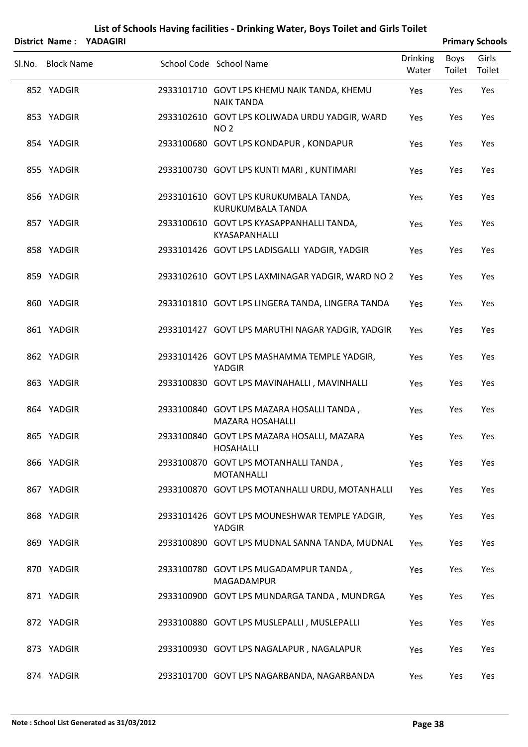|                   | District Name: YADAGIRI |                                                                      |                          |                | <b>Primary Schools</b> |
|-------------------|-------------------------|----------------------------------------------------------------------|--------------------------|----------------|------------------------|
| Sl.No. Block Name |                         | School Code School Name                                              | <b>Drinking</b><br>Water | Boys<br>Toilet | Girls<br>Toilet        |
| 852 YADGIR        |                         | 2933101710 GOVT LPS KHEMU NAIK TANDA, KHEMU<br><b>NAIK TANDA</b>     | Yes                      | Yes            | Yes                    |
| 853 YADGIR        |                         | 2933102610 GOVT LPS KOLIWADA URDU YADGIR, WARD<br><b>NO2</b>         | Yes                      | Yes            | Yes                    |
| 854 YADGIR        |                         | 2933100680 GOVT LPS KONDAPUR, KONDAPUR                               | Yes                      | Yes            | Yes                    |
| 855 YADGIR        |                         | 2933100730 GOVT LPS KUNTI MARI, KUNTIMARI                            | Yes                      | Yes            | Yes                    |
| 856 YADGIR        |                         | 2933101610 GOVT LPS KURUKUMBALA TANDA,<br>KURUKUMBALA TANDA          | Yes                      | Yes            | Yes                    |
| 857 YADGIR        |                         | 2933100610 GOVT LPS KYASAPPANHALLI TANDA,<br>KYASAPANHALLI           | Yes                      | Yes            | Yes                    |
| 858 YADGIR        |                         | 2933101426 GOVT LPS LADISGALLI YADGIR, YADGIR                        | Yes                      | Yes            | Yes                    |
| 859 YADGIR        |                         | 2933102610 GOVT LPS LAXMINAGAR YADGIR, WARD NO 2                     | Yes                      | Yes            | Yes                    |
| 860 YADGIR        |                         | 2933101810 GOVT LPS LINGERA TANDA, LINGERA TANDA                     | Yes                      | Yes            | Yes                    |
| 861 YADGIR        |                         | 2933101427 GOVT LPS MARUTHI NAGAR YADGIR, YADGIR                     | Yes                      | Yes            | Yes                    |
| 862 YADGIR        |                         | 2933101426 GOVT LPS MASHAMMA TEMPLE YADGIR,<br>YADGIR                | Yes                      | Yes            | Yes                    |
| 863 YADGIR        |                         | 2933100830 GOVT LPS MAVINAHALLI, MAVINHALLI                          | Yes                      | Yes            | Yes                    |
| 864 YADGIR        |                         | 2933100840 GOVT LPS MAZARA HOSALLI TANDA,<br><b>MAZARA HOSAHALLI</b> | Yes                      | Yes            | Yes                    |
| 865 YADGIR        |                         | 2933100840 GOVT LPS MAZARA HOSALLI, MAZARA<br><b>HOSAHALLI</b>       | Yes                      | Yes            | Yes                    |
| 866 YADGIR        |                         | 2933100870 GOVT LPS MOTANHALLI TANDA,<br><b>MOTANHALLI</b>           | Yes                      | Yes            | Yes                    |
| 867 YADGIR        |                         | 2933100870 GOVT LPS MOTANHALLI URDU, MOTANHALLI                      | Yes                      | Yes            | Yes                    |
| 868 YADGIR        |                         | 2933101426 GOVT LPS MOUNESHWAR TEMPLE YADGIR,<br>YADGIR              | Yes                      | Yes            | Yes                    |
| 869 YADGIR        |                         | 2933100890 GOVT LPS MUDNAL SANNA TANDA, MUDNAL                       | Yes                      | Yes            | Yes                    |
| 870 YADGIR        |                         | 2933100780 GOVT LPS MUGADAMPUR TANDA,<br>MAGADAMPUR                  | Yes                      | Yes            | Yes                    |
| 871 YADGIR        |                         | 2933100900 GOVT LPS MUNDARGA TANDA, MUNDRGA                          | Yes                      | Yes            | Yes                    |
| 872 YADGIR        |                         | 2933100880 GOVT LPS MUSLEPALLI, MUSLEPALLI                           | Yes                      | Yes            | Yes                    |
| 873 YADGIR        |                         | 2933100930 GOVT LPS NAGALAPUR, NAGALAPUR                             | Yes                      | Yes            | Yes                    |
| 874 YADGIR        |                         | 2933101700 GOVT LPS NAGARBANDA, NAGARBANDA                           | Yes                      | Yes            | Yes                    |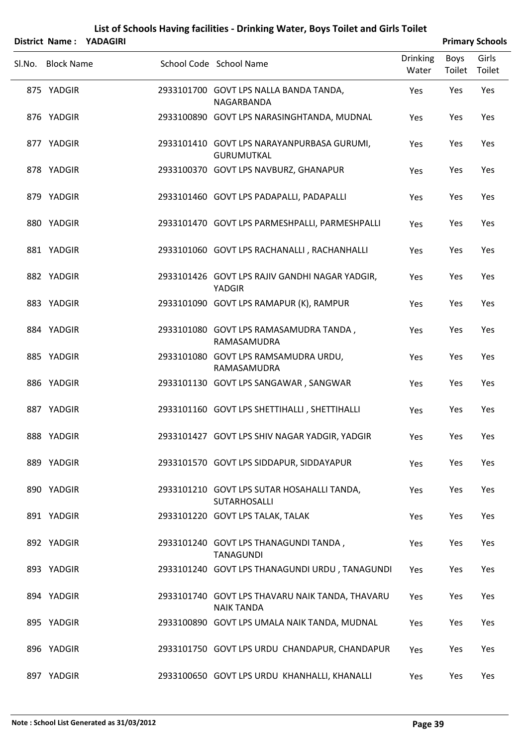|                   | District Name: YADAGIRI |                                                                      |                          |                | <b>Primary Schools</b> |
|-------------------|-------------------------|----------------------------------------------------------------------|--------------------------|----------------|------------------------|
| Sl.No. Block Name |                         | School Code School Name                                              | <b>Drinking</b><br>Water | Boys<br>Toilet | Girls<br>Toilet        |
| 875 YADGIR        |                         | 2933101700 GOVT LPS NALLA BANDA TANDA,<br>NAGARBANDA                 | Yes                      | Yes            | Yes                    |
| 876 YADGIR        |                         | 2933100890 GOVT LPS NARASINGHTANDA, MUDNAL                           | Yes                      | Yes            | Yes                    |
| 877 YADGIR        |                         | 2933101410 GOVT LPS NARAYANPURBASA GURUMI,<br><b>GURUMUTKAL</b>      | Yes                      | Yes            | Yes                    |
| 878 YADGIR        |                         | 2933100370 GOVT LPS NAVBURZ, GHANAPUR                                | Yes                      | Yes            | Yes                    |
| 879 YADGIR        |                         | 2933101460 GOVT LPS PADAPALLI, PADAPALLI                             | Yes                      | Yes            | Yes                    |
| 880 YADGIR        |                         | 2933101470 GOVT LPS PARMESHPALLI, PARMESHPALLI                       | Yes                      | Yes            | Yes                    |
| 881 YADGIR        |                         | 2933101060 GOVT LPS RACHANALLI, RACHANHALLI                          | Yes                      | Yes            | Yes                    |
| 882 YADGIR        |                         | 2933101426 GOVT LPS RAJIV GANDHI NAGAR YADGIR,<br><b>YADGIR</b>      | Yes                      | Yes            | Yes                    |
| 883 YADGIR        |                         | 2933101090 GOVT LPS RAMAPUR (K), RAMPUR                              | Yes                      | Yes            | Yes                    |
| 884 YADGIR        |                         | 2933101080 GOVT LPS RAMASAMUDRA TANDA,<br>RAMASAMUDRA                | Yes                      | Yes            | Yes                    |
| 885 YADGIR        |                         | 2933101080 GOVT LPS RAMSAMUDRA URDU,<br>RAMASAMUDRA                  | Yes                      | Yes            | Yes                    |
| 886 YADGIR        |                         | 2933101130 GOVT LPS SANGAWAR, SANGWAR                                | Yes                      | Yes            | Yes                    |
| 887 YADGIR        |                         | 2933101160 GOVT LPS SHETTIHALLI, SHETTIHALLI                         | Yes                      | Yes            | Yes                    |
| 888 YADGIR        |                         | 2933101427 GOVT LPS SHIV NAGAR YADGIR, YADGIR                        | Yes                      | Yes            | Yes                    |
| 889 YADGIR        |                         | 2933101570 GOVT LPS SIDDAPUR, SIDDAYAPUR                             | Yes                      | Yes            | Yes                    |
| 890 YADGIR        |                         | 2933101210 GOVT LPS SUTAR HOSAHALLI TANDA,<br>SUTARHOSALLI           | Yes                      | Yes            | Yes                    |
| 891 YADGIR        |                         | 2933101220 GOVT LPS TALAK, TALAK                                     | Yes                      | Yes            | Yes                    |
| 892 YADGIR        |                         | 2933101240 GOVT LPS THANAGUNDI TANDA,<br><b>TANAGUNDI</b>            | Yes                      | Yes            | Yes                    |
| 893 YADGIR        |                         | 2933101240 GOVT LPS THANAGUNDI URDU, TANAGUNDI                       | Yes                      | Yes            | Yes                    |
| 894 YADGIR        |                         | 2933101740 GOVT LPS THAVARU NAIK TANDA, THAVARU<br><b>NAIK TANDA</b> | Yes                      | Yes            | Yes                    |
| 895 YADGIR        |                         | 2933100890 GOVT LPS UMALA NAIK TANDA, MUDNAL                         | Yes                      | Yes            | Yes                    |
| 896 YADGIR        |                         | 2933101750 GOVT LPS URDU CHANDAPUR, CHANDAPUR                        | Yes                      | Yes            | Yes                    |
| 897 YADGIR        |                         | 2933100650 GOVT LPS URDU KHANHALLI, KHANALLI                         | Yes                      | Yes            | Yes                    |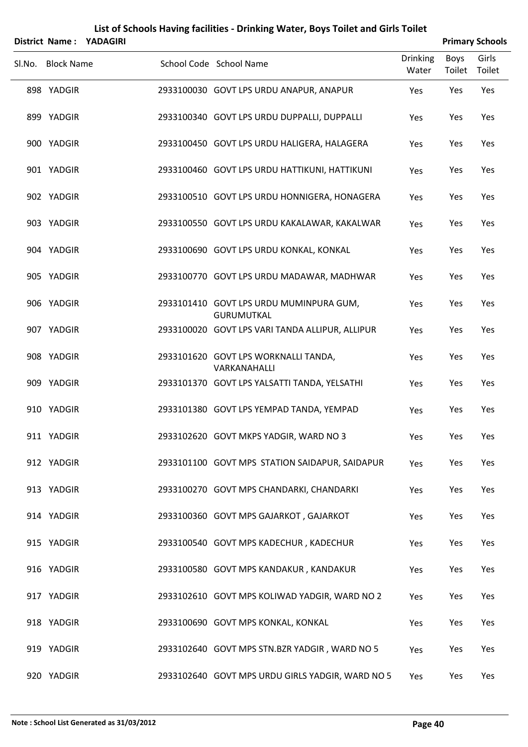|                   | District Name: YADAGIRI |                                                              |                          |                | <b>Primary Schools</b> |
|-------------------|-------------------------|--------------------------------------------------------------|--------------------------|----------------|------------------------|
| Sl.No. Block Name |                         | School Code School Name                                      | <b>Drinking</b><br>Water | Boys<br>Toilet | Girls<br>Toilet        |
| 898 YADGIR        |                         | 2933100030 GOVT LPS URDU ANAPUR, ANAPUR                      | Yes                      | Yes            | Yes                    |
| 899 YADGIR        |                         | 2933100340 GOVT LPS URDU DUPPALLI, DUPPALLI                  | Yes                      | Yes            | Yes                    |
| 900 YADGIR        |                         | 2933100450 GOVT LPS URDU HALIGERA, HALAGERA                  | Yes                      | Yes            | Yes                    |
| 901 YADGIR        |                         | 2933100460 GOVT LPS URDU HATTIKUNI, HATTIKUNI                | Yes                      | Yes            | Yes                    |
| 902 YADGIR        |                         | 2933100510 GOVT LPS URDU HONNIGERA, HONAGERA                 | Yes                      | Yes            | Yes                    |
| 903 YADGIR        |                         | 2933100550 GOVT LPS URDU KAKALAWAR, KAKALWAR                 | Yes                      | Yes            | Yes                    |
| 904 YADGIR        |                         | 2933100690 GOVT LPS URDU KONKAL, KONKAL                      | Yes                      | Yes            | Yes                    |
| 905 YADGIR        |                         | 2933100770 GOVT LPS URDU MADAWAR, MADHWAR                    | Yes                      | Yes            | Yes                    |
| 906 YADGIR        |                         | 2933101410 GOVT LPS URDU MUMINPURA GUM,<br><b>GURUMUTKAL</b> | Yes                      | Yes            | Yes                    |
| 907 YADGIR        |                         | 2933100020 GOVT LPS VARI TANDA ALLIPUR, ALLIPUR              | Yes                      | Yes            | Yes                    |
| 908 YADGIR        |                         | 2933101620 GOVT LPS WORKNALLI TANDA,<br>VARKANAHALLI         | Yes                      | Yes            | Yes                    |
| 909 YADGIR        |                         | 2933101370 GOVT LPS YALSATTI TANDA, YELSATHI                 | Yes                      | Yes            | Yes                    |
| 910 YADGIR        |                         | 2933101380 GOVT LPS YEMPAD TANDA, YEMPAD                     | Yes                      | Yes            | Yes                    |
| 911 YADGIR        |                         | 2933102620 GOVT MKPS YADGIR, WARD NO 3                       | Yes                      | Yes            | Yes                    |
| 912 YADGIR        |                         | 2933101100 GOVT MPS STATION SAIDAPUR, SAIDAPUR               | Yes                      | Yes            | Yes                    |
| 913 YADGIR        |                         | 2933100270 GOVT MPS CHANDARKI, CHANDARKI                     | Yes                      | Yes            | Yes                    |
| 914 YADGIR        |                         | 2933100360 GOVT MPS GAJARKOT, GAJARKOT                       | Yes                      | Yes            | Yes                    |
| 915 YADGIR        |                         | 2933100540 GOVT MPS KADECHUR, KADECHUR                       | Yes                      | Yes            | Yes                    |
| 916 YADGIR        |                         | 2933100580 GOVT MPS KANDAKUR, KANDAKUR                       | Yes                      | Yes            | Yes                    |
| 917 YADGIR        |                         | 2933102610 GOVT MPS KOLIWAD YADGIR, WARD NO 2                | Yes                      | Yes            | Yes                    |
| 918 YADGIR        |                         | 2933100690 GOVT MPS KONKAL, KONKAL                           | Yes                      | Yes            | Yes                    |
| 919 YADGIR        |                         | 2933102640 GOVT MPS STN.BZR YADGIR, WARD NO 5                | Yes                      | Yes            | Yes                    |
| 920 YADGIR        |                         | 2933102640 GOVT MPS URDU GIRLS YADGIR, WARD NO 5             | Yes                      | Yes            | Yes                    |